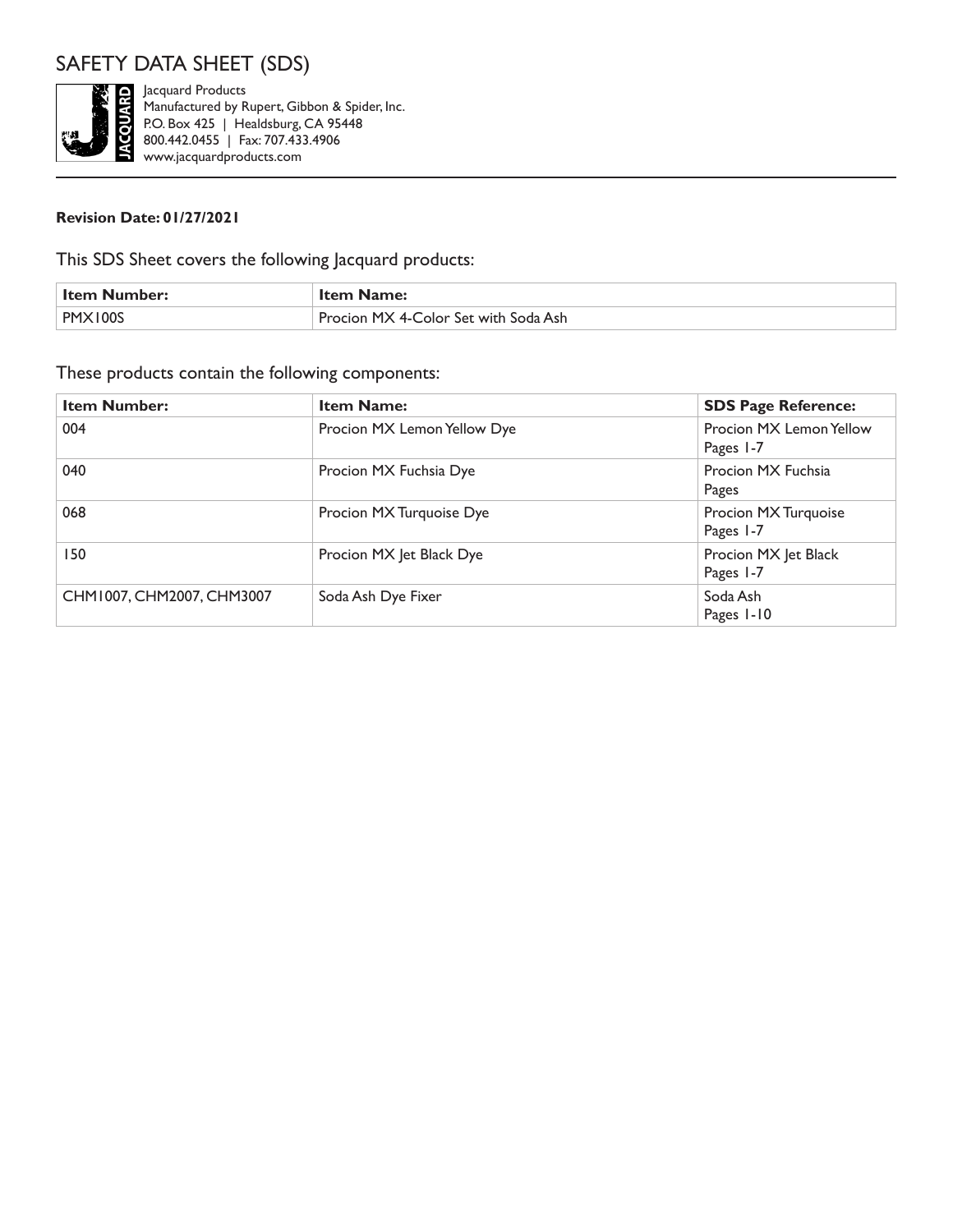

Jacquard Products Manufactured by Rupert, Gibbon & Spider, Inc. P.O. Box 425 | Healdsburg, CA 95448 800.442.0455 | Fax: 707.433.4906 www.jacquardproducts.com

#### **Revision Date: 01/27/2021**

This SDS Sheet covers the following Jacquard products:

| Item Number: | <b>Item Name:</b>                    |
|--------------|--------------------------------------|
| <b>DMY</b>   | Procion MX 4-Color Set with Soda Ash |

#### These products contain the following components:

| <b>Item Number:</b>       | <b>Item Name:</b>           | <b>SDS Page Reference:</b>           |
|---------------------------|-----------------------------|--------------------------------------|
| 004                       | Procion MX Lemon Yellow Dye | Procion MX Lemon Yellow<br>Pages 1-7 |
| 040                       | Procion MX Fuchsia Dye      | Procion MX Fuchsia<br>Pages          |
| 068                       | Procion MX Turquoise Dye    | Procion MX Turquoise<br>Pages 1-7    |
| 150                       | Procion MX Jet Black Dye    | Procion MX Jet Black<br>Pages 1-7    |
| CHM1007, CHM2007, CHM3007 | Soda Ash Dye Fixer          | Soda Ash<br>Pages 1-10               |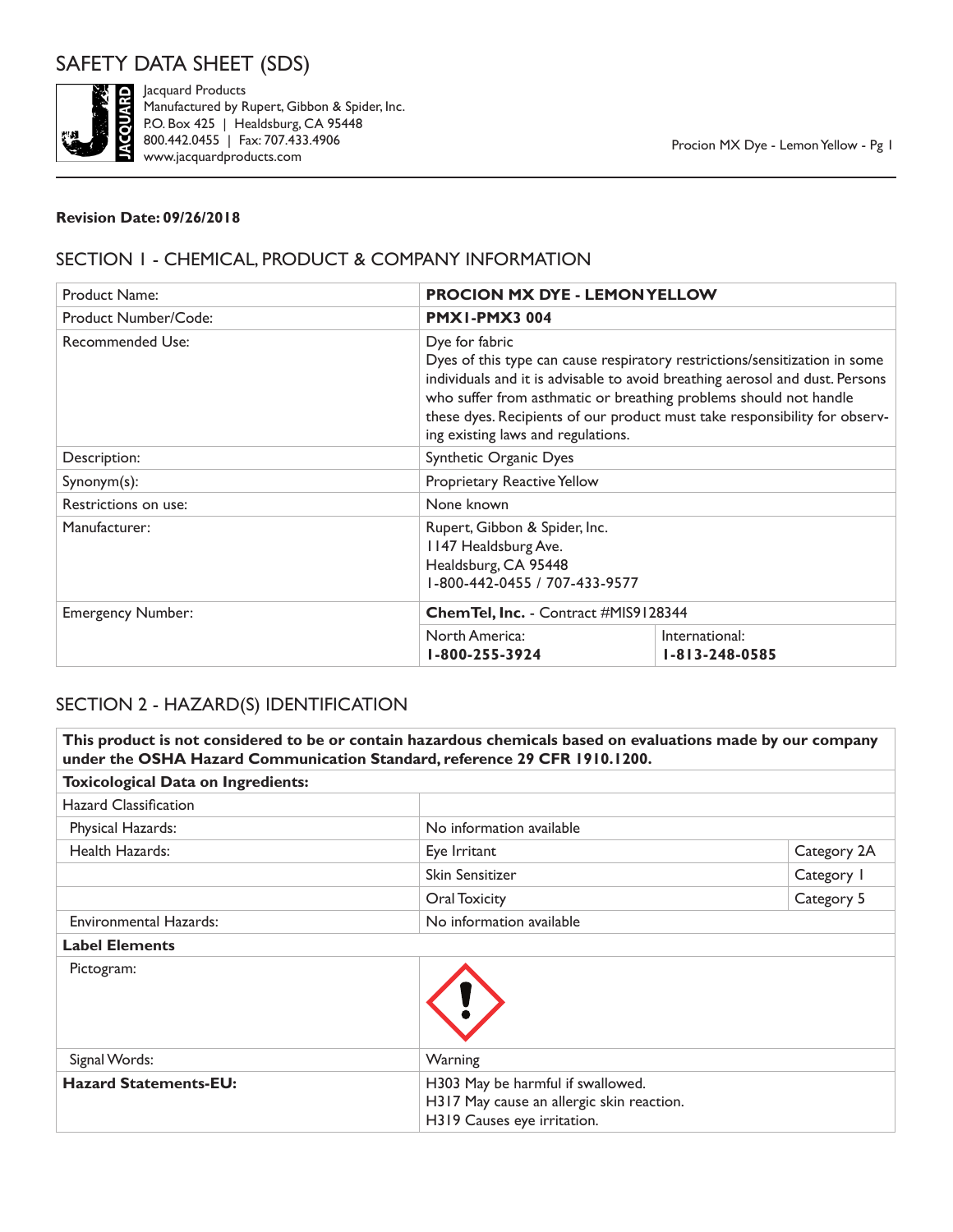

Jacquard Products Manufactured by Rupert, Gibbon & Spider, Inc. P.O. Box 425 | Healdsburg, CA 95448 800.442.0455 | Fax: 707.433.4906 www.jacquardproducts.com

#### **Revision Date: 09/26/2018**

## SECTION 1 - CHEMICAL, PRODUCT & COMPANY INFORMATION

| <b>Product Name:</b>     | <b>PROCION MX DYE - LEMON YELLOW</b>                                                                           |                                                                                                                                                                                                                                                                                                                                                     |  |
|--------------------------|----------------------------------------------------------------------------------------------------------------|-----------------------------------------------------------------------------------------------------------------------------------------------------------------------------------------------------------------------------------------------------------------------------------------------------------------------------------------------------|--|
| Product Number/Code:     | <b>PMX1-PMX3004</b>                                                                                            |                                                                                                                                                                                                                                                                                                                                                     |  |
| <b>Recommended Use:</b>  | Dye for fabric                                                                                                 | Dyes of this type can cause respiratory restrictions/sensitization in some<br>individuals and it is advisable to avoid breathing aerosol and dust. Persons<br>who suffer from asthmatic or breathing problems should not handle<br>these dyes. Recipients of our product must take responsibility for observ-<br>ing existing laws and regulations. |  |
| Description:             | Synthetic Organic Dyes                                                                                         |                                                                                                                                                                                                                                                                                                                                                     |  |
| $Synonym(s)$ :           | Proprietary Reactive Yellow                                                                                    |                                                                                                                                                                                                                                                                                                                                                     |  |
| Restrictions on use:     | None known                                                                                                     |                                                                                                                                                                                                                                                                                                                                                     |  |
| Manufacturer:            | Rupert, Gibbon & Spider, Inc.<br>1147 Healdsburg Ave.<br>Healdsburg, CA 95448<br>I-800-442-0455 / 707-433-9577 |                                                                                                                                                                                                                                                                                                                                                     |  |
| <b>Emergency Number:</b> | Chem Tel, Inc. - Contract #MIS9128344                                                                          |                                                                                                                                                                                                                                                                                                                                                     |  |
|                          | North America:<br>1-800-255-3924                                                                               | International:<br>$1 - 813 - 248 - 0585$                                                                                                                                                                                                                                                                                                            |  |

### SECTION 2 - HAZARD(S) IDENTIFICATION

**This product is not considered to be or contain hazardous chemicals based on evaluations made by our company under the OSHA Hazard Communication Standard, reference 29 CFR 1910.1200. Toxicological Data on Ingredients:** Hazard Classification Physical Hazards: No information available Health Hazards: Eye Irritant Category 2A Skin Sensitizer Category 1 Oral Toxicity **Category 5** Environmental Hazards: No information available **Label Elements** Pictogram: Signal Words: Warning Hazard Statements-EU: H303 May be harmful if swallowed. H317 May cause an allergic skin reaction. H319 Causes eye irritation.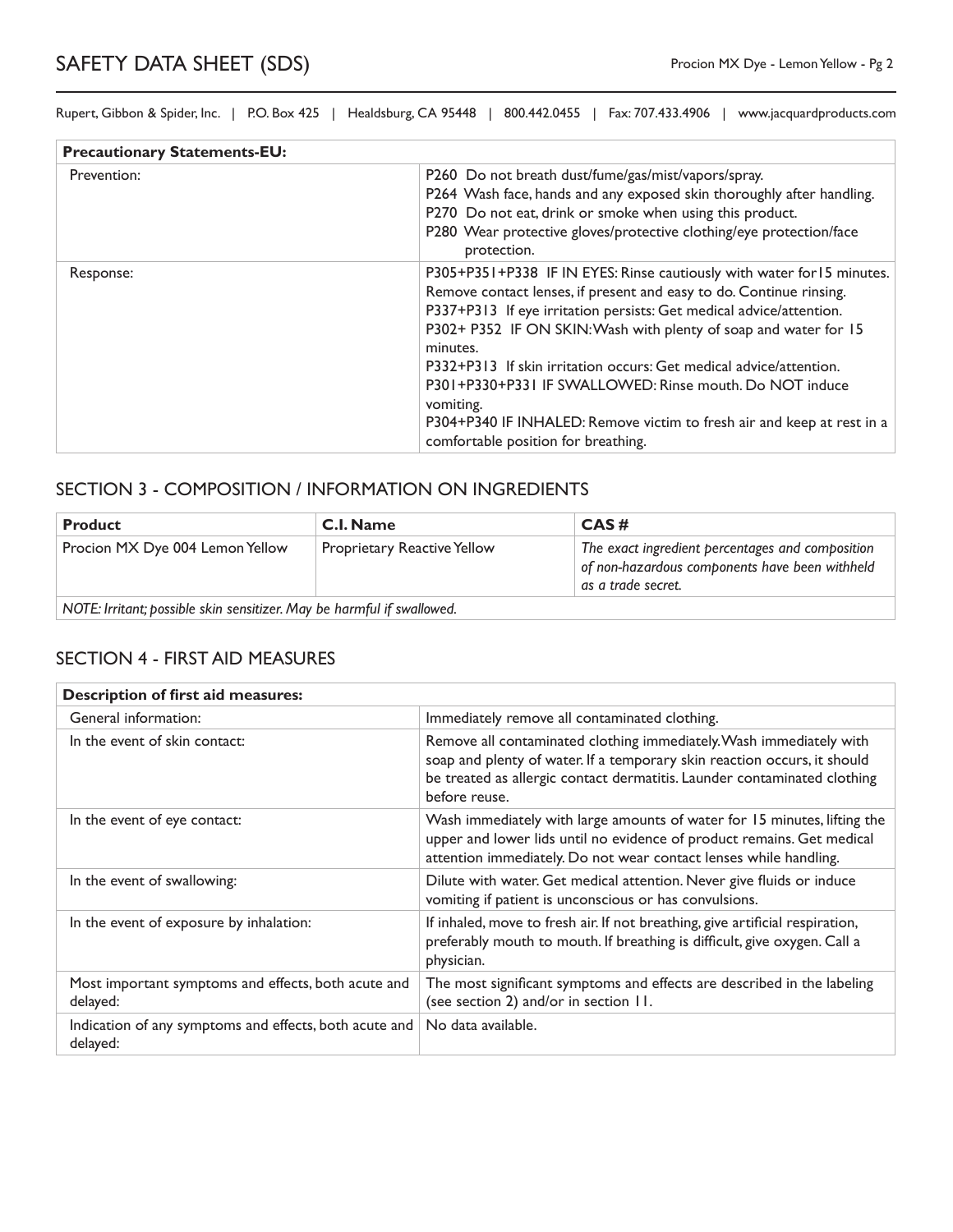| <b>Precautionary Statements-EU:</b> |                                                                                                                                                                                                                                                                                                                                                                                                                                                                                                                                                                     |  |
|-------------------------------------|---------------------------------------------------------------------------------------------------------------------------------------------------------------------------------------------------------------------------------------------------------------------------------------------------------------------------------------------------------------------------------------------------------------------------------------------------------------------------------------------------------------------------------------------------------------------|--|
| Prevention:                         | P260 Do not breath dust/fume/gas/mist/vapors/spray.<br>P264 Wash face, hands and any exposed skin thoroughly after handling.<br>P270 Do not eat, drink or smoke when using this product.<br>P280 Wear protective gloves/protective clothing/eye protection/face<br>protection.                                                                                                                                                                                                                                                                                      |  |
| Response:                           | P305+P351+P338 IF IN EYES: Rinse cautiously with water for 15 minutes.<br>Remove contact lenses, if present and easy to do. Continue rinsing.<br>P337+P313 If eye irritation persists: Get medical advice/attention.<br>P302+ P352 IF ON SKIN: Wash with plenty of soap and water for 15<br>minutes.<br>P332+P313 If skin irritation occurs: Get medical advice/attention.<br>P301+P330+P331 IF SWALLOWED: Rinse mouth, Do NOT induce<br>vomiting.<br>P304+P340 IF INHALED: Remove victim to fresh air and keep at rest in a<br>comfortable position for breathing. |  |

#### SECTION 3 - COMPOSITION / INFORMATION ON INGREDIENTS

| <b>Product</b>                                                         | <b>C.I. Name</b>                   | CAS#                                                                                                                     |
|------------------------------------------------------------------------|------------------------------------|--------------------------------------------------------------------------------------------------------------------------|
| Procion MX Dye 004 Lemon Yellow                                        | <b>Proprietary Reactive Yellow</b> | The exact ingredient percentages and composition<br>of non-hazardous components have been withheld<br>as a trade secret. |
| NOTE: Irritant; possible skin sensitizer. May be harmful if swallowed. |                                    |                                                                                                                          |

#### SECTION 4 - FIRST AID MEASURES

| <b>Description of first aid measures:</b>                          |                                                                                                                                                                                                                                              |  |
|--------------------------------------------------------------------|----------------------------------------------------------------------------------------------------------------------------------------------------------------------------------------------------------------------------------------------|--|
| General information:                                               | Immediately remove all contaminated clothing.                                                                                                                                                                                                |  |
| In the event of skin contact:                                      | Remove all contaminated clothing immediately. Wash immediately with<br>soap and plenty of water. If a temporary skin reaction occurs, it should<br>be treated as allergic contact dermatitis. Launder contaminated clothing<br>before reuse. |  |
| In the event of eye contact:                                       | Wash immediately with large amounts of water for 15 minutes, lifting the<br>upper and lower lids until no evidence of product remains. Get medical<br>attention immediately. Do not wear contact lenses while handling.                      |  |
| In the event of swallowing:                                        | Dilute with water. Get medical attention. Never give fluids or induce<br>vomiting if patient is unconscious or has convulsions.                                                                                                              |  |
| In the event of exposure by inhalation:                            | If inhaled, move to fresh air. If not breathing, give artificial respiration,<br>preferably mouth to mouth. If breathing is difficult, give oxygen. Call a<br>physician.                                                                     |  |
| Most important symptoms and effects, both acute and<br>delayed:    | The most significant symptoms and effects are described in the labeling<br>(see section 2) and/or in section 11.                                                                                                                             |  |
| Indication of any symptoms and effects, both acute and<br>delayed: | No data available.                                                                                                                                                                                                                           |  |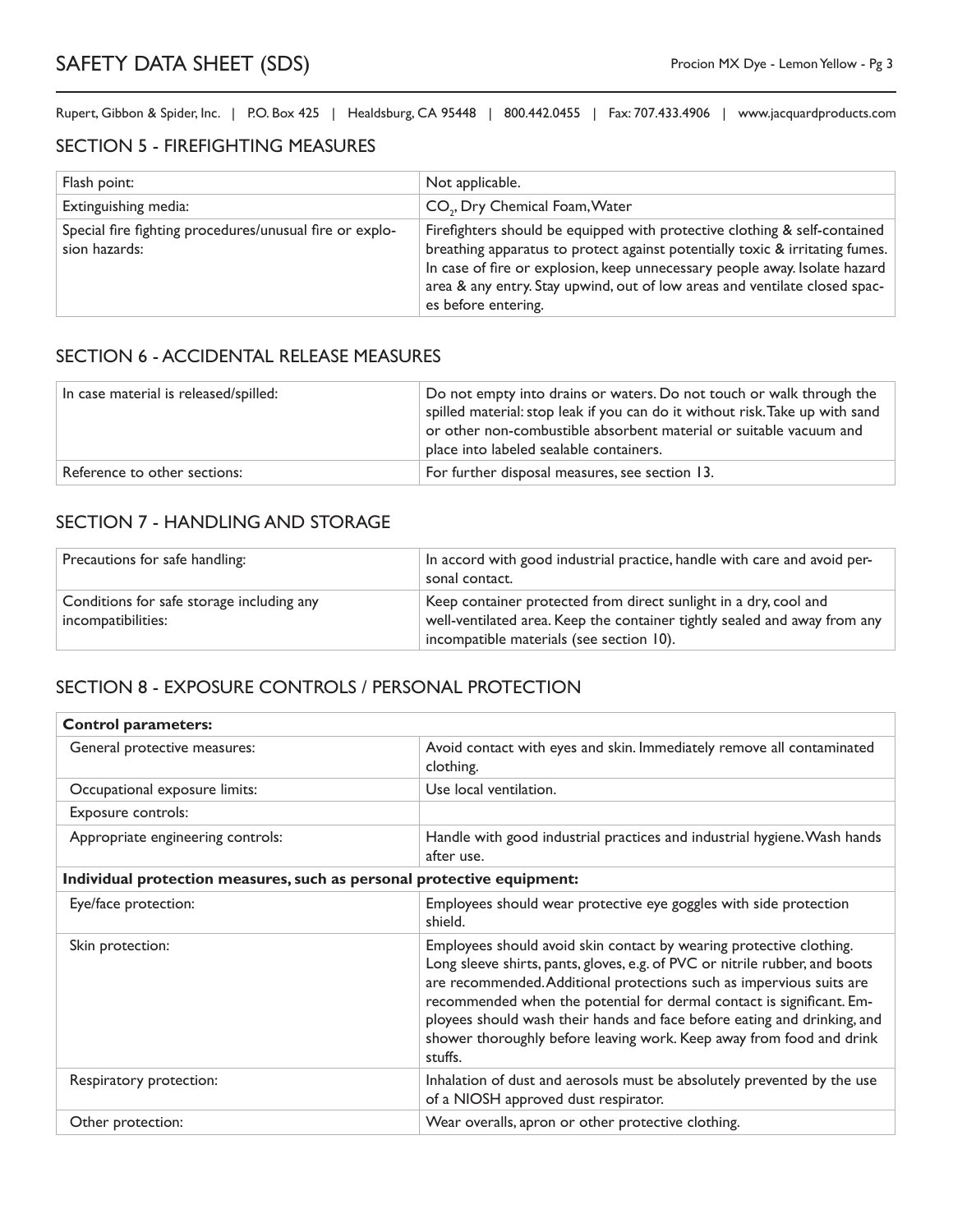#### SECTION 5 - FIREFIGHTING MEASURES

| Flash point:                                                             | Not applicable.                                                                                                                                                                                                                                                                                                                              |
|--------------------------------------------------------------------------|----------------------------------------------------------------------------------------------------------------------------------------------------------------------------------------------------------------------------------------------------------------------------------------------------------------------------------------------|
| Extinguishing media:                                                     | CO <sub>2</sub> , Dry Chemical Foam, Water                                                                                                                                                                                                                                                                                                   |
| Special fire fighting procedures/unusual fire or explo-<br>sion hazards: | Firefighters should be equipped with protective clothing & self-contained<br>breathing apparatus to protect against potentially toxic & irritating fumes.<br>In case of fire or explosion, keep unnecessary people away. Isolate hazard<br>area & any entry. Stay upwind, out of low areas and ventilate closed spac-<br>es before entering. |

#### SECTION 6 - ACCIDENTAL RELEASE MEASURES

| In case material is released/spilled: | Do not empty into drains or waters. Do not touch or walk through the<br>spilled material: stop leak if you can do it without risk. Take up with sand<br>or other non-combustible absorbent material or suitable vacuum and<br>place into labeled sealable containers. |
|---------------------------------------|-----------------------------------------------------------------------------------------------------------------------------------------------------------------------------------------------------------------------------------------------------------------------|
| Reference to other sections:          | For further disposal measures, see section 13.                                                                                                                                                                                                                        |

### SECTION 7 - HANDLING AND STORAGE

| Precautions for safe handling:                                  | In accord with good industrial practice, handle with care and avoid per-<br>sonal contact.                                                                                                |
|-----------------------------------------------------------------|-------------------------------------------------------------------------------------------------------------------------------------------------------------------------------------------|
| Conditions for safe storage including any<br>incompatibilities: | Keep container protected from direct sunlight in a dry, cool and<br>well-ventilated area. Keep the container tightly sealed and away from any<br>incompatible materials (see section 10). |

### SECTION 8 - EXPOSURE CONTROLS / PERSONAL PROTECTION

| <b>Control parameters:</b>                                             |                                                                                                                                                                                                                                                                                                                                                                                                                                                                    |  |
|------------------------------------------------------------------------|--------------------------------------------------------------------------------------------------------------------------------------------------------------------------------------------------------------------------------------------------------------------------------------------------------------------------------------------------------------------------------------------------------------------------------------------------------------------|--|
| General protective measures:                                           | Avoid contact with eyes and skin. Immediately remove all contaminated<br>clothing.                                                                                                                                                                                                                                                                                                                                                                                 |  |
| Occupational exposure limits:                                          | Use local ventilation.                                                                                                                                                                                                                                                                                                                                                                                                                                             |  |
| Exposure controls:                                                     |                                                                                                                                                                                                                                                                                                                                                                                                                                                                    |  |
| Appropriate engineering controls:                                      | Handle with good industrial practices and industrial hygiene. Wash hands<br>after use.                                                                                                                                                                                                                                                                                                                                                                             |  |
| Individual protection measures, such as personal protective equipment: |                                                                                                                                                                                                                                                                                                                                                                                                                                                                    |  |
| Eye/face protection:                                                   | Employees should wear protective eye goggles with side protection<br>shield.                                                                                                                                                                                                                                                                                                                                                                                       |  |
| Skin protection:                                                       | Employees should avoid skin contact by wearing protective clothing.<br>Long sleeve shirts, pants, gloves, e.g. of PVC or nitrile rubber, and boots<br>are recommended. Additional protections such as impervious suits are<br>recommended when the potential for dermal contact is significant. Em-<br>ployees should wash their hands and face before eating and drinking, and<br>shower thoroughly before leaving work. Keep away from food and drink<br>stuffs. |  |
| Respiratory protection:                                                | Inhalation of dust and aerosols must be absolutely prevented by the use<br>of a NIOSH approved dust respirator.                                                                                                                                                                                                                                                                                                                                                    |  |
| Other protection:                                                      | Wear overalls, apron or other protective clothing.                                                                                                                                                                                                                                                                                                                                                                                                                 |  |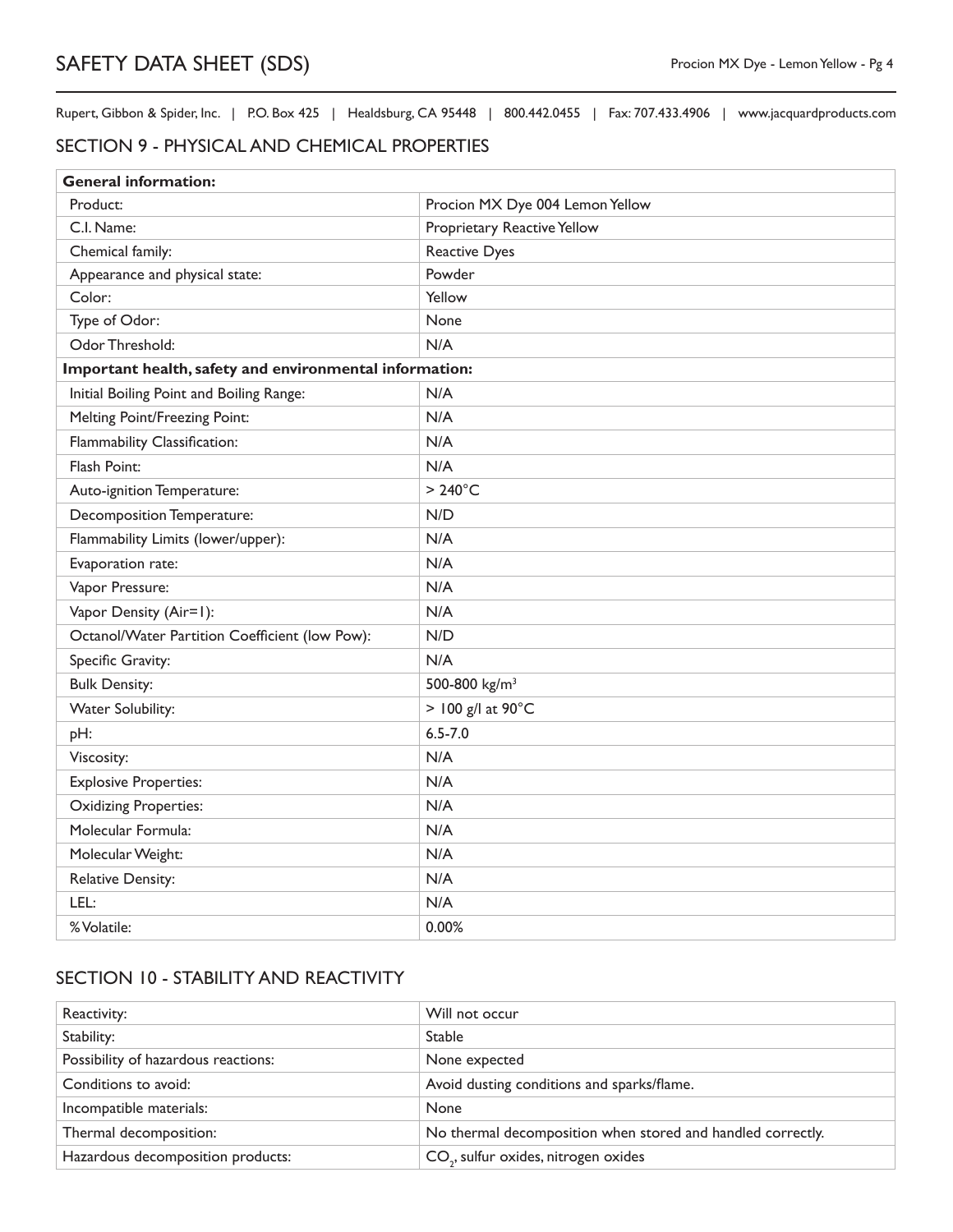#### SECTION 9 - PHYSICAL AND CHEMICAL PROPERTIES

| <b>General information:</b>                             |                                 |  |
|---------------------------------------------------------|---------------------------------|--|
| Product:                                                | Procion MX Dye 004 Lemon Yellow |  |
| C.I. Name:                                              | Proprietary Reactive Yellow     |  |
| Chemical family:                                        | <b>Reactive Dyes</b>            |  |
| Appearance and physical state:                          | Powder                          |  |
| Color:                                                  | Yellow                          |  |
| Type of Odor:                                           | None                            |  |
| Odor Threshold:                                         | N/A                             |  |
| Important health, safety and environmental information: |                                 |  |
| Initial Boiling Point and Boiling Range:                | N/A                             |  |
| Melting Point/Freezing Point:                           | N/A                             |  |
| Flammability Classification:                            | N/A                             |  |
| Flash Point:                                            | N/A                             |  |
| Auto-ignition Temperature:                              | $>240^{\circ}$ C                |  |
| Decomposition Temperature:                              | N/D                             |  |
| Flammability Limits (lower/upper):                      | N/A                             |  |
| Evaporation rate:                                       | N/A                             |  |
| Vapor Pressure:                                         | N/A                             |  |
| Vapor Density (Air=1):                                  | N/A                             |  |
| Octanol/Water Partition Coefficient (low Pow):          | N/D                             |  |
| Specific Gravity:                                       | N/A                             |  |
| <b>Bulk Density:</b>                                    | 500-800 kg/m <sup>3</sup>       |  |
| Water Solubility:                                       | > 100 g/l at 90°C               |  |
| pH:                                                     | $6.5 - 7.0$                     |  |
| Viscosity:                                              | N/A                             |  |
| <b>Explosive Properties:</b>                            | N/A                             |  |
| <b>Oxidizing Properties:</b>                            | N/A                             |  |
| Molecular Formula:                                      | N/A                             |  |
| Molecular Weight:                                       | N/A                             |  |
| Relative Density:                                       | N/A                             |  |
| LEL:                                                    | N/A                             |  |
| % Volatile:                                             | 0.00%                           |  |

# SECTION 10 - STABILITY AND REACTIVITY

| Reactivity:                         | Will not occur                                              |
|-------------------------------------|-------------------------------------------------------------|
| Stability:                          | <b>Stable</b>                                               |
| Possibility of hazardous reactions: | None expected                                               |
| Conditions to avoid:                | Avoid dusting conditions and sparks/flame.                  |
| Incompatible materials:             | <b>None</b>                                                 |
| Thermal decomposition:              | No thermal decomposition when stored and handled correctly. |
| Hazardous decomposition products:   | CO <sub>2</sub> , sulfur oxides, nitrogen oxides            |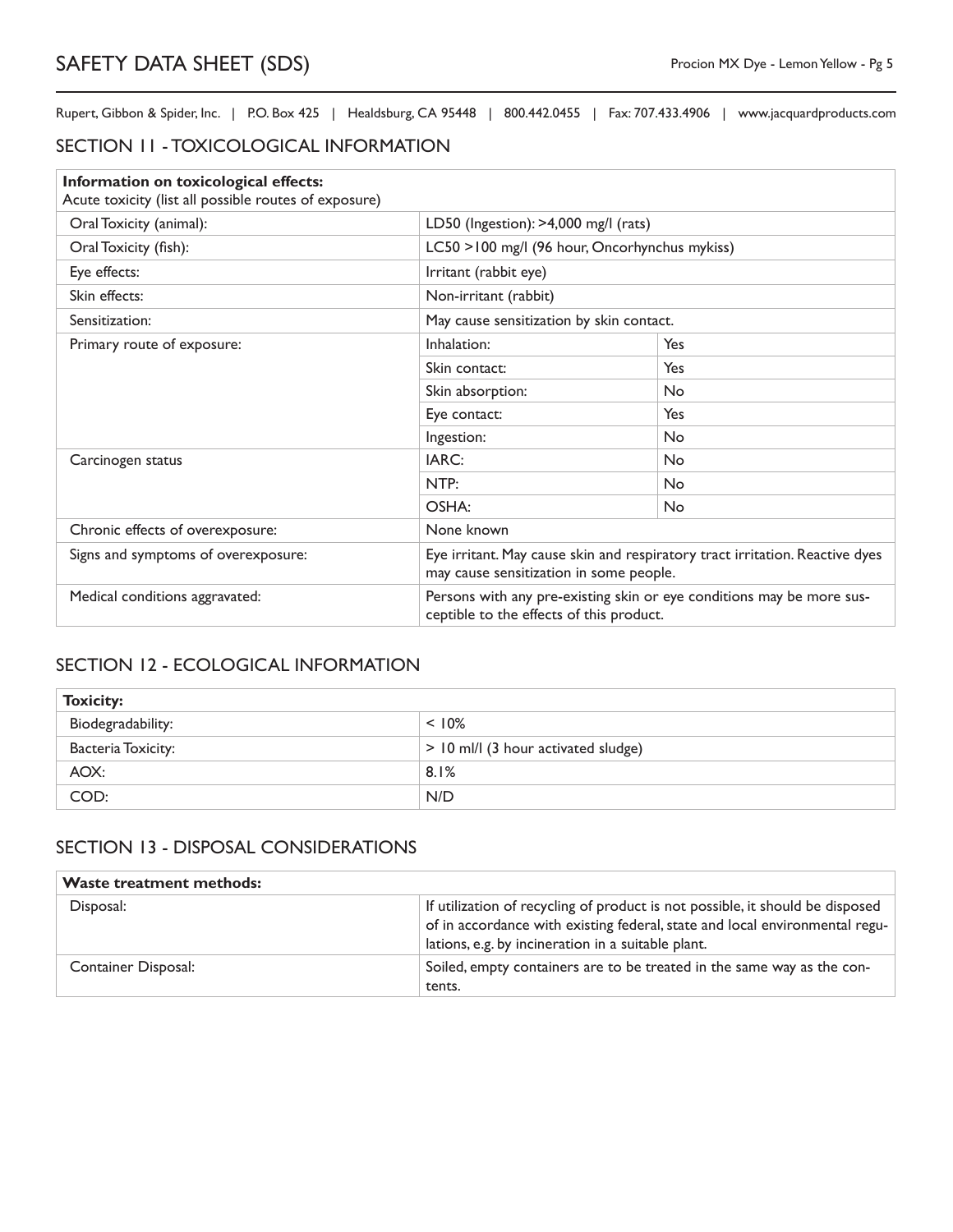## SECTION 11 - TOXICOLOGICAL INFORMATION

| Information on toxicological effects:<br>Acute toxicity (list all possible routes of exposure) |                                                                                                                         |     |
|------------------------------------------------------------------------------------------------|-------------------------------------------------------------------------------------------------------------------------|-----|
| Oral Toxicity (animal):                                                                        | LD50 (Ingestion): >4,000 mg/l (rats)                                                                                    |     |
| Oral Toxicity (fish):                                                                          | LC50 >100 mg/l (96 hour, Oncorhynchus mykiss)                                                                           |     |
| Eye effects:                                                                                   | Irritant (rabbit eye)                                                                                                   |     |
| Skin effects:                                                                                  | Non-irritant (rabbit)                                                                                                   |     |
| Sensitization:                                                                                 | May cause sensitization by skin contact.                                                                                |     |
| Primary route of exposure:                                                                     | Inhalation:                                                                                                             | Yes |
|                                                                                                | Skin contact:                                                                                                           | Yes |
|                                                                                                | Skin absorption:                                                                                                        | No  |
|                                                                                                | Eye contact:                                                                                                            | Yes |
|                                                                                                | Ingestion:                                                                                                              | No  |
| Carcinogen status                                                                              | IARC:                                                                                                                   | No  |
|                                                                                                | NTP:                                                                                                                    | No  |
|                                                                                                | OSHA:                                                                                                                   | No  |
| Chronic effects of overexposure:                                                               | None known                                                                                                              |     |
| Signs and symptoms of overexposure:                                                            | Eye irritant. May cause skin and respiratory tract irritation. Reactive dyes<br>may cause sensitization in some people. |     |
| Medical conditions aggravated:                                                                 | Persons with any pre-existing skin or eye conditions may be more sus-<br>ceptible to the effects of this product.       |     |

### SECTION 12 - ECOLOGICAL INFORMATION

| <b>Toxicity:</b>   |                                       |  |
|--------------------|---------------------------------------|--|
| Biodegradability:  | $< 10\%$                              |  |
| Bacteria Toxicity: | $>$ 10 ml/l (3 hour activated sludge) |  |
| AOX:               | 8.1%                                  |  |
| COD:               | N/D                                   |  |

## SECTION 13 - DISPOSAL CONSIDERATIONS

| <b>Waste treatment methods:</b> |                                                                                                                                                                                                                    |
|---------------------------------|--------------------------------------------------------------------------------------------------------------------------------------------------------------------------------------------------------------------|
| Disposal:                       | If utilization of recycling of product is not possible, it should be disposed<br>of in accordance with existing federal, state and local environmental regu-<br>lations, e.g. by incineration in a suitable plant. |
| Container Disposal:             | Soiled, empty containers are to be treated in the same way as the con-<br>tents.                                                                                                                                   |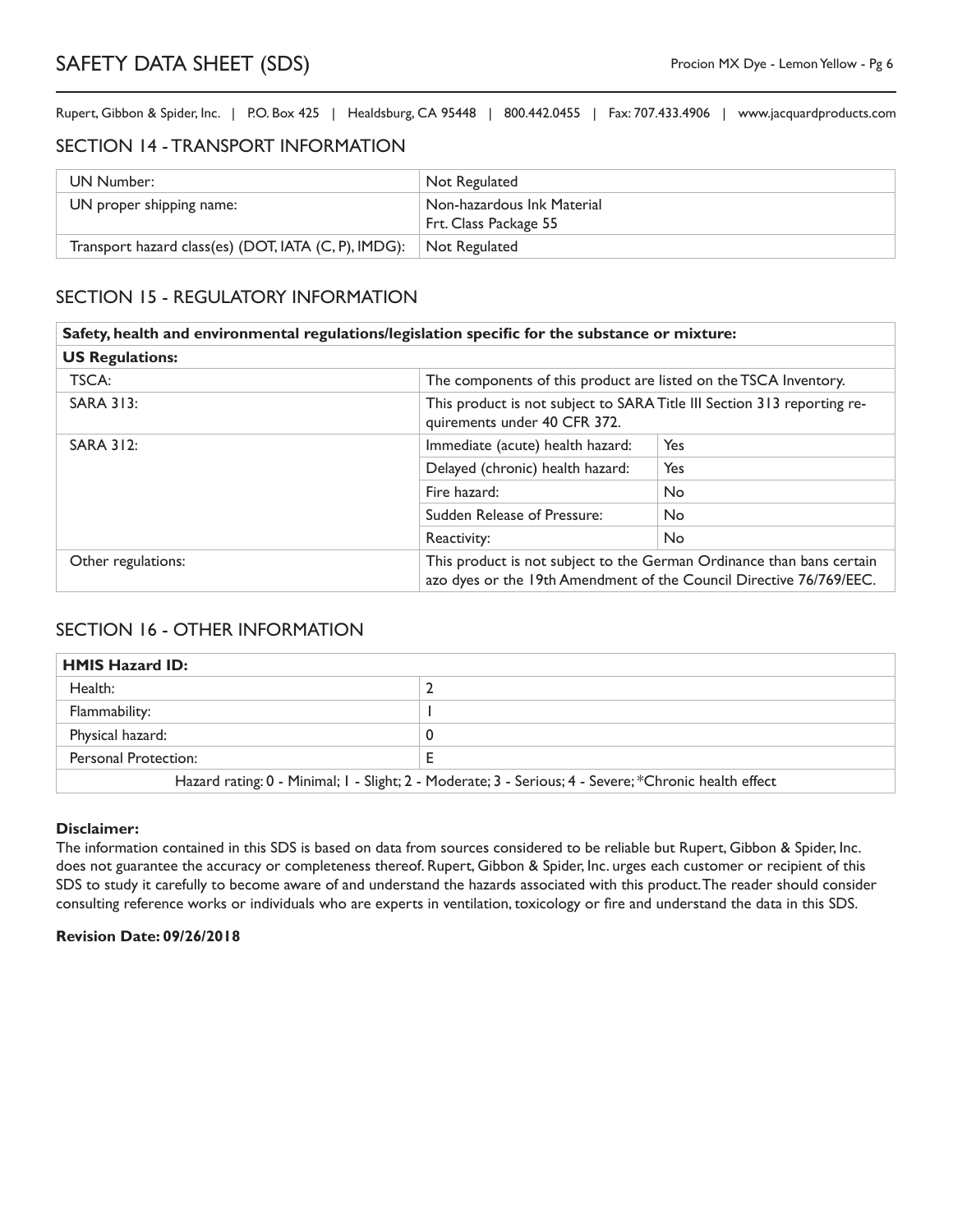#### SECTION 14 - TRANSPORT INFORMATION

| UN Number:                                                         | Not Regulated                                       |
|--------------------------------------------------------------------|-----------------------------------------------------|
| UN proper shipping name:                                           | Non-hazardous Ink Material<br>Frt. Class Package 55 |
| Transport hazard class(es) (DOT, IATA (C, P), IMDG): Not Regulated |                                                     |

## SECTION 15 - REGULATORY INFORMATION

|                        | Safety, health and environmental regulations/legislation specific for the substance or mixture: |                                                                                                                                              |  |
|------------------------|-------------------------------------------------------------------------------------------------|----------------------------------------------------------------------------------------------------------------------------------------------|--|
| <b>US Regulations:</b> |                                                                                                 |                                                                                                                                              |  |
| TSCA:                  |                                                                                                 | The components of this product are listed on the TSCA Inventory.                                                                             |  |
| <b>SARA 313:</b>       | quirements under 40 CFR 372.                                                                    | This product is not subject to SARA Title III Section 313 reporting re-                                                                      |  |
| <b>SARA 312:</b>       | Immediate (acute) health hazard:                                                                | Yes                                                                                                                                          |  |
|                        | Delayed (chronic) health hazard:                                                                | Yes                                                                                                                                          |  |
|                        | Fire hazard:                                                                                    | <b>No</b>                                                                                                                                    |  |
|                        | Sudden Release of Pressure:                                                                     | No.                                                                                                                                          |  |
|                        | Reactivity:                                                                                     | <b>No</b>                                                                                                                                    |  |
| Other regulations:     |                                                                                                 | This product is not subject to the German Ordinance than bans certain<br>azo dyes or the 19th Amendment of the Council Directive 76/769/EEC. |  |

#### SECTION 16 - OTHER INFORMATION

## **HMIS Hazard ID:** Health: 2 Flammability: 1 Physical hazard: 0 Personal Protection: E Hazard rating: 0 - Minimal; 1 - Slight; 2 - Moderate; 3 - Serious; 4 - Severe; \*Chronic health effect

#### **Disclaimer:**

The information contained in this SDS is based on data from sources considered to be reliable but Rupert, Gibbon & Spider, Inc. does not guarantee the accuracy or completeness thereof. Rupert, Gibbon & Spider, Inc. urges each customer or recipient of this SDS to study it carefully to become aware of and understand the hazards associated with this product. The reader should consider consulting reference works or individuals who are experts in ventilation, toxicology or fire and understand the data in this SDS.

#### **Revision Date: 09/26/2018**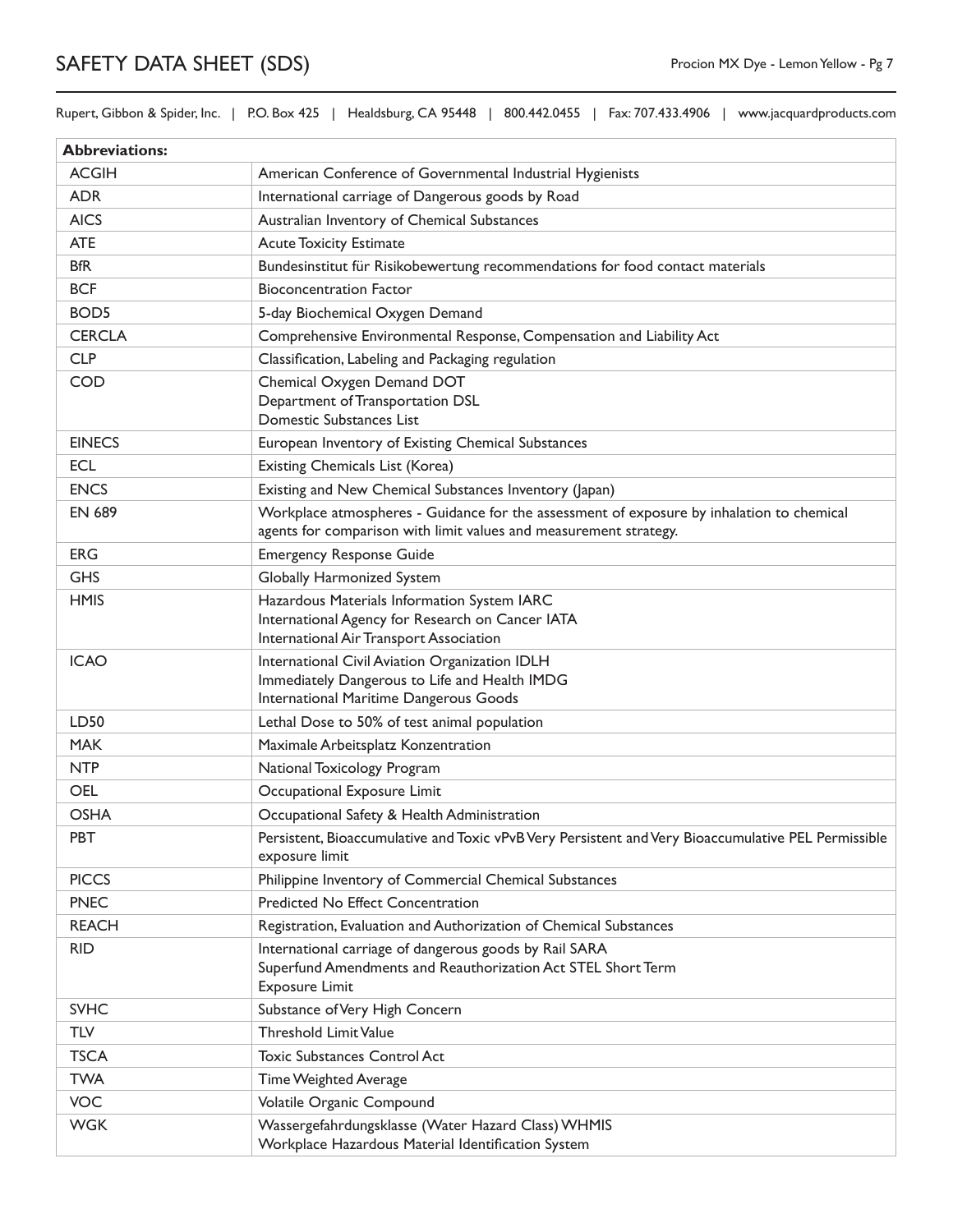Rupert, Gibbon & Spider, Inc. | P.O. Box 425 | Healdsburg, CA 95448 | 800.442.0455 | Fax: 707.433.4906 | www.jacquardproducts.com

| <b>Abbreviations:</b> |                                                                                                                                                                |
|-----------------------|----------------------------------------------------------------------------------------------------------------------------------------------------------------|
| <b>ACGIH</b>          | American Conference of Governmental Industrial Hygienists                                                                                                      |
| <b>ADR</b>            | International carriage of Dangerous goods by Road                                                                                                              |
| <b>AICS</b>           | Australian Inventory of Chemical Substances                                                                                                                    |
| <b>ATE</b>            | <b>Acute Toxicity Estimate</b>                                                                                                                                 |
| <b>BfR</b>            | Bundesinstitut für Risikobewertung recommendations for food contact materials                                                                                  |
| <b>BCF</b>            | <b>Bioconcentration Factor</b>                                                                                                                                 |
| BOD <sub>5</sub>      | 5-day Biochemical Oxygen Demand                                                                                                                                |
| <b>CERCLA</b>         | Comprehensive Environmental Response, Compensation and Liability Act                                                                                           |
| <b>CLP</b>            | Classification, Labeling and Packaging regulation                                                                                                              |
| <b>COD</b>            | Chemical Oxygen Demand DOT<br>Department of Transportation DSL<br>Domestic Substances List                                                                     |
| <b>EINECS</b>         | European Inventory of Existing Chemical Substances                                                                                                             |
| <b>ECL</b>            | Existing Chemicals List (Korea)                                                                                                                                |
| <b>ENCS</b>           | Existing and New Chemical Substances Inventory (Japan)                                                                                                         |
| <b>EN 689</b>         | Workplace atmospheres - Guidance for the assessment of exposure by inhalation to chemical<br>agents for comparison with limit values and measurement strategy. |
| <b>ERG</b>            | <b>Emergency Response Guide</b>                                                                                                                                |
| <b>GHS</b>            | Globally Harmonized System                                                                                                                                     |
| <b>HMIS</b>           | Hazardous Materials Information System IARC<br>International Agency for Research on Cancer IATA<br>International Air Transport Association                     |
| <b>ICAO</b>           | International Civil Aviation Organization IDLH<br>Immediately Dangerous to Life and Health IMDG<br>International Maritime Dangerous Goods                      |
| LD50                  | Lethal Dose to 50% of test animal population                                                                                                                   |
| <b>MAK</b>            | Maximale Arbeitsplatz Konzentration                                                                                                                            |
| <b>NTP</b>            | National Toxicology Program                                                                                                                                    |
| <b>OEL</b>            | Occupational Exposure Limit                                                                                                                                    |
| <b>OSHA</b>           | Occupational Safety & Health Administration                                                                                                                    |
| <b>PBT</b>            | Persistent, Bioaccumulative and Toxic vPvB Very Persistent and Very Bioaccumulative PEL Permissible<br>exposure limit                                          |
| <b>PICCS</b>          | Philippine Inventory of Commercial Chemical Substances                                                                                                         |
| <b>PNEC</b>           | Predicted No Effect Concentration                                                                                                                              |
| <b>REACH</b>          | Registration, Evaluation and Authorization of Chemical Substances                                                                                              |
| <b>RID</b>            | International carriage of dangerous goods by Rail SARA<br>Superfund Amendments and Reauthorization Act STEL Short Term<br><b>Exposure Limit</b>                |
| <b>SVHC</b>           | Substance of Very High Concern                                                                                                                                 |
| <b>TLV</b>            | <b>Threshold Limit Value</b>                                                                                                                                   |
| <b>TSCA</b>           | <b>Toxic Substances Control Act</b>                                                                                                                            |
| <b>TWA</b>            | Time Weighted Average                                                                                                                                          |
| <b>VOC</b>            | Volatile Organic Compound                                                                                                                                      |
| <b>WGK</b>            | Wassergefahrdungsklasse (Water Hazard Class) WHMIS<br>Workplace Hazardous Material Identification System                                                       |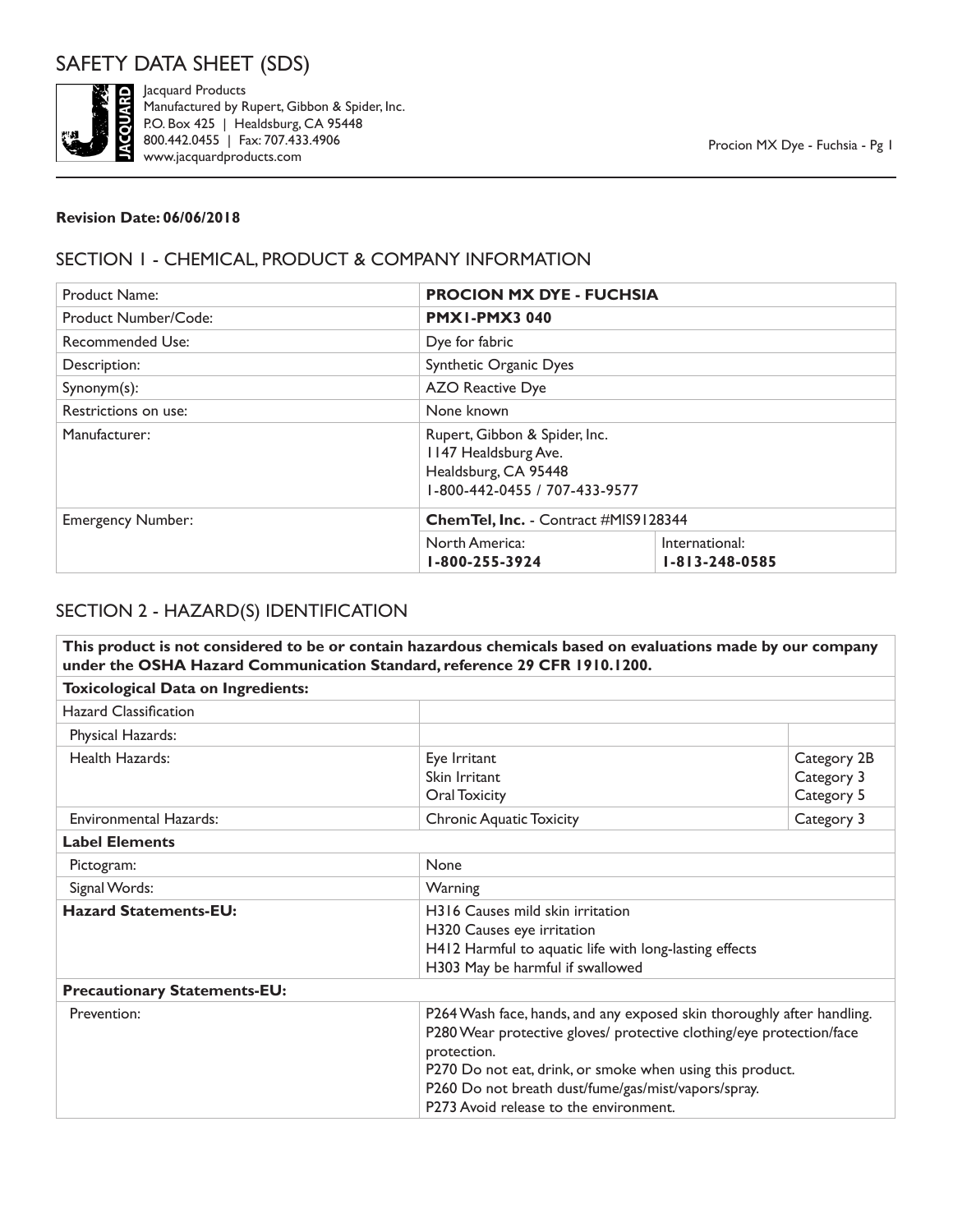

Jacquard Products Manufactured by Rupert, Gibbon & Spider, Inc. P.O. Box 425 | Healdsburg, CA 95448 800.442.0455 | Fax: 707.433.4906 www.jacquardproducts.com

#### **Revision Date: 06/06/2018**

### SECTION 1 - CHEMICAL, PRODUCT & COMPANY INFORMATION

| Product Name:            | <b>PROCION MX DYE - FUCHSIA</b>              |                                                                |  |
|--------------------------|----------------------------------------------|----------------------------------------------------------------|--|
| Product Number/Code:     | <b>PMX1-PMX3 040</b>                         |                                                                |  |
| Recommended Use:         | Dye for fabric                               |                                                                |  |
| Description:             | Synthetic Organic Dyes                       |                                                                |  |
| $Symonym(s)$ :           | <b>AZO Reactive Dye</b>                      |                                                                |  |
| Restrictions on use:     | None known                                   |                                                                |  |
| Manufacturer:            | 1147 Healdsburg Ave.<br>Healdsburg, CA 95448 | Rupert, Gibbon & Spider, Inc.<br>1-800-442-0455 / 707-433-9577 |  |
| <b>Emergency Number:</b> | Chem Tel, Inc. - Contract #MIS9128344        |                                                                |  |
|                          | North America:<br>1-800-255-3924             | International:<br>$1 - 813 - 248 - 0585$                       |  |

# SECTION 2 - HAZARD(S) IDENTIFICATION

|                                           | This product is not considered to be or contain hazardous chemicals based on evaluations made by our company<br>under the OSHA Hazard Communication Standard, reference 29 CFR 1910.1200. |                                                                                                                                                                                                                                                                    |  |
|-------------------------------------------|-------------------------------------------------------------------------------------------------------------------------------------------------------------------------------------------|--------------------------------------------------------------------------------------------------------------------------------------------------------------------------------------------------------------------------------------------------------------------|--|
| <b>Toxicological Data on Ingredients:</b> |                                                                                                                                                                                           |                                                                                                                                                                                                                                                                    |  |
| <b>Hazard Classification</b>              |                                                                                                                                                                                           |                                                                                                                                                                                                                                                                    |  |
| Physical Hazards:                         |                                                                                                                                                                                           |                                                                                                                                                                                                                                                                    |  |
| Health Hazards:                           | Eye Irritant<br>Skin Irritant<br><b>Oral Toxicity</b>                                                                                                                                     | Category 2B<br>Category 3<br>Category 5                                                                                                                                                                                                                            |  |
| <b>Environmental Hazards:</b>             | <b>Chronic Aquatic Toxicity</b>                                                                                                                                                           | Category 3                                                                                                                                                                                                                                                         |  |
| <b>Label Elements</b>                     |                                                                                                                                                                                           |                                                                                                                                                                                                                                                                    |  |
| Pictogram:                                | None                                                                                                                                                                                      |                                                                                                                                                                                                                                                                    |  |
| Signal Words:                             | Warning                                                                                                                                                                                   |                                                                                                                                                                                                                                                                    |  |
| <b>Hazard Statements-EU:</b>              | H316 Causes mild skin irritation<br>H320 Causes eye irritation<br>H303 May be harmful if swallowed                                                                                        | H412 Harmful to aquatic life with long-lasting effects                                                                                                                                                                                                             |  |
| <b>Precautionary Statements-EU:</b>       |                                                                                                                                                                                           |                                                                                                                                                                                                                                                                    |  |
| Prevention:                               | protection.<br>P273 Avoid release to the environment.                                                                                                                                     | P264 Wash face, hands, and any exposed skin thoroughly after handling.<br>P280 Wear protective gloves/ protective clothing/eye protection/face<br>P270 Do not eat, drink, or smoke when using this product.<br>P260 Do not breath dust/fume/gas/mist/vapors/spray. |  |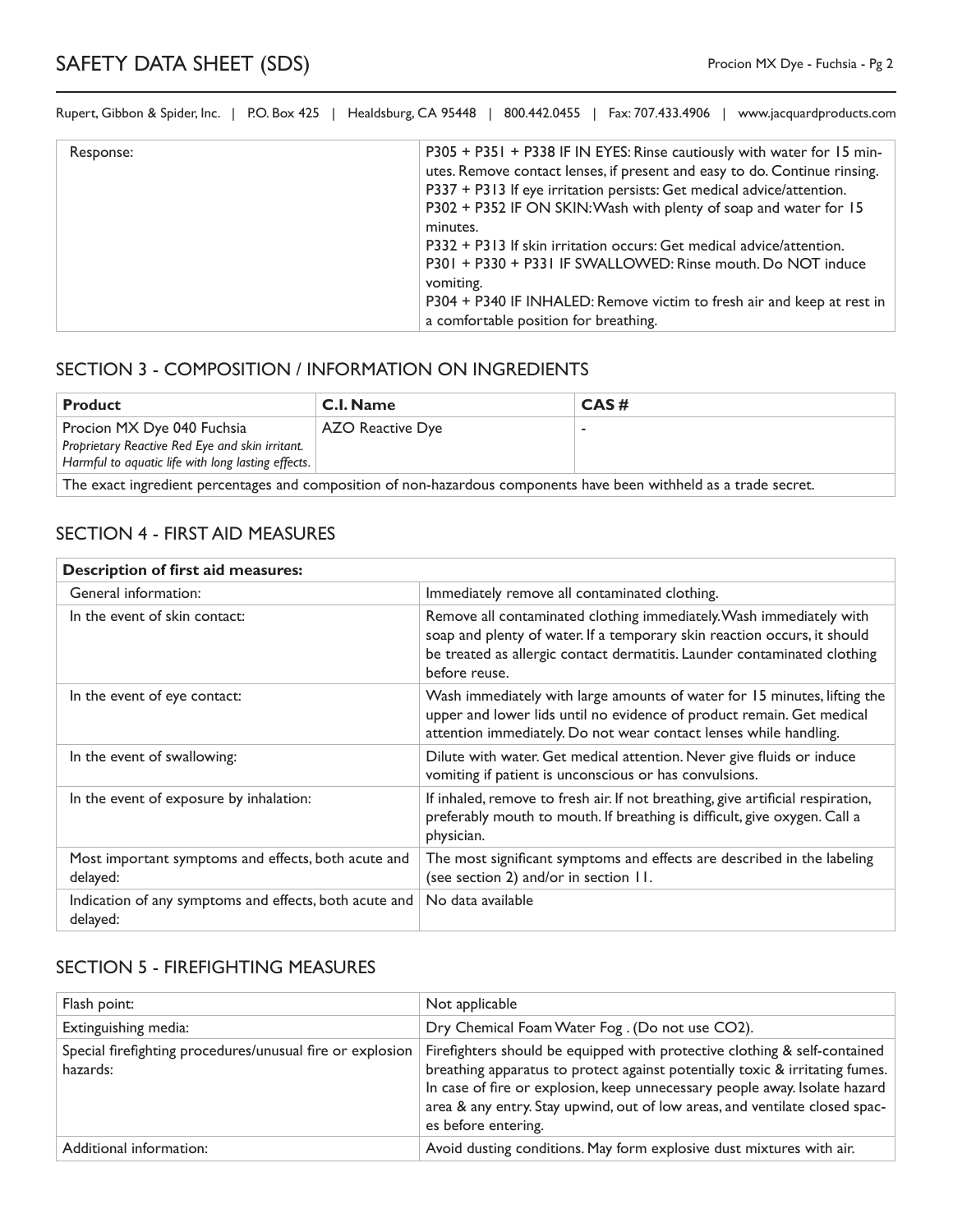| Response: | P305 + P351 + P338 IF IN EYES: Rinse cautiously with water for 15 min-<br>utes. Remove contact lenses, if present and easy to do. Continue rinsing.<br>P337 + P313 If eye irritation persists: Get medical advice/attention.<br>P302 + P352 IF ON SKIN: Wash with plenty of soap and water for 15<br>minutes.<br>P332 + P313 If skin irritation occurs: Get medical advice/attention.<br>P301 + P330 + P331 IF SWALLOWED: Rinse mouth. Do NOT induce<br>vomiting.<br>P304 + P340 IF INHALED: Remove victim to fresh air and keep at rest in<br>a comfortable position for breathing. |
|-----------|--------------------------------------------------------------------------------------------------------------------------------------------------------------------------------------------------------------------------------------------------------------------------------------------------------------------------------------------------------------------------------------------------------------------------------------------------------------------------------------------------------------------------------------------------------------------------------------|

## SECTION 3 - COMPOSITION / INFORMATION ON INGREDIENTS

| <b>Product</b>                                                                                                     | C.I. Name        | CAS# |
|--------------------------------------------------------------------------------------------------------------------|------------------|------|
| Procion MX Dye 040 Fuchsia                                                                                         | AZO Reactive Dye |      |
| Proprietary Reactive Red Eye and skin irritant.                                                                    |                  |      |
| Harmful to aquatic life with long lasting effects.                                                                 |                  |      |
| The exact ingredient percentages and composition of non-hazardous components have been withheld as a trade secret. |                  |      |

#### SECTION 4 - FIRST AID MEASURES

| <b>Description of first aid measures:</b>                          |                                                                                                                                                                                                                                              |  |
|--------------------------------------------------------------------|----------------------------------------------------------------------------------------------------------------------------------------------------------------------------------------------------------------------------------------------|--|
| General information:                                               | Immediately remove all contaminated clothing.                                                                                                                                                                                                |  |
| In the event of skin contact:                                      | Remove all contaminated clothing immediately. Wash immediately with<br>soap and plenty of water. If a temporary skin reaction occurs, it should<br>be treated as allergic contact dermatitis. Launder contaminated clothing<br>before reuse. |  |
| In the event of eye contact:                                       | Wash immediately with large amounts of water for 15 minutes, lifting the<br>upper and lower lids until no evidence of product remain. Get medical<br>attention immediately. Do not wear contact lenses while handling.                       |  |
| In the event of swallowing:                                        | Dilute with water. Get medical attention. Never give fluids or induce<br>vomiting if patient is unconscious or has convulsions.                                                                                                              |  |
| In the event of exposure by inhalation:                            | If inhaled, remove to fresh air. If not breathing, give artificial respiration,<br>preferably mouth to mouth. If breathing is difficult, give oxygen. Call a<br>physician.                                                                   |  |
| Most important symptoms and effects, both acute and<br>delayed:    | The most significant symptoms and effects are described in the labeling<br>(see section 2) and/or in section 11.                                                                                                                             |  |
| Indication of any symptoms and effects, both acute and<br>delayed: | No data available                                                                                                                                                                                                                            |  |

### SECTION 5 - FIREFIGHTING MEASURES

| Flash point:                                                          | Not applicable                                                                                                                                                                                                                                                                                                                                |
|-----------------------------------------------------------------------|-----------------------------------------------------------------------------------------------------------------------------------------------------------------------------------------------------------------------------------------------------------------------------------------------------------------------------------------------|
| Extinguishing media:                                                  | Dry Chemical Foam Water Fog. (Do not use CO2).                                                                                                                                                                                                                                                                                                |
| Special firefighting procedures/unusual fire or explosion<br>hazards: | Firefighters should be equipped with protective clothing & self-contained<br>breathing apparatus to protect against potentially toxic & irritating fumes.<br>In case of fire or explosion, keep unnecessary people away. Isolate hazard<br>area & any entry. Stay upwind, out of low areas, and ventilate closed spac-<br>es before entering. |
| Additional information:                                               | Avoid dusting conditions. May form explosive dust mixtures with air.                                                                                                                                                                                                                                                                          |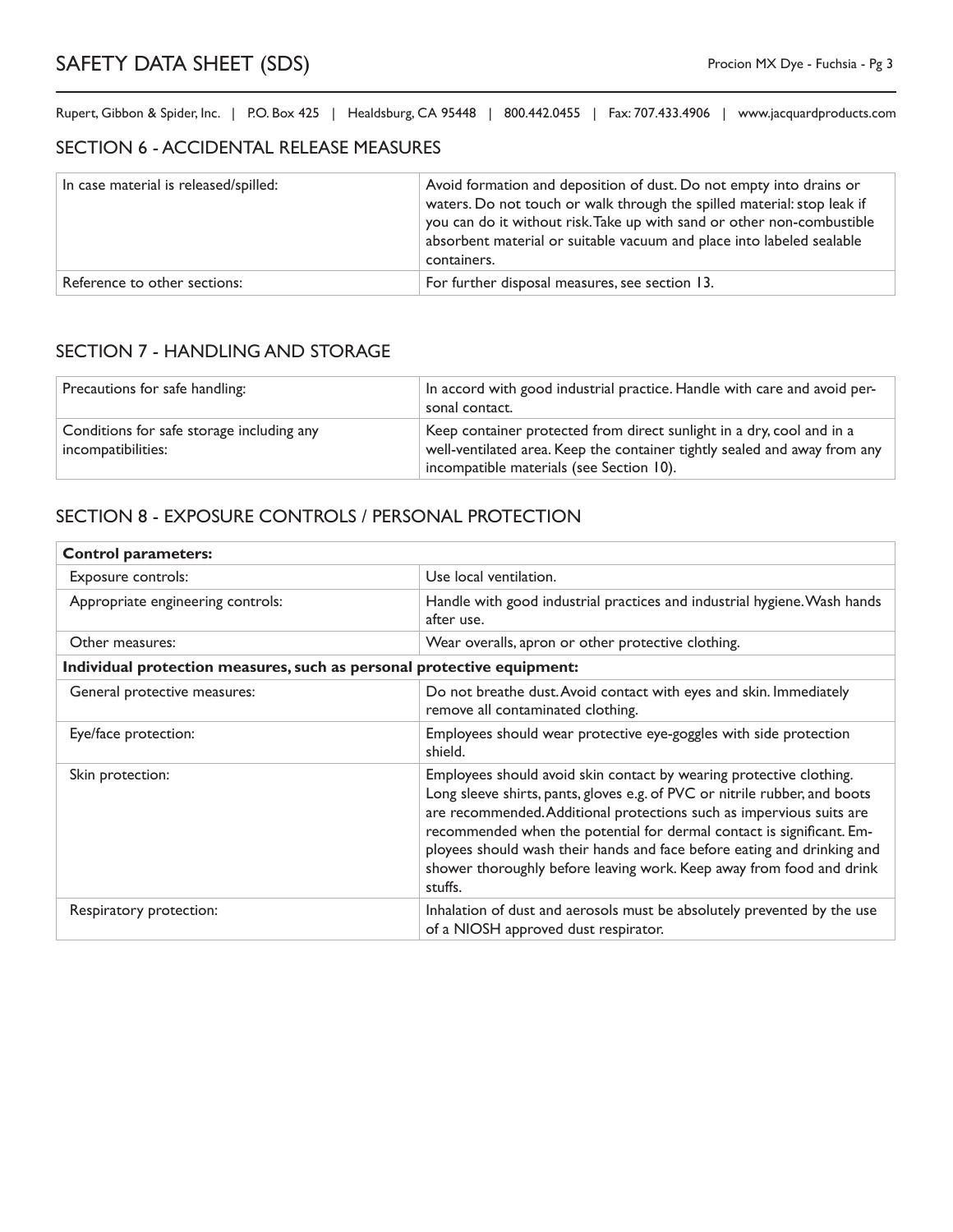#### SECTION 6 - ACCIDENTAL RELEASE MEASURES

| In case material is released/spilled: | Avoid formation and deposition of dust. Do not empty into drains or<br>waters. Do not touch or walk through the spilled material: stop leak if<br>you can do it without risk. Take up with sand or other non-combustible<br>absorbent material or suitable vacuum and place into labeled sealable<br>containers. |
|---------------------------------------|------------------------------------------------------------------------------------------------------------------------------------------------------------------------------------------------------------------------------------------------------------------------------------------------------------------|
| Reference to other sections:          | For further disposal measures, see section 13.                                                                                                                                                                                                                                                                   |

### SECTION 7 - HANDLING AND STORAGE

| Precautions for safe handling:                                  | In accord with good industrial practice. Handle with care and avoid per-<br>sonal contact.                                                                                                     |
|-----------------------------------------------------------------|------------------------------------------------------------------------------------------------------------------------------------------------------------------------------------------------|
| Conditions for safe storage including any<br>incompatibilities: | Keep container protected from direct sunlight in a dry, cool and in a<br>well-ventilated area. Keep the container tightly sealed and away from any<br>incompatible materials (see Section 10). |

## SECTION 8 - EXPOSURE CONTROLS / PERSONAL PROTECTION

| <b>Control parameters:</b>                                             |                                                                                                                                                                                                                                                                                                                                                                                                                                                                  |  |
|------------------------------------------------------------------------|------------------------------------------------------------------------------------------------------------------------------------------------------------------------------------------------------------------------------------------------------------------------------------------------------------------------------------------------------------------------------------------------------------------------------------------------------------------|--|
| Exposure controls:                                                     | Use local ventilation.                                                                                                                                                                                                                                                                                                                                                                                                                                           |  |
| Appropriate engineering controls:                                      | Handle with good industrial practices and industrial hygiene. Wash hands<br>after use.                                                                                                                                                                                                                                                                                                                                                                           |  |
| Other measures:                                                        | Wear overalls, apron or other protective clothing.                                                                                                                                                                                                                                                                                                                                                                                                               |  |
| Individual protection measures, such as personal protective equipment: |                                                                                                                                                                                                                                                                                                                                                                                                                                                                  |  |
| General protective measures:                                           | Do not breathe dust. Avoid contact with eyes and skin. Immediately<br>remove all contaminated clothing.                                                                                                                                                                                                                                                                                                                                                          |  |
| Eye/face protection:                                                   | Employees should wear protective eye-goggles with side protection<br>shield.                                                                                                                                                                                                                                                                                                                                                                                     |  |
| Skin protection:                                                       | Employees should avoid skin contact by wearing protective clothing.<br>Long sleeve shirts, pants, gloves e.g. of PVC or nitrile rubber, and boots<br>are recommended. Additional protections such as impervious suits are<br>recommended when the potential for dermal contact is significant. Em-<br>ployees should wash their hands and face before eating and drinking and<br>shower thoroughly before leaving work. Keep away from food and drink<br>stuffs. |  |
| Respiratory protection:                                                | Inhalation of dust and aerosols must be absolutely prevented by the use<br>of a NIOSH approved dust respirator.                                                                                                                                                                                                                                                                                                                                                  |  |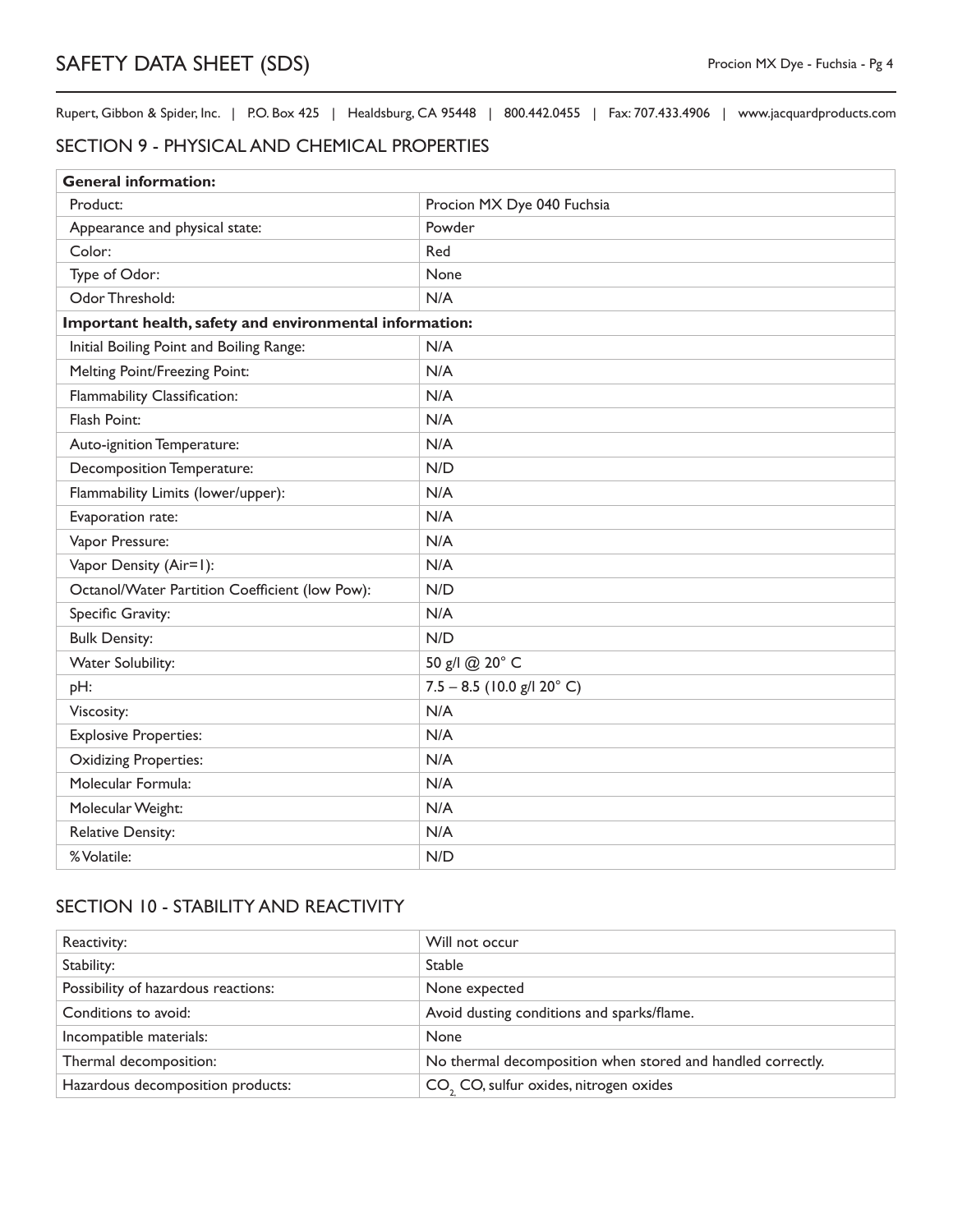#### SECTION 9 - PHYSICAL AND CHEMICAL PROPERTIES

| <b>General information:</b>                             |                              |  |
|---------------------------------------------------------|------------------------------|--|
| Product:                                                | Procion MX Dye 040 Fuchsia   |  |
| Appearance and physical state:                          | Powder                       |  |
| Color:                                                  | Red                          |  |
| Type of Odor:                                           | None                         |  |
| Odor Threshold:                                         | N/A                          |  |
| Important health, safety and environmental information: |                              |  |
| Initial Boiling Point and Boiling Range:                | N/A                          |  |
| Melting Point/Freezing Point:                           | N/A                          |  |
| Flammability Classification:                            | N/A                          |  |
| Flash Point:                                            | N/A                          |  |
| Auto-ignition Temperature:                              | N/A                          |  |
| Decomposition Temperature:                              | N/D                          |  |
| Flammability Limits (lower/upper):                      | N/A                          |  |
| Evaporation rate:                                       | N/A                          |  |
| Vapor Pressure:                                         | N/A                          |  |
| Vapor Density (Air=1):                                  | N/A                          |  |
| Octanol/Water Partition Coefficient (low Pow):          | N/D                          |  |
| Specific Gravity:                                       | N/A                          |  |
| <b>Bulk Density:</b>                                    | N/D                          |  |
| Water Solubility:                                       | 50 g/l @ 20° C               |  |
| pH:                                                     | $7.5 - 8.5$ (10.0 g/l 20° C) |  |
| Viscosity:                                              | N/A                          |  |
| <b>Explosive Properties:</b>                            | N/A                          |  |
| <b>Oxidizing Properties:</b>                            | N/A                          |  |
| Molecular Formula:                                      | N/A                          |  |
| Molecular Weight:                                       | N/A                          |  |
| <b>Relative Density:</b>                                | N/A                          |  |
| % Volatile:                                             | N/D                          |  |

# SECTION 10 - STABILITY AND REACTIVITY

| Reactivity:                         | Will not occur                                              |
|-------------------------------------|-------------------------------------------------------------|
| Stability:                          | <b>Stable</b>                                               |
| Possibility of hazardous reactions: | None expected                                               |
| Conditions to avoid:                | Avoid dusting conditions and sparks/flame.                  |
| Incompatible materials:             | None                                                        |
| Thermal decomposition:              | No thermal decomposition when stored and handled correctly. |
| Hazardous decomposition products:   | CO <sub>2</sub> CO, sulfur oxides, nitrogen oxides          |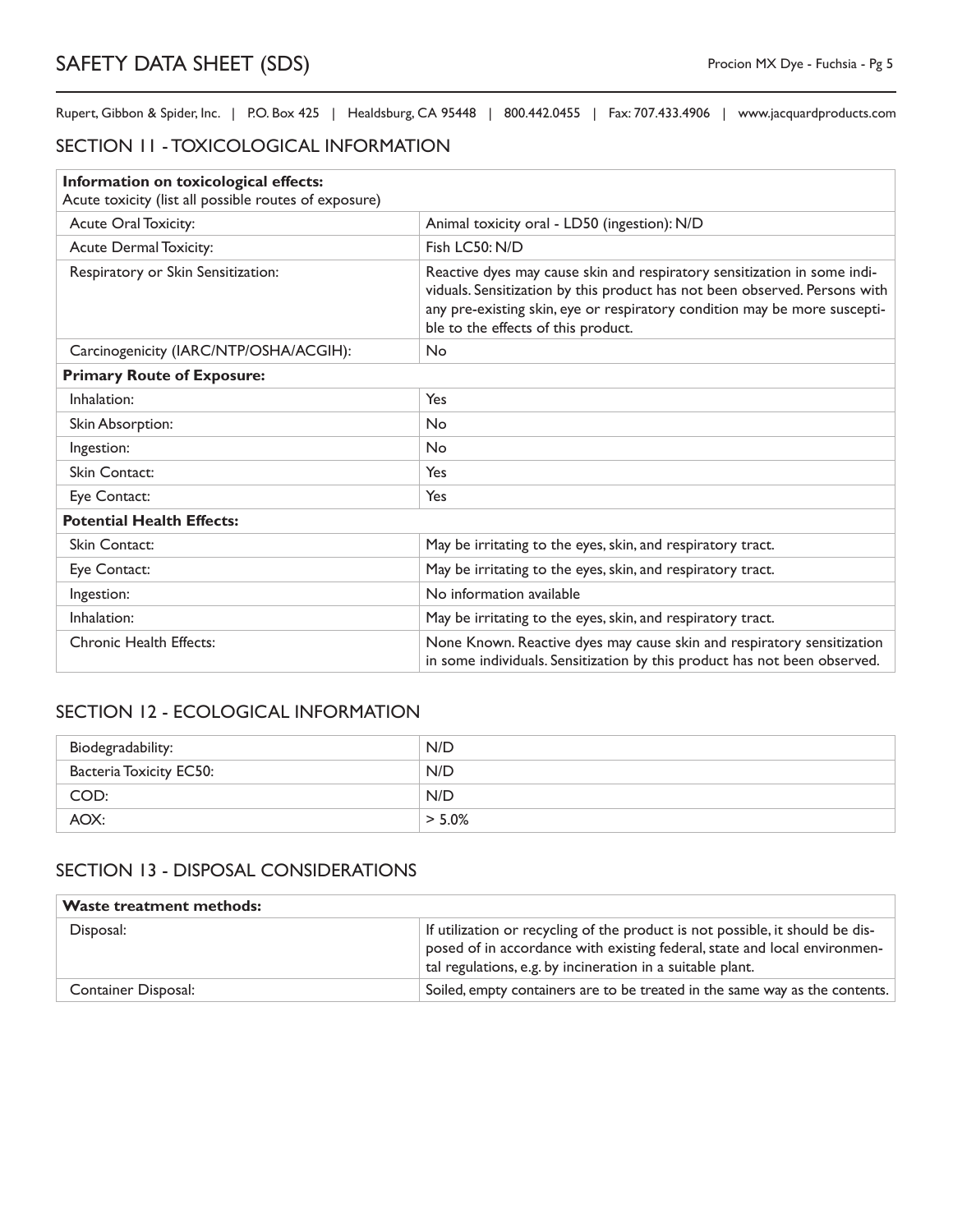## SECTION 11 - TOXICOLOGICAL INFORMATION

| Information on toxicological effects:                 |                                                                                                                                                                                                                                                                            |  |
|-------------------------------------------------------|----------------------------------------------------------------------------------------------------------------------------------------------------------------------------------------------------------------------------------------------------------------------------|--|
| Acute toxicity (list all possible routes of exposure) |                                                                                                                                                                                                                                                                            |  |
| Acute Oral Toxicity:                                  | Animal toxicity oral - LD50 (ingestion): N/D                                                                                                                                                                                                                               |  |
| <b>Acute Dermal Toxicity:</b>                         | Fish LC50: N/D                                                                                                                                                                                                                                                             |  |
| Respiratory or Skin Sensitization:                    | Reactive dyes may cause skin and respiratory sensitization in some indi-<br>viduals. Sensitization by this product has not been observed. Persons with<br>any pre-existing skin, eye or respiratory condition may be more suscepti-<br>ble to the effects of this product. |  |
| Carcinogenicity (IARC/NTP/OSHA/ACGIH):                | <b>No</b>                                                                                                                                                                                                                                                                  |  |
| <b>Primary Route of Exposure:</b>                     |                                                                                                                                                                                                                                                                            |  |
| Inhalation:                                           | Yes                                                                                                                                                                                                                                                                        |  |
| Skin Absorption:                                      | <b>No</b>                                                                                                                                                                                                                                                                  |  |
| Ingestion:                                            | <b>No</b>                                                                                                                                                                                                                                                                  |  |
| Skin Contact:                                         | Yes                                                                                                                                                                                                                                                                        |  |
| Eye Contact:                                          | Yes                                                                                                                                                                                                                                                                        |  |
| <b>Potential Health Effects:</b>                      |                                                                                                                                                                                                                                                                            |  |
| Skin Contact:                                         | May be irritating to the eyes, skin, and respiratory tract.                                                                                                                                                                                                                |  |
| Eye Contact:                                          | May be irritating to the eyes, skin, and respiratory tract.                                                                                                                                                                                                                |  |
| Ingestion:                                            | No information available                                                                                                                                                                                                                                                   |  |
| Inhalation:                                           | May be irritating to the eyes, skin, and respiratory tract.                                                                                                                                                                                                                |  |
| Chronic Health Effects:                               | None Known. Reactive dyes may cause skin and respiratory sensitization<br>in some individuals. Sensitization by this product has not been observed.                                                                                                                        |  |

# SECTION 12 - ECOLOGICAL INFORMATION

| Biodegradability:              | N/D       |
|--------------------------------|-----------|
| <b>Bacteria Toxicity EC50:</b> | N/D       |
| COD:                           | N/D       |
| AOX:                           | $> 5.0\%$ |

# SECTION 13 - DISPOSAL CONSIDERATIONS

| <b>Waste treatment methods:</b> |                                                                                                                                                                                                                          |
|---------------------------------|--------------------------------------------------------------------------------------------------------------------------------------------------------------------------------------------------------------------------|
| Disposal:                       | If utilization or recycling of the product is not possible, it should be dis-<br>posed of in accordance with existing federal, state and local environmen-<br>tal regulations, e.g. by incineration in a suitable plant. |
| <b>Container Disposal:</b>      | Soiled, empty containers are to be treated in the same way as the contents.                                                                                                                                              |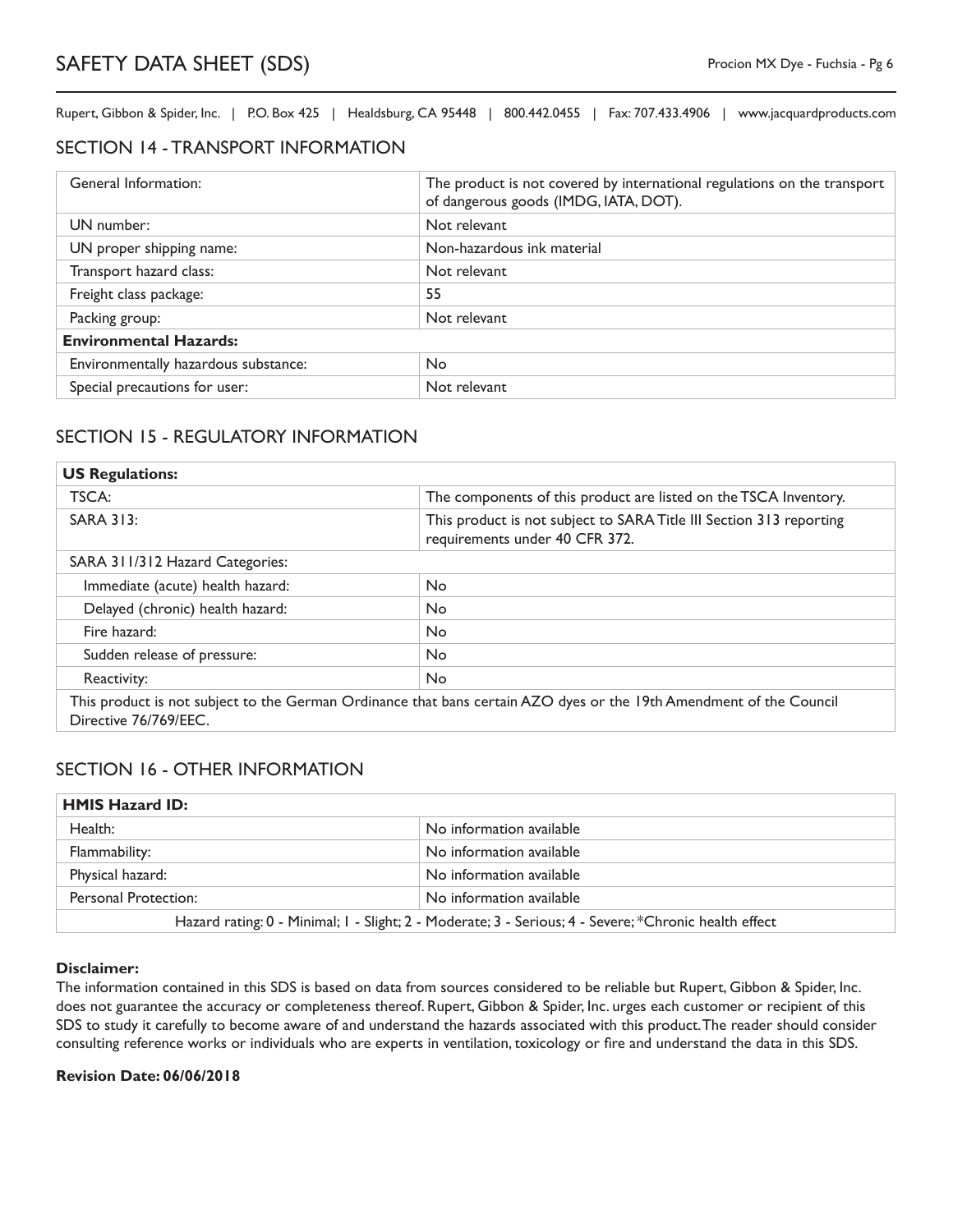#### SECTION 14 - TRANSPORT INFORMATION

| General Information:                 | The product is not covered by international regulations on the transport<br>of dangerous goods (IMDG, IATA, DOT). |
|--------------------------------------|-------------------------------------------------------------------------------------------------------------------|
| UN number:                           | Not relevant                                                                                                      |
| UN proper shipping name:             | Non-hazardous ink material                                                                                        |
| Transport hazard class:              | Not relevant                                                                                                      |
| Freight class package:               | 55                                                                                                                |
| Packing group:                       | Not relevant                                                                                                      |
| <b>Environmental Hazards:</b>        |                                                                                                                   |
| Environmentally hazardous substance: | N <sub>o</sub>                                                                                                    |
| Special precautions for user:        | Not relevant                                                                                                      |

### SECTION 15 - REGULATORY INFORMATION

| <b>US Regulations:</b>                                                                                                                       |                                                                                                       |  |
|----------------------------------------------------------------------------------------------------------------------------------------------|-------------------------------------------------------------------------------------------------------|--|
| TSCA:                                                                                                                                        | The components of this product are listed on the TSCA Inventory.                                      |  |
| <b>SARA 313:</b>                                                                                                                             | This product is not subject to SARA Title III Section 313 reporting<br>requirements under 40 CFR 372. |  |
| SARA 311/312 Hazard Categories:                                                                                                              |                                                                                                       |  |
| Immediate (acute) health hazard:                                                                                                             | <b>No</b>                                                                                             |  |
| Delayed (chronic) health hazard:                                                                                                             | No.                                                                                                   |  |
| Fire hazard:                                                                                                                                 | <b>No</b>                                                                                             |  |
| Sudden release of pressure:                                                                                                                  | No.                                                                                                   |  |
| Reactivity:                                                                                                                                  | <b>No</b>                                                                                             |  |
| This product is not subject to the German Ordinance that bans certain AZO dyes or the 19th Amendment of the Council<br>Directive 76/769/EEC. |                                                                                                       |  |

### SECTION 16 - OTHER INFORMATION

| <b>HMIS Hazard ID:</b>                                                                                |                          |
|-------------------------------------------------------------------------------------------------------|--------------------------|
| Health:                                                                                               | No information available |
| Flammability:                                                                                         | No information available |
| Physical hazard:                                                                                      | No information available |
| Personal Protection:                                                                                  | No information available |
| Hazard rating: 0 - Minimal; 1 - Slight; 2 - Moderate; 3 - Serious; 4 - Severe; *Chronic health effect |                          |

#### **Disclaimer:**

The information contained in this SDS is based on data from sources considered to be reliable but Rupert, Gibbon & Spider, Inc. does not guarantee the accuracy or completeness thereof. Rupert, Gibbon & Spider, Inc. urges each customer or recipient of this SDS to study it carefully to become aware of and understand the hazards associated with this product. The reader should consider consulting reference works or individuals who are experts in ventilation, toxicology or fire and understand the data in this SDS.

#### **Revision Date: 06/06/2018**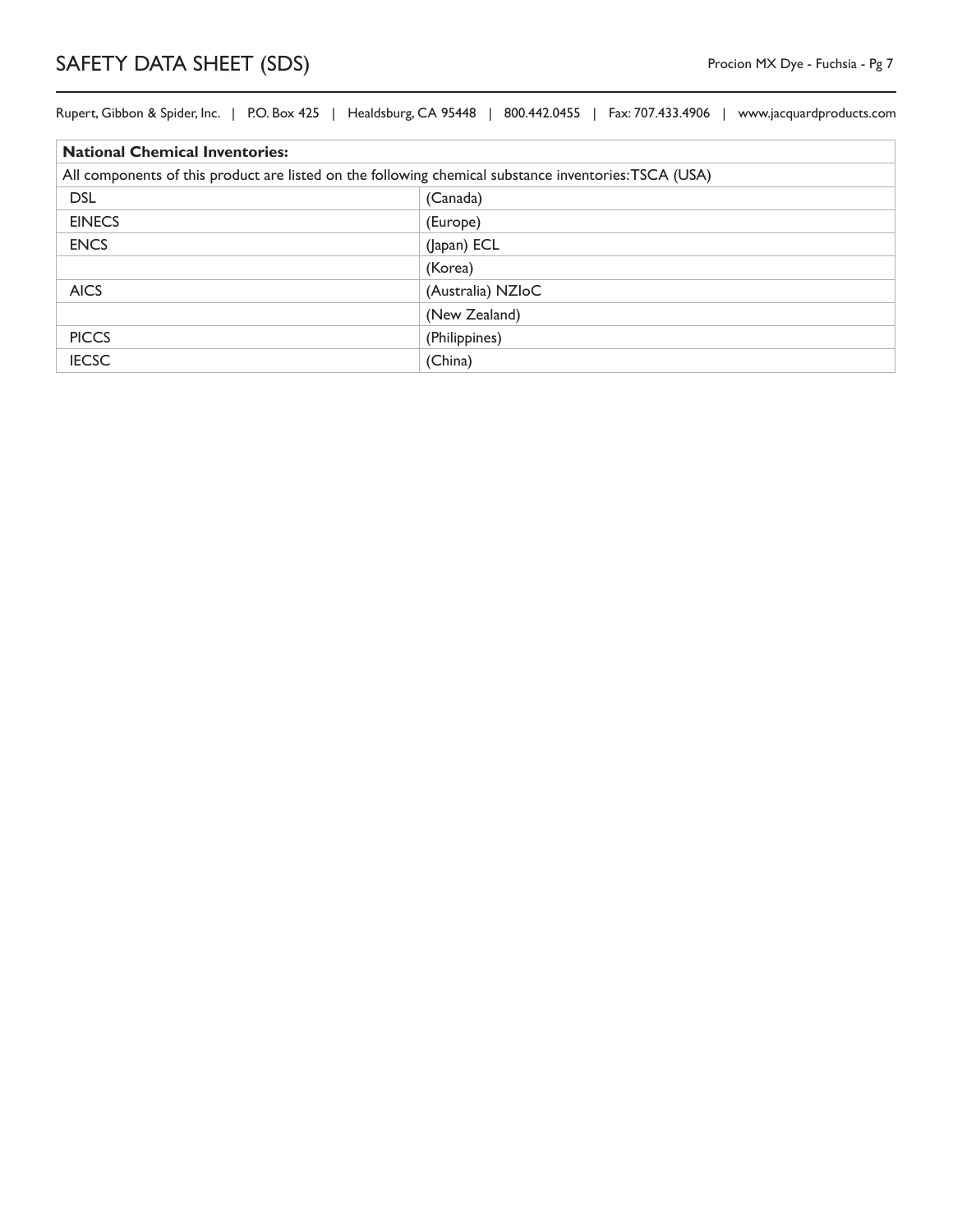| <b>National Chemical Inventories:</b>                                                                 |                   |
|-------------------------------------------------------------------------------------------------------|-------------------|
| All components of this product are listed on the following chemical substance inventories: TSCA (USA) |                   |
| <b>DSL</b>                                                                                            | (Canada)          |
| <b>EINECS</b>                                                                                         | (Europe)          |
| <b>ENCS</b>                                                                                           | (Japan) ECL       |
|                                                                                                       | (Korea)           |
| <b>AICS</b>                                                                                           | (Australia) NZIoC |
|                                                                                                       | (New Zealand)     |
| <b>PICCS</b>                                                                                          | (Philippines)     |
| <b>IECSC</b>                                                                                          | (China)           |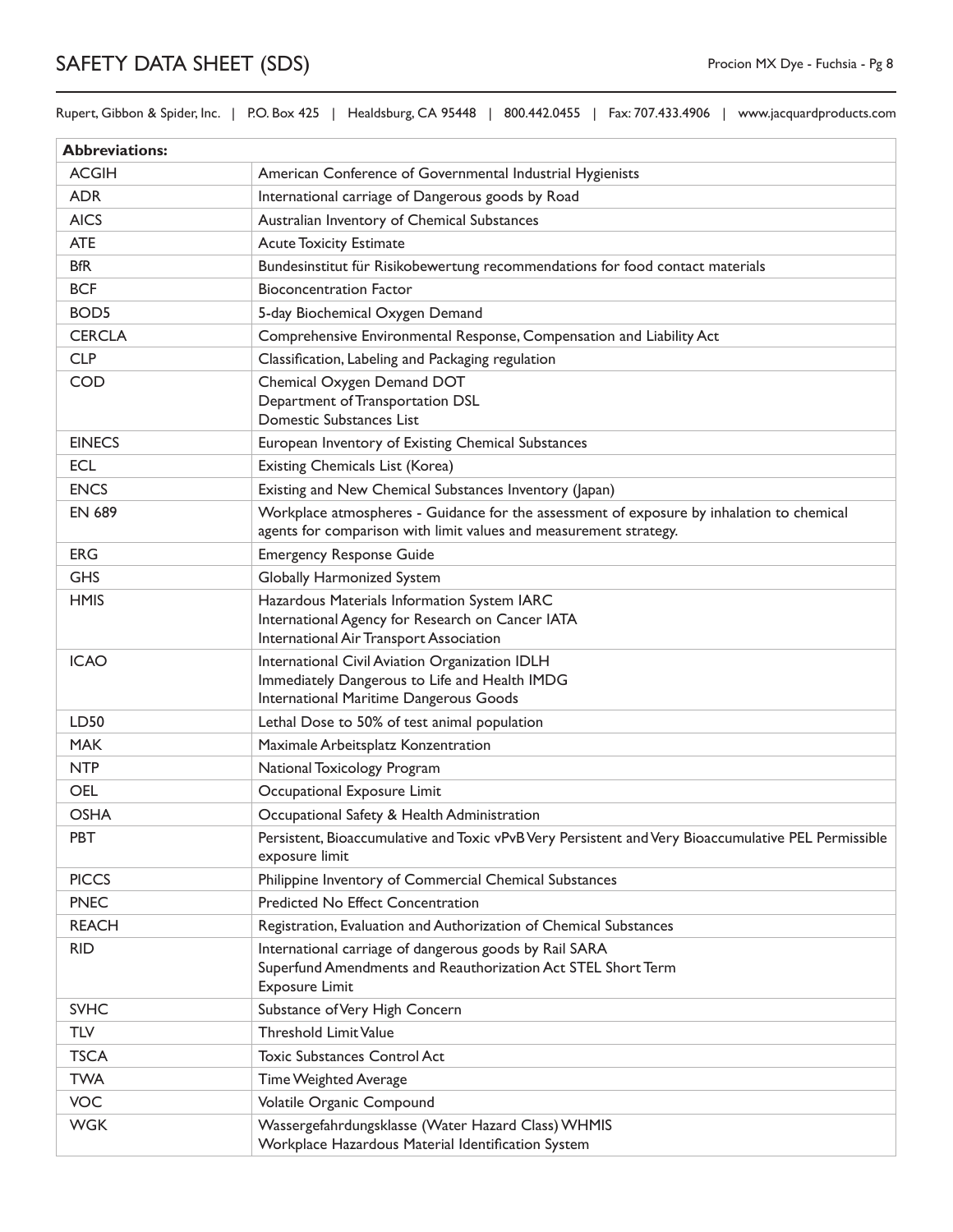Rupert, Gibbon & Spider, Inc. | P.O. Box 425 | Healdsburg, CA 95448 | 800.442.0455 | Fax: 707.433.4906 | www.jacquardproducts.com

| <b>Abbreviations:</b> |                                                                                                                                                                |
|-----------------------|----------------------------------------------------------------------------------------------------------------------------------------------------------------|
| <b>ACGIH</b>          | American Conference of Governmental Industrial Hygienists                                                                                                      |
| <b>ADR</b>            | International carriage of Dangerous goods by Road                                                                                                              |
| <b>AICS</b>           | Australian Inventory of Chemical Substances                                                                                                                    |
| <b>ATE</b>            | <b>Acute Toxicity Estimate</b>                                                                                                                                 |
| <b>BfR</b>            | Bundesinstitut für Risikobewertung recommendations for food contact materials                                                                                  |
| <b>BCF</b>            | <b>Bioconcentration Factor</b>                                                                                                                                 |
| BOD <sub>5</sub>      | 5-day Biochemical Oxygen Demand                                                                                                                                |
| <b>CERCLA</b>         | Comprehensive Environmental Response, Compensation and Liability Act                                                                                           |
| <b>CLP</b>            | Classification, Labeling and Packaging regulation                                                                                                              |
| <b>COD</b>            | Chemical Oxygen Demand DOT<br>Department of Transportation DSL<br>Domestic Substances List                                                                     |
| <b>EINECS</b>         | European Inventory of Existing Chemical Substances                                                                                                             |
| <b>ECL</b>            | Existing Chemicals List (Korea)                                                                                                                                |
| <b>ENCS</b>           | Existing and New Chemical Substances Inventory (Japan)                                                                                                         |
| <b>EN 689</b>         | Workplace atmospheres - Guidance for the assessment of exposure by inhalation to chemical<br>agents for comparison with limit values and measurement strategy. |
| <b>ERG</b>            | <b>Emergency Response Guide</b>                                                                                                                                |
| <b>GHS</b>            | Globally Harmonized System                                                                                                                                     |
| <b>HMIS</b>           | Hazardous Materials Information System IARC<br>International Agency for Research on Cancer IATA<br>International Air Transport Association                     |
| <b>ICAO</b>           | International Civil Aviation Organization IDLH<br>Immediately Dangerous to Life and Health IMDG<br>International Maritime Dangerous Goods                      |
| LD50                  | Lethal Dose to 50% of test animal population                                                                                                                   |
| <b>MAK</b>            | Maximale Arbeitsplatz Konzentration                                                                                                                            |
| <b>NTP</b>            | National Toxicology Program                                                                                                                                    |
| <b>OEL</b>            | Occupational Exposure Limit                                                                                                                                    |
| <b>OSHA</b>           | Occupational Safety & Health Administration                                                                                                                    |
| PBT                   | Persistent, Bioaccumulative and Toxic vPvB Very Persistent and Very Bioaccumulative PEL Permissible<br>exposure limit                                          |
| <b>PICCS</b>          | Philippine Inventory of Commercial Chemical Substances                                                                                                         |
| <b>PNEC</b>           | <b>Predicted No Effect Concentration</b>                                                                                                                       |
| <b>REACH</b>          | Registration, Evaluation and Authorization of Chemical Substances                                                                                              |
| <b>RID</b>            | International carriage of dangerous goods by Rail SARA<br>Superfund Amendments and Reauthorization Act STEL Short Term<br><b>Exposure Limit</b>                |
| <b>SVHC</b>           | Substance of Very High Concern                                                                                                                                 |
| <b>TLV</b>            | <b>Threshold Limit Value</b>                                                                                                                                   |
| <b>TSCA</b>           | <b>Toxic Substances Control Act</b>                                                                                                                            |
| <b>TWA</b>            | Time Weighted Average                                                                                                                                          |
| <b>VOC</b>            | Volatile Organic Compound                                                                                                                                      |
| <b>WGK</b>            | Wassergefahrdungsklasse (Water Hazard Class) WHMIS<br>Workplace Hazardous Material Identification System                                                       |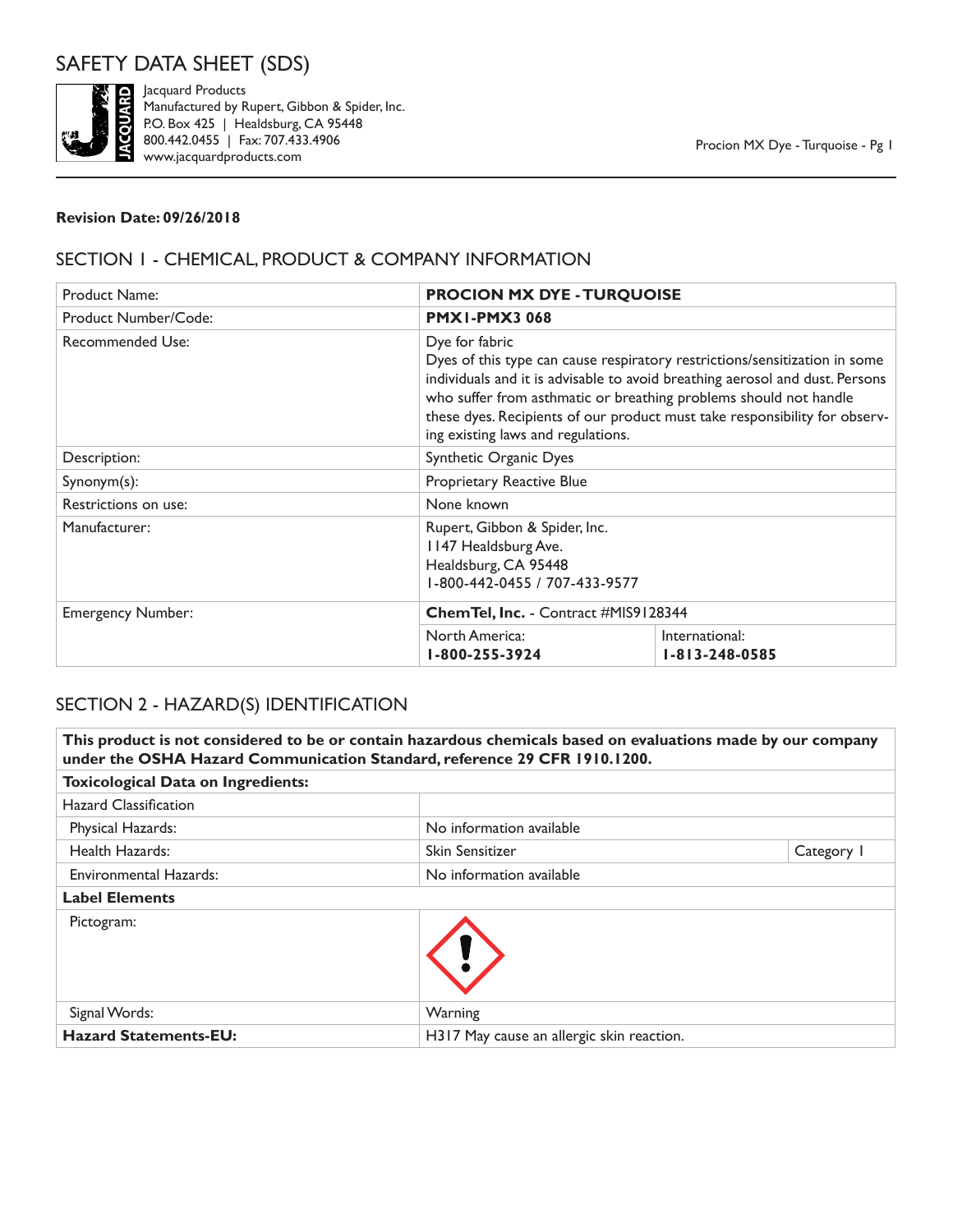

Jacquard Products Manufactured by Rupert, Gibbon & Spider, Inc. P.O. Box 425 | Healdsburg, CA 95448 800.442.0455 | Fax: 707.433.4906 www.jacquardproducts.com

#### **Revision Date: 09/26/2018**

## SECTION 1 - CHEMICAL, PRODUCT & COMPANY INFORMATION

| <b>Product Name:</b>     | <b>PROCION MX DYE - TURQUOISE</b>            |                                                                                                                                                                                                                                                                                                                                                     |  |
|--------------------------|----------------------------------------------|-----------------------------------------------------------------------------------------------------------------------------------------------------------------------------------------------------------------------------------------------------------------------------------------------------------------------------------------------------|--|
| Product Number/Code:     | <b>PMX1-PMX3068</b>                          |                                                                                                                                                                                                                                                                                                                                                     |  |
| Recommended Use:         | Dye for fabric                               | Dyes of this type can cause respiratory restrictions/sensitization in some<br>individuals and it is advisable to avoid breathing aerosol and dust. Persons<br>who suffer from asthmatic or breathing problems should not handle<br>these dyes. Recipients of our product must take responsibility for observ-<br>ing existing laws and regulations. |  |
| Description:             | Synthetic Organic Dyes                       |                                                                                                                                                                                                                                                                                                                                                     |  |
| $Synonym(s)$ :           | Proprietary Reactive Blue                    |                                                                                                                                                                                                                                                                                                                                                     |  |
| Restrictions on use:     | None known                                   |                                                                                                                                                                                                                                                                                                                                                     |  |
| Manufacturer:            | 1147 Healdsburg Ave.<br>Healdsburg, CA 95448 | Rupert, Gibbon & Spider, Inc.<br>1-800-442-0455 / 707-433-9577                                                                                                                                                                                                                                                                                      |  |
| <b>Emergency Number:</b> | Chem Tel, Inc. - Contract #MIS9128344        |                                                                                                                                                                                                                                                                                                                                                     |  |
|                          | North America:<br>1-800-255-3924             | International:<br>$1 - 813 - 248 - 0585$                                                                                                                                                                                                                                                                                                            |  |

### SECTION 2 - HAZARD(S) IDENTIFICATION

| This product is not considered to be or contain hazardous chemicals based on evaluations made by our company<br>under the OSHA Hazard Communication Standard, reference 29 CFR 1910.1200. |                                           |            |
|-------------------------------------------------------------------------------------------------------------------------------------------------------------------------------------------|-------------------------------------------|------------|
| <b>Toxicological Data on Ingredients:</b>                                                                                                                                                 |                                           |            |
| <b>Hazard Classification</b>                                                                                                                                                              |                                           |            |
| Physical Hazards:                                                                                                                                                                         | No information available                  |            |
| Health Hazards:                                                                                                                                                                           | Skin Sensitizer                           | Category I |
| <b>Environmental Hazards:</b>                                                                                                                                                             | No information available                  |            |
| <b>Label Elements</b>                                                                                                                                                                     |                                           |            |
| Pictogram:                                                                                                                                                                                |                                           |            |
| Signal Words:                                                                                                                                                                             | Warning                                   |            |
| <b>Hazard Statements-EU:</b>                                                                                                                                                              | H317 May cause an allergic skin reaction. |            |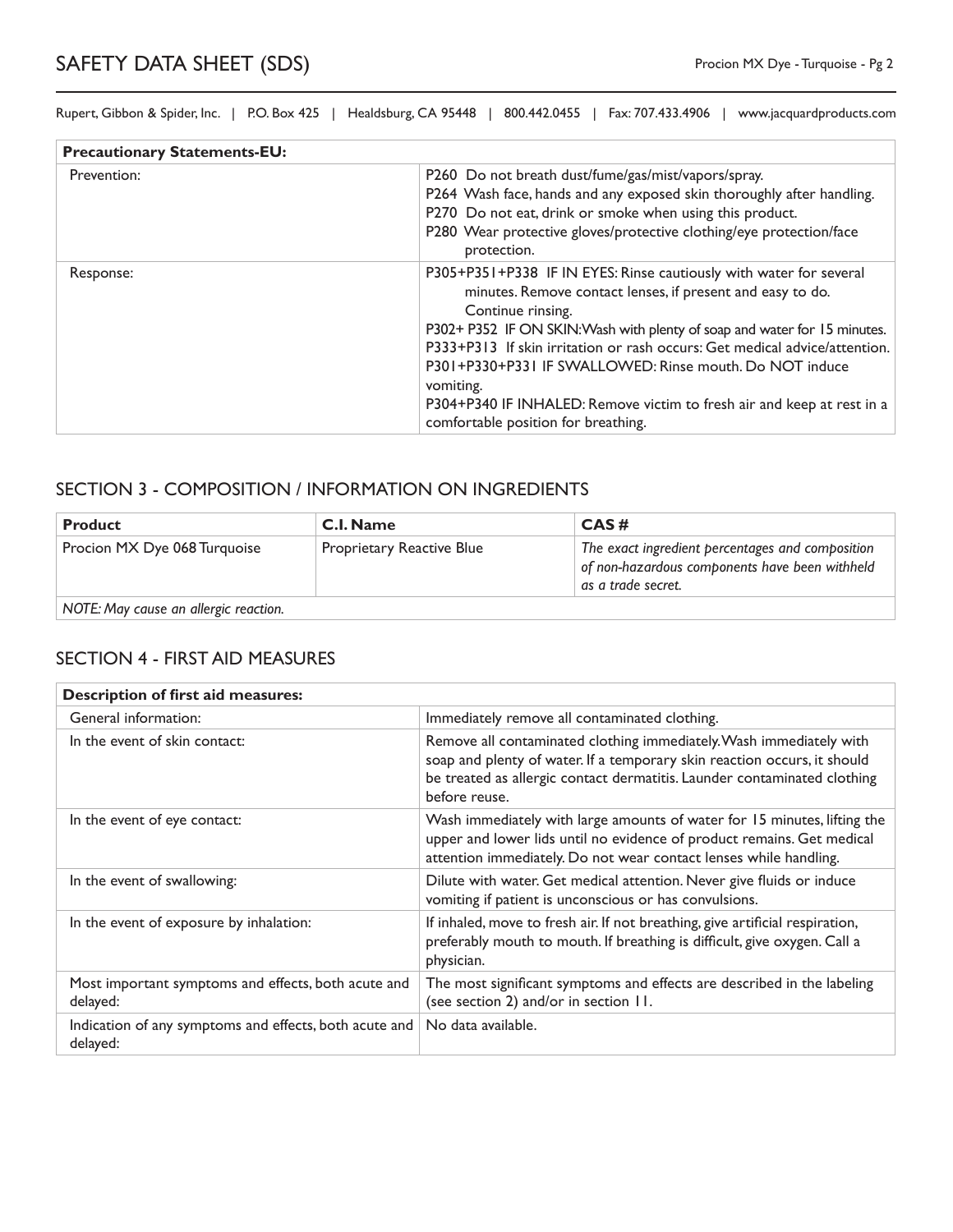| <b>Precautionary Statements-EU:</b> |                                                                                                                                                                                                                                                                                                                                                                                                                                                                                                           |
|-------------------------------------|-----------------------------------------------------------------------------------------------------------------------------------------------------------------------------------------------------------------------------------------------------------------------------------------------------------------------------------------------------------------------------------------------------------------------------------------------------------------------------------------------------------|
| Prevention:                         | P260 Do not breath dust/fume/gas/mist/vapors/spray.<br>P264 Wash face, hands and any exposed skin thoroughly after handling.<br>P270 Do not eat, drink or smoke when using this product.<br>P280 Wear protective gloves/protective clothing/eye protection/face<br>protection.                                                                                                                                                                                                                            |
| Response:                           | P305+P351+P338 IF IN EYES: Rinse cautiously with water for several<br>minutes. Remove contact lenses, if present and easy to do.<br>Continue rinsing.<br>P302+ P352 IF ON SKIN: Wash with plenty of soap and water for 15 minutes.<br>P333+P313 If skin irritation or rash occurs: Get medical advice/attention.<br>P301+P330+P331 IF SWALLOWED: Rinse mouth, Do NOT induce<br>vomiting.<br>P304+P340 IF INHALED: Remove victim to fresh air and keep at rest in a<br>comfortable position for breathing. |

#### SECTION 3 - COMPOSITION / INFORMATION ON INGREDIENTS

| <b>Product</b>                        | <b>C.I. Name</b>                 | CAS#                                                                                                                     |
|---------------------------------------|----------------------------------|--------------------------------------------------------------------------------------------------------------------------|
| Procion MX Dye 068 Turquoise          | <b>Proprietary Reactive Blue</b> | The exact ingredient percentages and composition<br>of non-hazardous components have been withheld<br>as a trade secret. |
| NOTE: May cause an allergic reaction. |                                  |                                                                                                                          |

#### SECTION 4 - FIRST AID MEASURES

| <b>Description of first aid measures:</b>                          |                                                                                                                                                                                                                                              |  |
|--------------------------------------------------------------------|----------------------------------------------------------------------------------------------------------------------------------------------------------------------------------------------------------------------------------------------|--|
| General information:                                               | Immediately remove all contaminated clothing.                                                                                                                                                                                                |  |
| In the event of skin contact:                                      | Remove all contaminated clothing immediately. Wash immediately with<br>soap and plenty of water. If a temporary skin reaction occurs, it should<br>be treated as allergic contact dermatitis. Launder contaminated clothing<br>before reuse. |  |
| In the event of eye contact:                                       | Wash immediately with large amounts of water for 15 minutes, lifting the<br>upper and lower lids until no evidence of product remains. Get medical<br>attention immediately. Do not wear contact lenses while handling.                      |  |
| In the event of swallowing:                                        | Dilute with water. Get medical attention. Never give fluids or induce<br>vomiting if patient is unconscious or has convulsions.                                                                                                              |  |
| In the event of exposure by inhalation:                            | If inhaled, move to fresh air. If not breathing, give artificial respiration,<br>preferably mouth to mouth. If breathing is difficult, give oxygen. Call a<br>physician.                                                                     |  |
| Most important symptoms and effects, both acute and<br>delayed:    | The most significant symptoms and effects are described in the labeling<br>(see section 2) and/or in section 11.                                                                                                                             |  |
| Indication of any symptoms and effects, both acute and<br>delayed: | No data available.                                                                                                                                                                                                                           |  |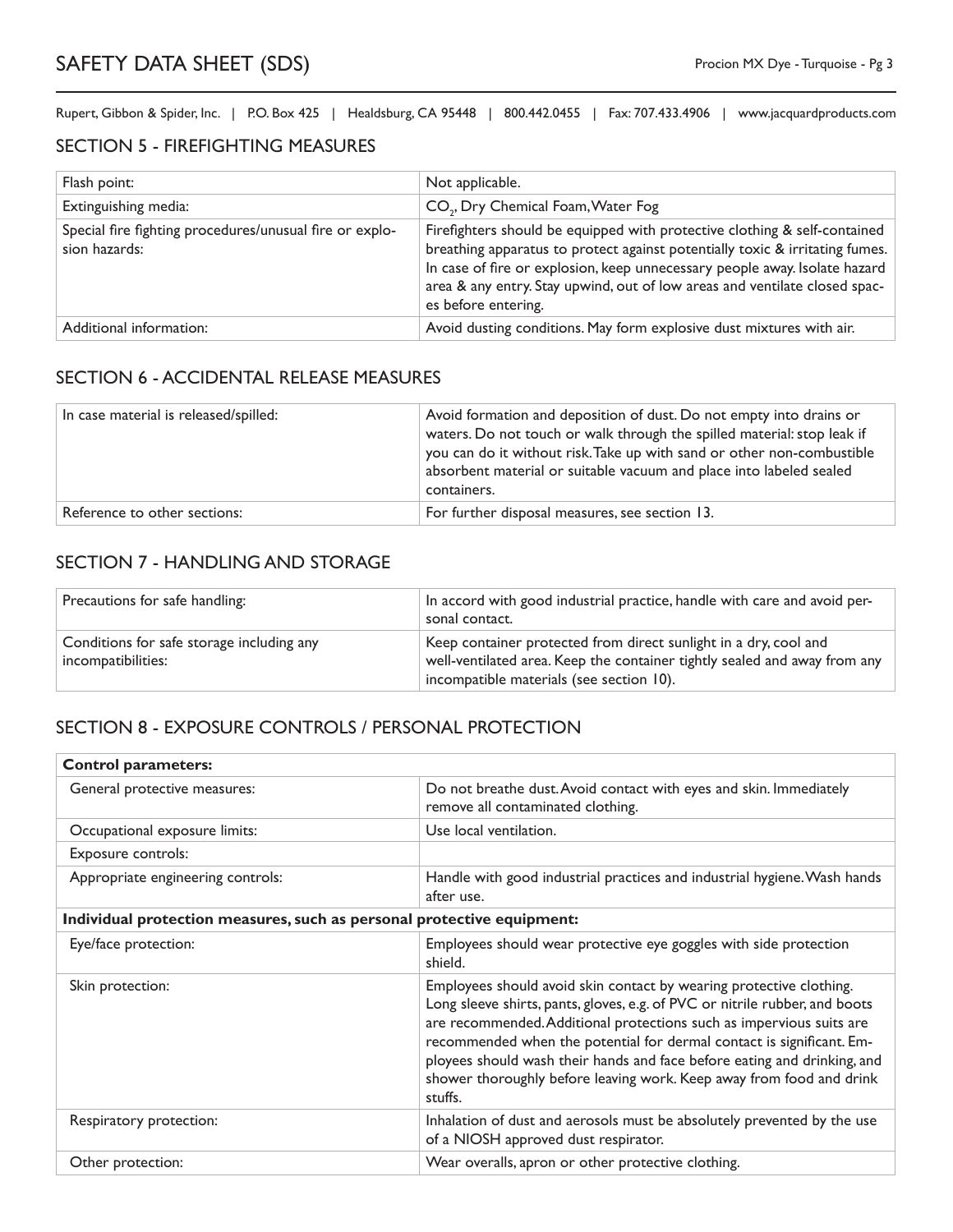#### SECTION 5 - FIREFIGHTING MEASURES

| Flash point:                                                             | Not applicable.                                                                                                                                                                                                                                                                                                                              |
|--------------------------------------------------------------------------|----------------------------------------------------------------------------------------------------------------------------------------------------------------------------------------------------------------------------------------------------------------------------------------------------------------------------------------------|
| Extinguishing media:                                                     | CO <sub>2</sub> , Dry Chemical Foam, Water Fog                                                                                                                                                                                                                                                                                               |
| Special fire fighting procedures/unusual fire or explo-<br>sion hazards: | Firefighters should be equipped with protective clothing & self-contained<br>breathing apparatus to protect against potentially toxic & irritating fumes.<br>In case of fire or explosion, keep unnecessary people away. Isolate hazard<br>area & any entry. Stay upwind, out of low areas and ventilate closed spac-<br>es before entering. |
| Additional information:                                                  | Avoid dusting conditions. May form explosive dust mixtures with air.                                                                                                                                                                                                                                                                         |

#### SECTION 6 - ACCIDENTAL RELEASE MEASURES

| In case material is released/spilled: | Avoid formation and deposition of dust. Do not empty into drains or<br>waters. Do not touch or walk through the spilled material: stop leak if<br>you can do it without risk. Take up with sand or other non-combustible<br>absorbent material or suitable vacuum and place into labeled sealed<br>containers. |
|---------------------------------------|----------------------------------------------------------------------------------------------------------------------------------------------------------------------------------------------------------------------------------------------------------------------------------------------------------------|
| Reference to other sections:          | For further disposal measures, see section 13.                                                                                                                                                                                                                                                                 |

## SECTION 7 - HANDLING AND STORAGE

| Precautions for safe handling:                                  | In accord with good industrial practice, handle with care and avoid per-<br>sonal contact.                                                                                                |
|-----------------------------------------------------------------|-------------------------------------------------------------------------------------------------------------------------------------------------------------------------------------------|
| Conditions for safe storage including any<br>incompatibilities: | Keep container protected from direct sunlight in a dry, cool and<br>well-ventilated area. Keep the container tightly sealed and away from any<br>incompatible materials (see section 10). |

## SECTION 8 - EXPOSURE CONTROLS / PERSONAL PROTECTION

| <b>Control parameters:</b>                                             |                                                                                                                                                                                                                                                                                                                                                                                                                                                                    |  |
|------------------------------------------------------------------------|--------------------------------------------------------------------------------------------------------------------------------------------------------------------------------------------------------------------------------------------------------------------------------------------------------------------------------------------------------------------------------------------------------------------------------------------------------------------|--|
| General protective measures:                                           | Do not breathe dust. Avoid contact with eyes and skin. Immediately<br>remove all contaminated clothing.                                                                                                                                                                                                                                                                                                                                                            |  |
| Occupational exposure limits:                                          | Use local ventilation.                                                                                                                                                                                                                                                                                                                                                                                                                                             |  |
| Exposure controls:                                                     |                                                                                                                                                                                                                                                                                                                                                                                                                                                                    |  |
| Appropriate engineering controls:                                      | Handle with good industrial practices and industrial hygiene. Wash hands<br>after use.                                                                                                                                                                                                                                                                                                                                                                             |  |
| Individual protection measures, such as personal protective equipment: |                                                                                                                                                                                                                                                                                                                                                                                                                                                                    |  |
| Eye/face protection:                                                   | Employees should wear protective eye goggles with side protection<br>shield.                                                                                                                                                                                                                                                                                                                                                                                       |  |
| Skin protection:                                                       | Employees should avoid skin contact by wearing protective clothing.<br>Long sleeve shirts, pants, gloves, e.g. of PVC or nitrile rubber, and boots<br>are recommended. Additional protections such as impervious suits are<br>recommended when the potential for dermal contact is significant. Em-<br>ployees should wash their hands and face before eating and drinking, and<br>shower thoroughly before leaving work. Keep away from food and drink<br>stuffs. |  |
| Respiratory protection:                                                | Inhalation of dust and aerosols must be absolutely prevented by the use<br>of a NIOSH approved dust respirator.                                                                                                                                                                                                                                                                                                                                                    |  |
| Other protection:                                                      | Wear overalls, apron or other protective clothing.                                                                                                                                                                                                                                                                                                                                                                                                                 |  |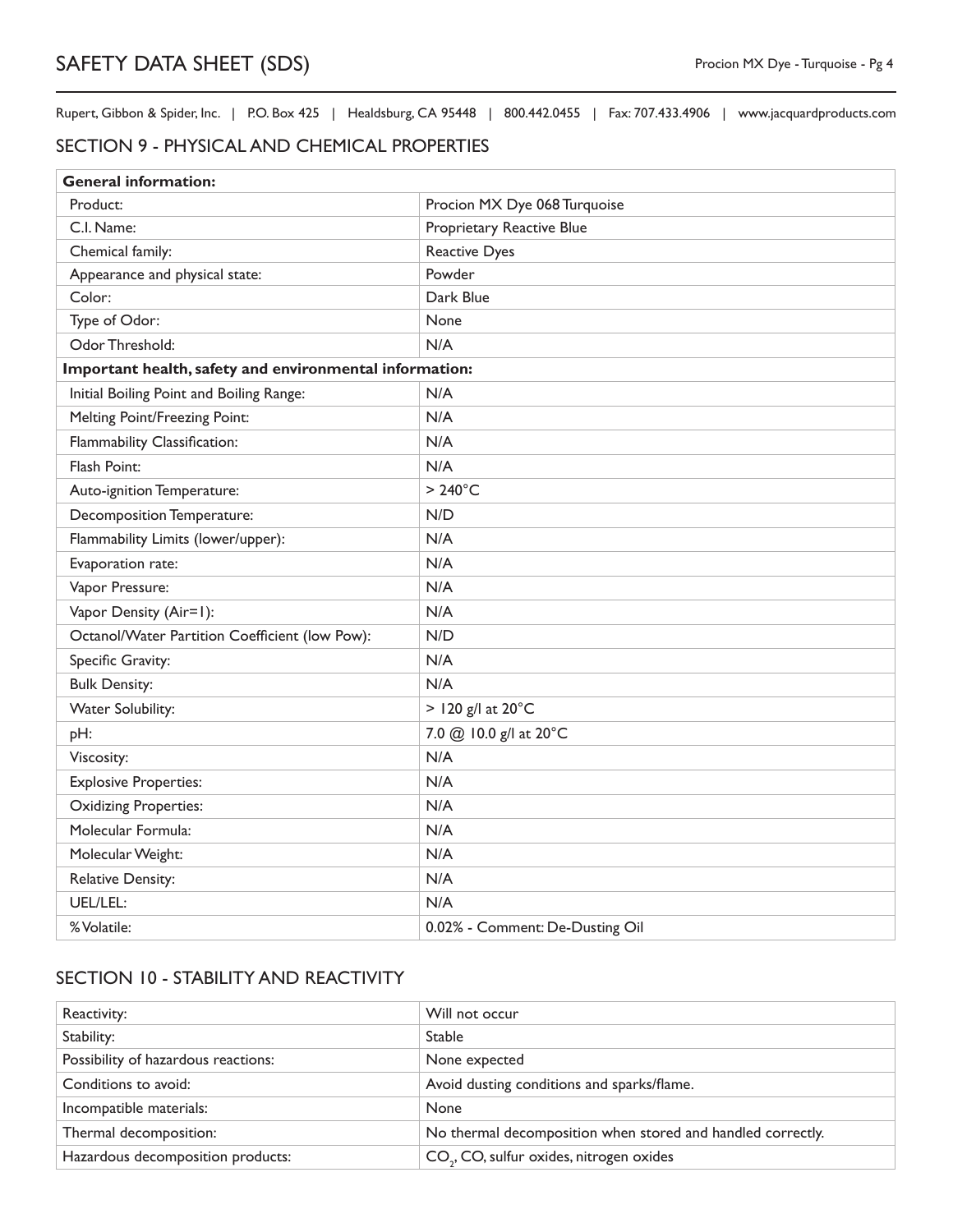#### SECTION 9 - PHYSICAL AND CHEMICAL PROPERTIES

| <b>General information:</b>                             |                                 |  |
|---------------------------------------------------------|---------------------------------|--|
| Product:                                                | Procion MX Dye 068 Turquoise    |  |
| C.I. Name:                                              | Proprietary Reactive Blue       |  |
| Chemical family:                                        | <b>Reactive Dyes</b>            |  |
| Appearance and physical state:                          | Powder                          |  |
| Color:                                                  | Dark Blue                       |  |
| Type of Odor:                                           | None                            |  |
| Odor Threshold:                                         | N/A                             |  |
| Important health, safety and environmental information: |                                 |  |
| Initial Boiling Point and Boiling Range:                | N/A                             |  |
| Melting Point/Freezing Point:                           | N/A                             |  |
| Flammability Classification:                            | N/A                             |  |
| Flash Point:                                            | N/A                             |  |
| Auto-ignition Temperature:                              | $>240^{\circ}$ C                |  |
| Decomposition Temperature:                              | N/D                             |  |
| Flammability Limits (lower/upper):                      | N/A                             |  |
| Evaporation rate:                                       | N/A                             |  |
| Vapor Pressure:                                         | N/A                             |  |
| Vapor Density (Air=1):                                  | N/A                             |  |
| Octanol/Water Partition Coefficient (low Pow):          | N/D                             |  |
| Specific Gravity:                                       | N/A                             |  |
| <b>Bulk Density:</b>                                    | N/A                             |  |
| Water Solubility:                                       | $>$ 120 g/l at 20 $^{\circ}$ C  |  |
| pH:                                                     | 7.0 @ 10.0 g/l at 20°C          |  |
| Viscosity:                                              | N/A                             |  |
| <b>Explosive Properties:</b>                            | N/A                             |  |
| <b>Oxidizing Properties:</b>                            | N/A                             |  |
| Molecular Formula:                                      | N/A                             |  |
| Molecular Weight:                                       | N/A                             |  |
| <b>Relative Density:</b>                                | N/A                             |  |
| UEL/LEL:                                                | N/A                             |  |
| % Volatile:                                             | 0.02% - Comment: De-Dusting Oil |  |

# SECTION 10 - STABILITY AND REACTIVITY

| Reactivity:                         | Will not occur                                              |
|-------------------------------------|-------------------------------------------------------------|
| Stability:                          | <b>Stable</b>                                               |
| Possibility of hazardous reactions: | None expected                                               |
| Conditions to avoid:                | Avoid dusting conditions and sparks/flame.                  |
| Incompatible materials:             | <b>None</b>                                                 |
| Thermal decomposition:              | No thermal decomposition when stored and handled correctly. |
| Hazardous decomposition products:   | CO <sub>2</sub> , CO, sulfur oxides, nitrogen oxides        |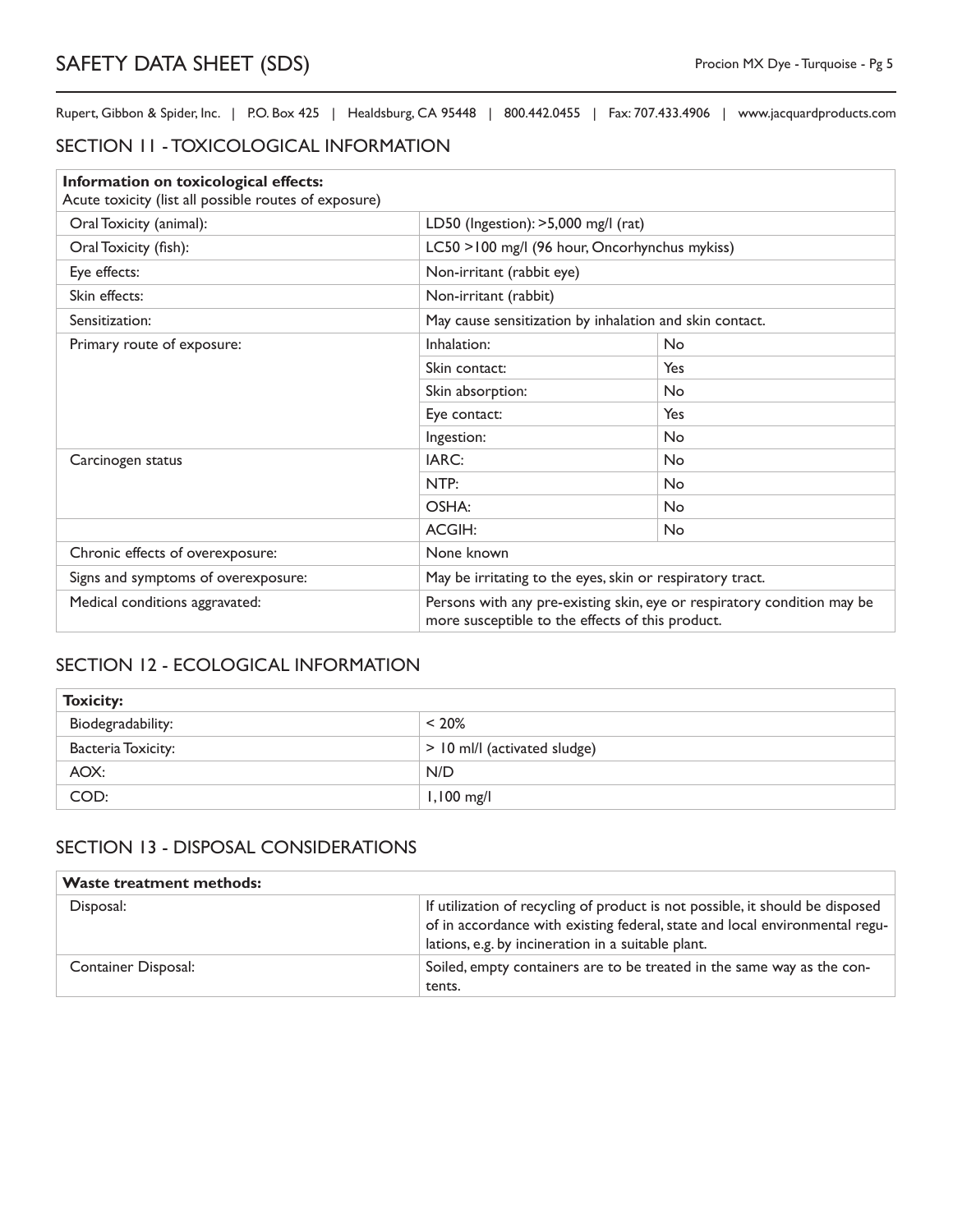## SECTION 11 - TOXICOLOGICAL INFORMATION

| Information on toxicological effects:<br>Acute toxicity (list all possible routes of exposure) |                                                                                                                             |           |
|------------------------------------------------------------------------------------------------|-----------------------------------------------------------------------------------------------------------------------------|-----------|
| Oral Toxicity (animal):                                                                        | LD50 (Ingestion): >5,000 mg/l (rat)                                                                                         |           |
| Oral Toxicity (fish):                                                                          | LC50 >100 mg/l (96 hour, Oncorhynchus mykiss)                                                                               |           |
| Eye effects:                                                                                   | Non-irritant (rabbit eye)                                                                                                   |           |
| Skin effects:                                                                                  | Non-irritant (rabbit)                                                                                                       |           |
| Sensitization:                                                                                 | May cause sensitization by inhalation and skin contact.                                                                     |           |
| Primary route of exposure:                                                                     | Inhalation:                                                                                                                 | No        |
|                                                                                                | Skin contact:                                                                                                               | Yes       |
|                                                                                                | Skin absorption:                                                                                                            | No        |
|                                                                                                | Eye contact:                                                                                                                | Yes       |
|                                                                                                | Ingestion:                                                                                                                  | <b>No</b> |
| Carcinogen status                                                                              | IARC:                                                                                                                       | <b>No</b> |
|                                                                                                | NTP:                                                                                                                        | No        |
|                                                                                                | OSHA:                                                                                                                       | <b>No</b> |
|                                                                                                | <b>ACGIH:</b>                                                                                                               | <b>No</b> |
| Chronic effects of overexposure:                                                               | None known                                                                                                                  |           |
| Signs and symptoms of overexposure:                                                            | May be irritating to the eyes, skin or respiratory tract.                                                                   |           |
| Medical conditions aggravated:                                                                 | Persons with any pre-existing skin, eye or respiratory condition may be<br>more susceptible to the effects of this product. |           |

### SECTION 12 - ECOLOGICAL INFORMATION

| <b>Toxicity:</b>   |                              |
|--------------------|------------------------------|
| Biodegradability:  | $< 20\%$                     |
| Bacteria Toxicity: | > 10 ml/l (activated sludge) |
| AOX:               | N/D                          |
| COD:               | $1,100$ mg/l                 |

## SECTION 13 - DISPOSAL CONSIDERATIONS

| <b>Waste treatment methods:</b> |                                                                                                                                                                                                                    |
|---------------------------------|--------------------------------------------------------------------------------------------------------------------------------------------------------------------------------------------------------------------|
| Disposal:                       | If utilization of recycling of product is not possible, it should be disposed<br>of in accordance with existing federal, state and local environmental regu-<br>lations, e.g. by incineration in a suitable plant. |
| <b>Container Disposal:</b>      | Soiled, empty containers are to be treated in the same way as the con-<br>tents.                                                                                                                                   |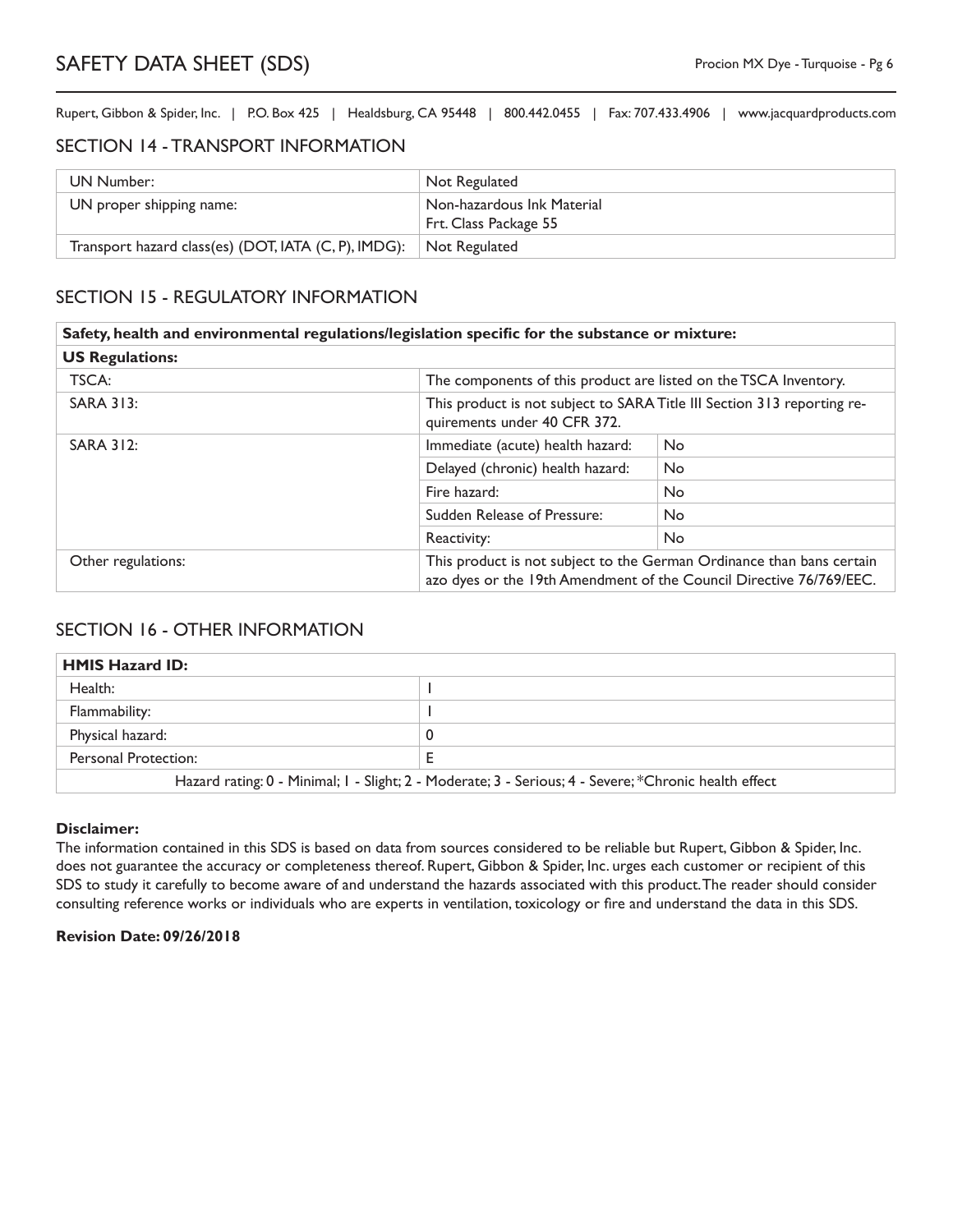#### SECTION 14 - TRANSPORT INFORMATION

| UN Number:                                                         | Not Regulated                                       |
|--------------------------------------------------------------------|-----------------------------------------------------|
| UN proper shipping name:                                           | Non-hazardous Ink Material<br>Frt. Class Package 55 |
| Transport hazard class(es) (DOT, IATA (C, P), IMDG): Not Regulated |                                                     |

## SECTION 15 - REGULATORY INFORMATION

|                        | Safety, health and environmental regulations/legislation specific for the substance or mixture: |                                                                                                                                              |  |
|------------------------|-------------------------------------------------------------------------------------------------|----------------------------------------------------------------------------------------------------------------------------------------------|--|
| <b>US Regulations:</b> |                                                                                                 |                                                                                                                                              |  |
| TSCA:                  | The components of this product are listed on the TSCA Inventory.                                |                                                                                                                                              |  |
| <b>SARA 313:</b>       | quirements under 40 CFR 372.                                                                    | This product is not subject to SARA Title III Section 313 reporting re-                                                                      |  |
| <b>SARA 312:</b>       | Immediate (acute) health hazard:                                                                | No.                                                                                                                                          |  |
|                        | Delayed (chronic) health hazard:                                                                | <b>No</b>                                                                                                                                    |  |
|                        | Fire hazard:                                                                                    | <b>No</b>                                                                                                                                    |  |
|                        | Sudden Release of Pressure:                                                                     | No.                                                                                                                                          |  |
|                        | Reactivity:                                                                                     | No.                                                                                                                                          |  |
| Other regulations:     |                                                                                                 | This product is not subject to the German Ordinance than bans certain<br>azo dyes or the 19th Amendment of the Council Directive 76/769/EEC. |  |

#### SECTION 16 - OTHER INFORMATION

| <b>HMIS Hazard ID:</b>                                                                                |   |
|-------------------------------------------------------------------------------------------------------|---|
| Health:                                                                                               |   |
| Flammability:                                                                                         |   |
| Physical hazard:                                                                                      |   |
| Personal Protection:                                                                                  | ╌ |
| Hazard rating: 0 - Minimal; I - Slight; 2 - Moderate; 3 - Serious; 4 - Severe; *Chronic health effect |   |

#### **Disclaimer:**

The information contained in this SDS is based on data from sources considered to be reliable but Rupert, Gibbon & Spider, Inc. does not guarantee the accuracy or completeness thereof. Rupert, Gibbon & Spider, Inc. urges each customer or recipient of this SDS to study it carefully to become aware of and understand the hazards associated with this product. The reader should consider consulting reference works or individuals who are experts in ventilation, toxicology or fire and understand the data in this SDS.

#### **Revision Date: 09/26/2018**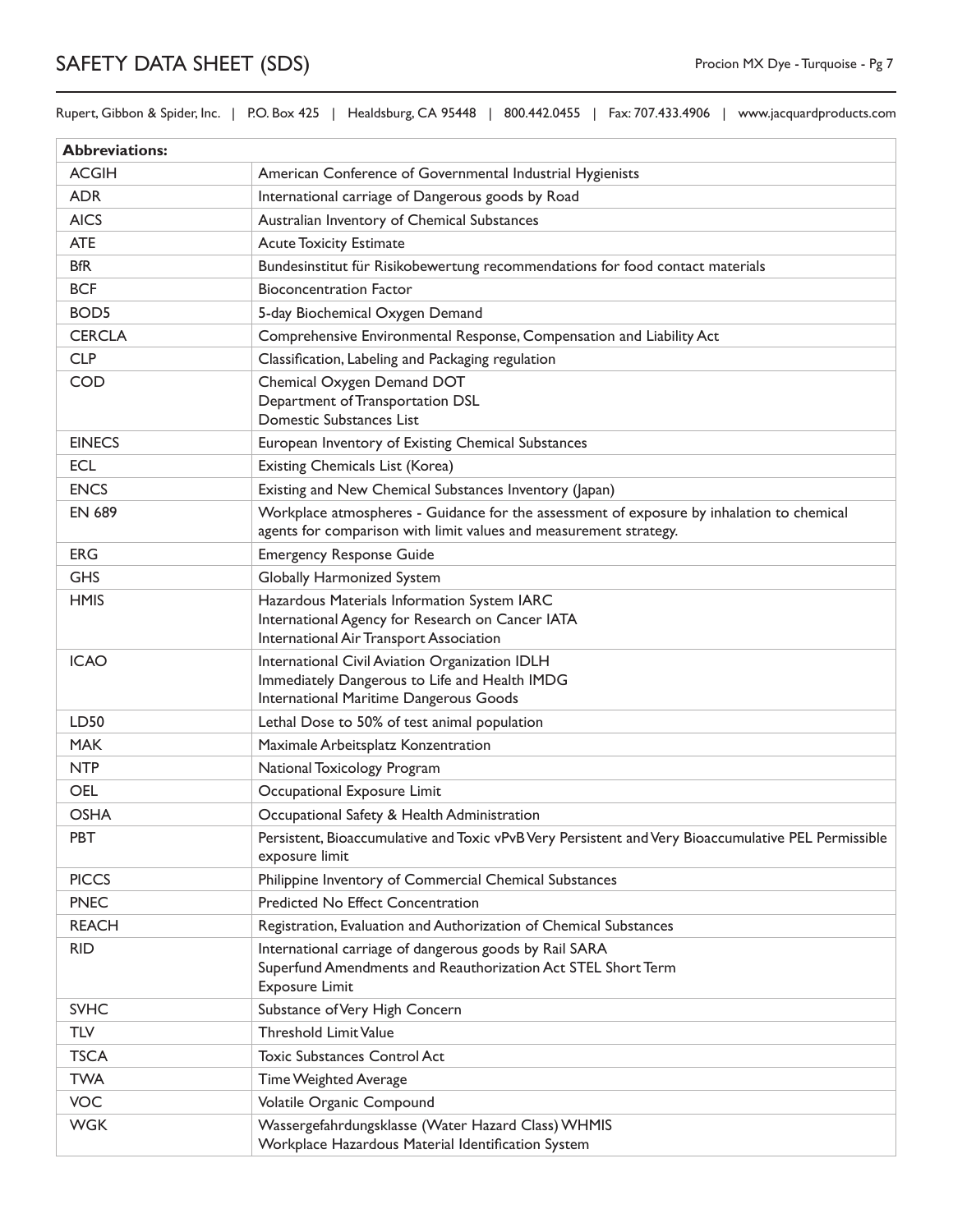Rupert, Gibbon & Spider, Inc. | P.O. Box 425 | Healdsburg, CA 95448 | 800.442.0455 | Fax: 707.433.4906 | www.jacquardproducts.com

| <b>Abbreviations:</b> |                                                                                                                                                                |
|-----------------------|----------------------------------------------------------------------------------------------------------------------------------------------------------------|
| <b>ACGIH</b>          | American Conference of Governmental Industrial Hygienists                                                                                                      |
| <b>ADR</b>            | International carriage of Dangerous goods by Road                                                                                                              |
| <b>AICS</b>           | Australian Inventory of Chemical Substances                                                                                                                    |
| <b>ATE</b>            | <b>Acute Toxicity Estimate</b>                                                                                                                                 |
| <b>BfR</b>            | Bundesinstitut für Risikobewertung recommendations for food contact materials                                                                                  |
| <b>BCF</b>            | <b>Bioconcentration Factor</b>                                                                                                                                 |
| BOD <sub>5</sub>      | 5-day Biochemical Oxygen Demand                                                                                                                                |
| <b>CERCLA</b>         | Comprehensive Environmental Response, Compensation and Liability Act                                                                                           |
| <b>CLP</b>            | Classification, Labeling and Packaging regulation                                                                                                              |
| <b>COD</b>            | Chemical Oxygen Demand DOT<br>Department of Transportation DSL<br>Domestic Substances List                                                                     |
| <b>EINECS</b>         | European Inventory of Existing Chemical Substances                                                                                                             |
| <b>ECL</b>            | Existing Chemicals List (Korea)                                                                                                                                |
| <b>ENCS</b>           | Existing and New Chemical Substances Inventory (Japan)                                                                                                         |
| <b>EN 689</b>         | Workplace atmospheres - Guidance for the assessment of exposure by inhalation to chemical<br>agents for comparison with limit values and measurement strategy. |
| <b>ERG</b>            | <b>Emergency Response Guide</b>                                                                                                                                |
| <b>GHS</b>            | Globally Harmonized System                                                                                                                                     |
| <b>HMIS</b>           | Hazardous Materials Information System IARC<br>International Agency for Research on Cancer IATA<br>International Air Transport Association                     |
| <b>ICAO</b>           | International Civil Aviation Organization IDLH<br>Immediately Dangerous to Life and Health IMDG<br>International Maritime Dangerous Goods                      |
| LD50                  | Lethal Dose to 50% of test animal population                                                                                                                   |
| <b>MAK</b>            | Maximale Arbeitsplatz Konzentration                                                                                                                            |
| <b>NTP</b>            | National Toxicology Program                                                                                                                                    |
| <b>OEL</b>            | Occupational Exposure Limit                                                                                                                                    |
| <b>OSHA</b>           | Occupational Safety & Health Administration                                                                                                                    |
| <b>PBT</b>            | Persistent, Bioaccumulative and Toxic vPvB Very Persistent and Very Bioaccumulative PEL Permissible<br>exposure limit                                          |
| <b>PICCS</b>          | Philippine Inventory of Commercial Chemical Substances                                                                                                         |
| <b>PNEC</b>           | Predicted No Effect Concentration                                                                                                                              |
| <b>REACH</b>          | Registration, Evaluation and Authorization of Chemical Substances                                                                                              |
| <b>RID</b>            | International carriage of dangerous goods by Rail SARA<br>Superfund Amendments and Reauthorization Act STEL Short Term<br><b>Exposure Limit</b>                |
| <b>SVHC</b>           | Substance of Very High Concern                                                                                                                                 |
| <b>TLV</b>            | <b>Threshold Limit Value</b>                                                                                                                                   |
| <b>TSCA</b>           | <b>Toxic Substances Control Act</b>                                                                                                                            |
| <b>TWA</b>            | Time Weighted Average                                                                                                                                          |
| <b>VOC</b>            | Volatile Organic Compound                                                                                                                                      |
| <b>WGK</b>            | Wassergefahrdungsklasse (Water Hazard Class) WHMIS<br>Workplace Hazardous Material Identification System                                                       |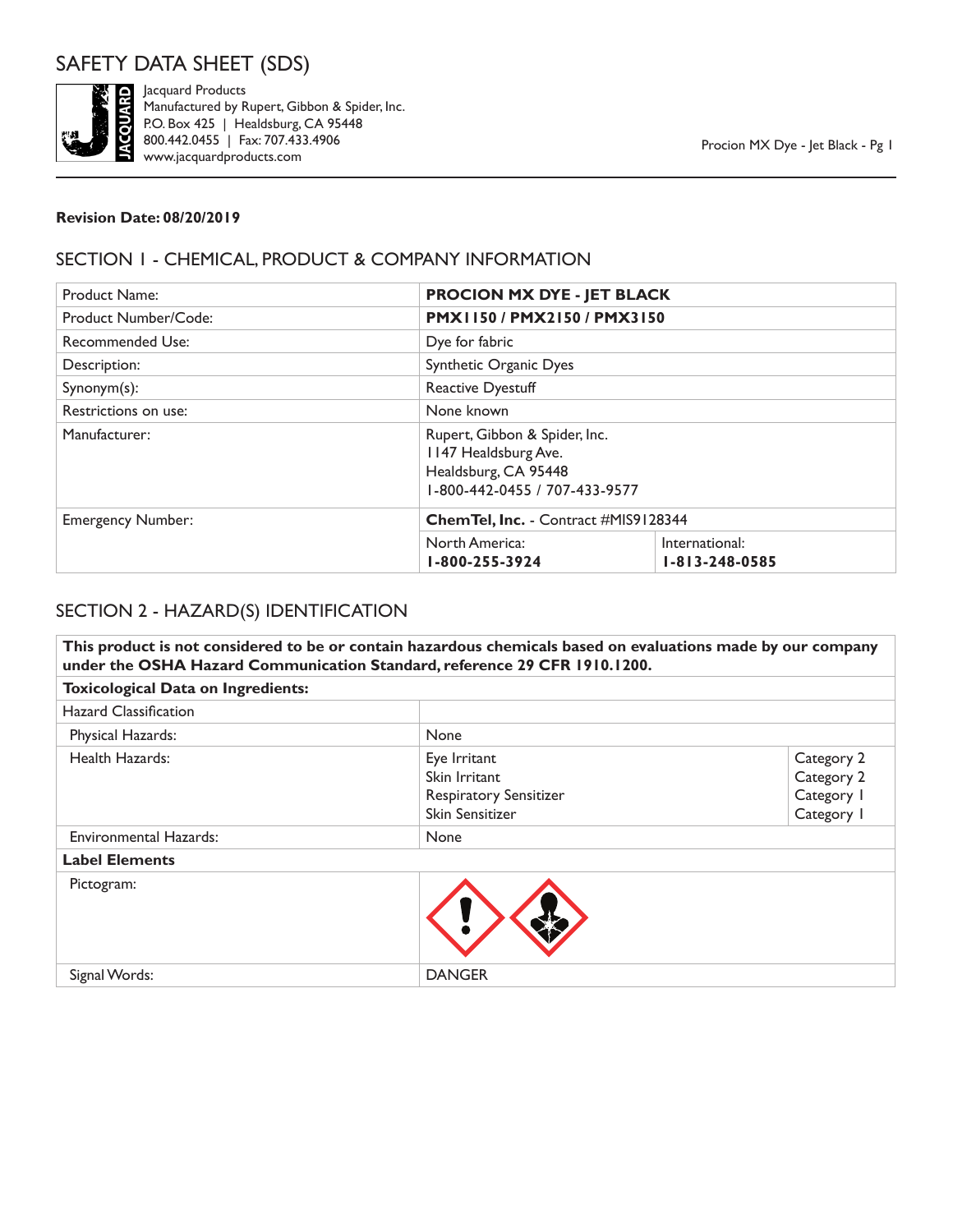

Jacquard Products Manufactured by Rupert, Gibbon & Spider, Inc. P.O. Box 425 | Healdsburg, CA 95448 800.442.0455 | Fax: 707.433.4906 www.jacquardproducts.com

#### **Revision Date: 08/20/2019**

# SECTION 1 - CHEMICAL, PRODUCT & COMPANY INFORMATION

| <b>Product Name:</b>     | <b>PROCION MX DYE - JET BLACK</b>            |                                                                |  |
|--------------------------|----------------------------------------------|----------------------------------------------------------------|--|
| Product Number/Code:     |                                              | PMX1150/PMX2150/PMX3150                                        |  |
| Recommended Use:         | Dye for fabric                               |                                                                |  |
| Description:             | Synthetic Organic Dyes                       |                                                                |  |
| Synonym(s):              | <b>Reactive Dyestuff</b>                     |                                                                |  |
| Restrictions on use:     | None known                                   |                                                                |  |
| Manufacturer:            | 1147 Healdsburg Ave.<br>Healdsburg, CA 95448 | Rupert, Gibbon & Spider, Inc.<br>1-800-442-0455 / 707-433-9577 |  |
| <b>Emergency Number:</b> | Chem Tel, Inc. - Contract #MIS9128344        |                                                                |  |
|                          | North America:<br>1-800-255-3924             | International:<br>$1 - 813 - 248 - 0585$                       |  |

# SECTION 2 - HAZARD(S) IDENTIFICATION

**This product is not considered to be or contain hazardous chemicals based on evaluations made by our company under the OSHA Hazard Communication Standard, reference 29 CFR 1910.1200. Toxicological Data on Ingredients:** Hazard Classification Physical Hazards: None Health Hazards: Eye Irritant Skin Irritant Respiratory Sensitizer Skin Sensitizer Category 2 Category 2 Category 1 Category 1 Environmental Hazards: None **Label Elements** Pictogram: Signal Words: DANGER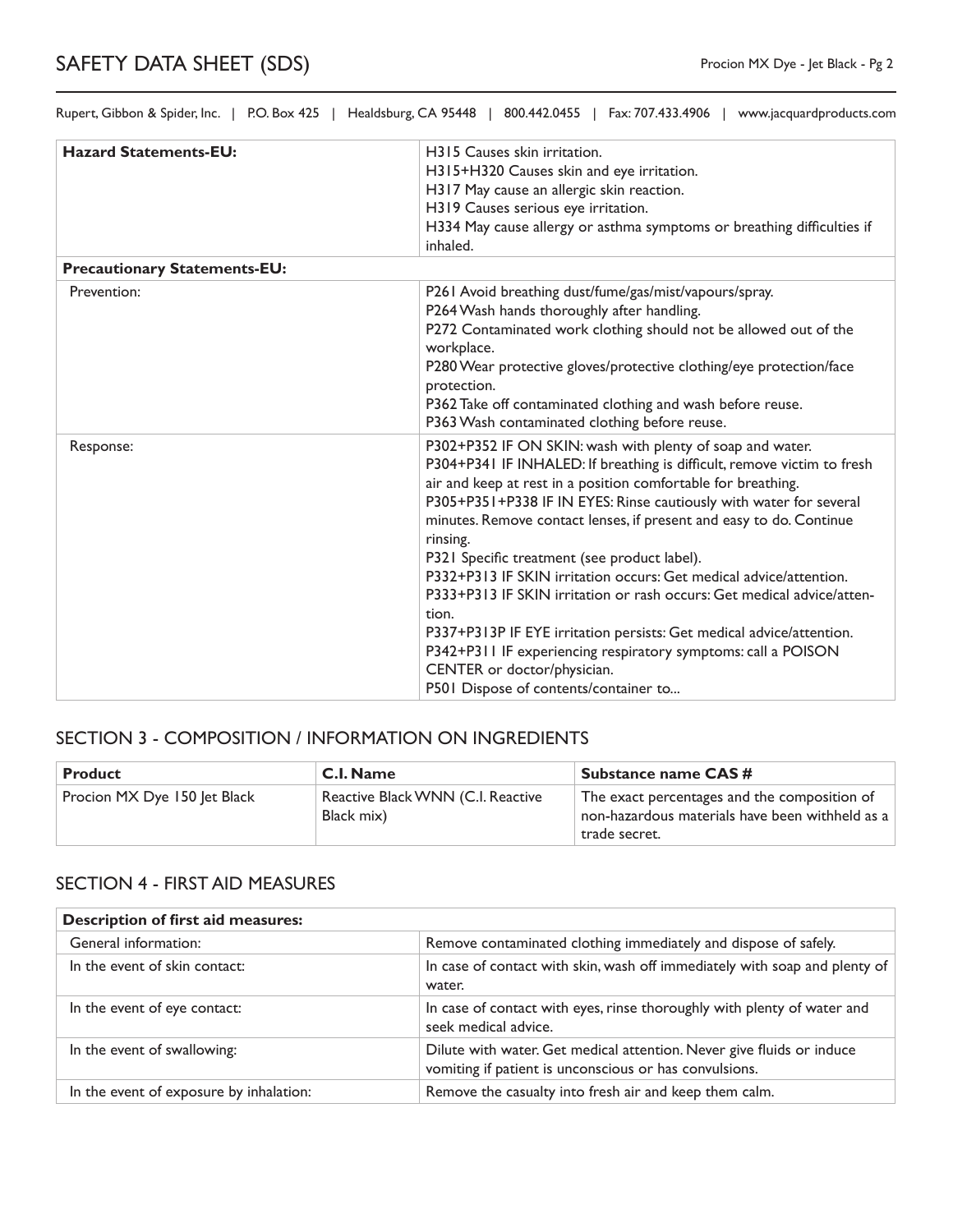| <b>Hazard Statements-EU:</b>        | H <sub>3</sub> I <sub>5</sub> Causes skin irritation.                                                                                                                                                                                                                                                                                                          |
|-------------------------------------|----------------------------------------------------------------------------------------------------------------------------------------------------------------------------------------------------------------------------------------------------------------------------------------------------------------------------------------------------------------|
|                                     | H315+H320 Causes skin and eye irritation.                                                                                                                                                                                                                                                                                                                      |
|                                     | H317 May cause an allergic skin reaction.                                                                                                                                                                                                                                                                                                                      |
|                                     | H319 Causes serious eye irritation.                                                                                                                                                                                                                                                                                                                            |
|                                     | H334 May cause allergy or asthma symptoms or breathing difficulties if<br>inhaled.                                                                                                                                                                                                                                                                             |
| <b>Precautionary Statements-EU:</b> |                                                                                                                                                                                                                                                                                                                                                                |
| Prevention:                         | P261 Avoid breathing dust/fume/gas/mist/vapours/spray.<br>P264 Wash hands thoroughly after handling.<br>P272 Contaminated work clothing should not be allowed out of the                                                                                                                                                                                       |
|                                     | workplace.<br>P280 Wear protective gloves/protective clothing/eye protection/face<br>protection.<br>P362 Take off contaminated clothing and wash before reuse.                                                                                                                                                                                                 |
|                                     | P363 Wash contaminated clothing before reuse.                                                                                                                                                                                                                                                                                                                  |
| Response:                           | P302+P352 IF ON SKIN: wash with plenty of soap and water.<br>P304+P341 IF INHALED: If breathing is difficult, remove victim to fresh<br>air and keep at rest in a position comfortable for breathing.<br>P305+P351+P338 IF IN EYES: Rinse cautiously with water for several<br>minutes. Remove contact lenses, if present and easy to do. Continue<br>rinsing. |
|                                     | P321 Specific treatment (see product label).                                                                                                                                                                                                                                                                                                                   |
|                                     | P332+P313 IF SKIN irritation occurs: Get medical advice/attention.                                                                                                                                                                                                                                                                                             |
|                                     | P333+P313 IF SKIN irritation or rash occurs: Get medical advice/atten-<br>tion.                                                                                                                                                                                                                                                                                |
|                                     | P337+P313P IF EYE irritation persists: Get medical advice/attention.                                                                                                                                                                                                                                                                                           |
|                                     | P342+P311 IF experiencing respiratory symptoms: call a POISON                                                                                                                                                                                                                                                                                                  |
|                                     | CENTER or doctor/physician.                                                                                                                                                                                                                                                                                                                                    |
|                                     | P501 Dispose of contents/container to                                                                                                                                                                                                                                                                                                                          |

## SECTION 3 - COMPOSITION / INFORMATION ON INGREDIENTS

| <b>Product</b>               | <b>C.I. Name</b>                                | <b>Substance name CAS#</b>                                                                                       |
|------------------------------|-------------------------------------------------|------------------------------------------------------------------------------------------------------------------|
| Procion MX Dye 150 Jet Black | Reactive Black WNN (C.I. Reactive<br>Black mix) | The exact percentages and the composition of<br>non-hazardous materials have been withheld as a<br>trade secret. |

# SECTION 4 - FIRST AID MEASURES

| <b>Description of first aid measures:</b> |                                                                                                                                 |
|-------------------------------------------|---------------------------------------------------------------------------------------------------------------------------------|
| General information:                      | Remove contaminated clothing immediately and dispose of safely.                                                                 |
| In the event of skin contact:             | In case of contact with skin, wash off immediately with soap and plenty of<br>water.                                            |
| In the event of eye contact:              | In case of contact with eyes, rinse thoroughly with plenty of water and<br>seek medical advice.                                 |
| In the event of swallowing:               | Dilute with water. Get medical attention. Never give fluids or induce<br>vomiting if patient is unconscious or has convulsions. |
| In the event of exposure by inhalation:   | Remove the casualty into fresh air and keep them calm.                                                                          |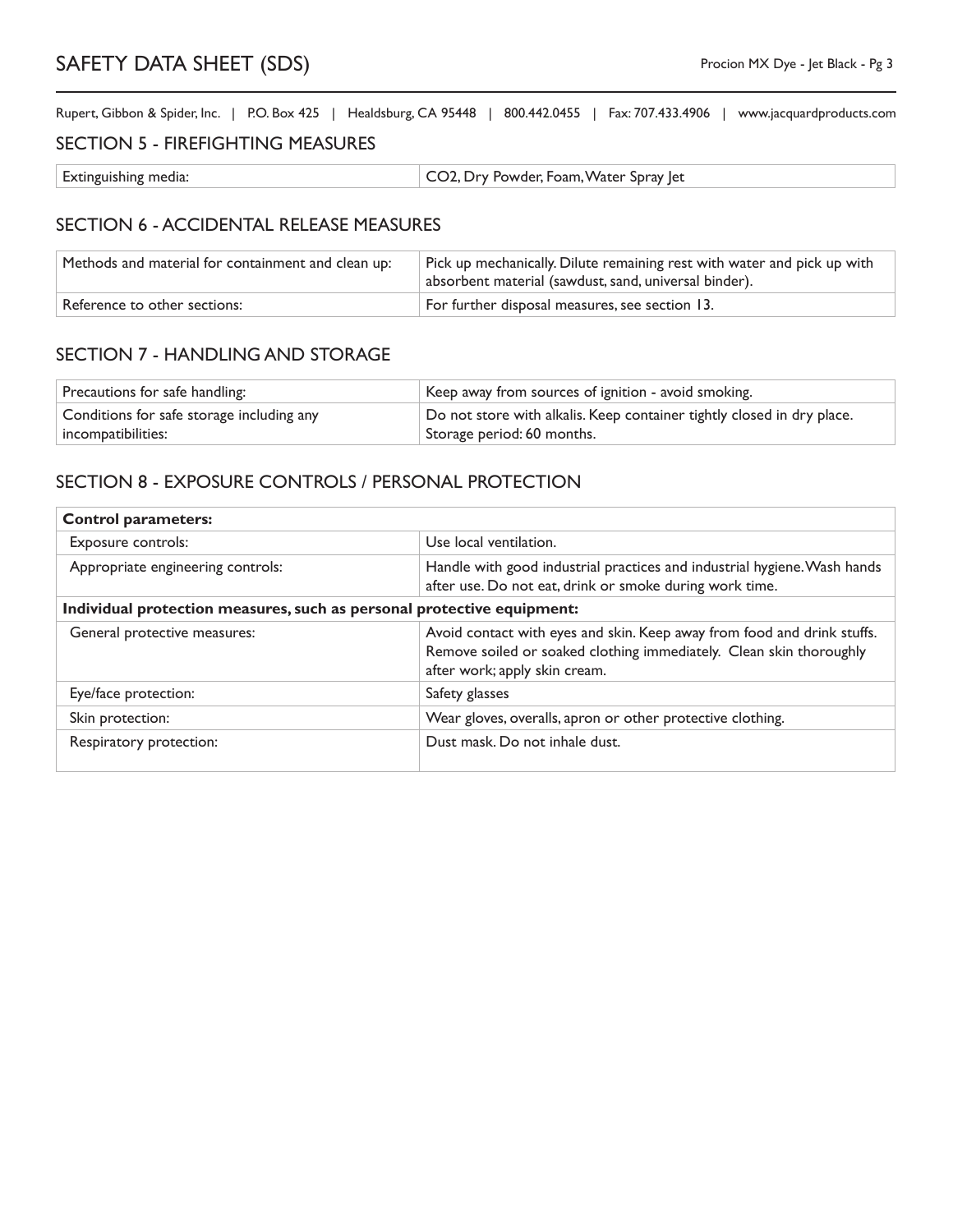#### SECTION 5 - FIREFIGHTING MEASURES

| Extinguishing media: | CO2, Dry Powder, Foam, Water Spray Jet |
|----------------------|----------------------------------------|

#### SECTION 6 - ACCIDENTAL RELEASE MEASURES

| Methods and material for containment and clean up: | Pick up mechanically. Dilute remaining rest with water and pick up with<br>absorbent material (sawdust, sand, universal binder). |
|----------------------------------------------------|----------------------------------------------------------------------------------------------------------------------------------|
| Reference to other sections:                       | For further disposal measures, see section 13.                                                                                   |

### SECTION 7 - HANDLING AND STORAGE

| Precautions for safe handling:            | Keep away from sources of ignition - avoid smoking.                    |
|-------------------------------------------|------------------------------------------------------------------------|
| Conditions for safe storage including any | Do not store with alkalis. Keep container tightly closed in dry place. |
| incompatibilities:                        | Storage period: 60 months.                                             |

### SECTION 8 - EXPOSURE CONTROLS / PERSONAL PROTECTION

| <b>Control parameters:</b>                                             |                                                                                                                                                                                 |  |
|------------------------------------------------------------------------|---------------------------------------------------------------------------------------------------------------------------------------------------------------------------------|--|
| Exposure controls:                                                     | Use local ventilation.                                                                                                                                                          |  |
| Appropriate engineering controls:                                      | Handle with good industrial practices and industrial hygiene. Wash hands<br>after use. Do not eat, drink or smoke during work time.                                             |  |
| Individual protection measures, such as personal protective equipment: |                                                                                                                                                                                 |  |
| General protective measures:                                           | Avoid contact with eyes and skin. Keep away from food and drink stuffs.<br>Remove soiled or soaked clothing immediately. Clean skin thoroughly<br>after work; apply skin cream. |  |
| Eye/face protection:                                                   | Safety glasses                                                                                                                                                                  |  |
| Skin protection:                                                       | Wear gloves, overalls, apron or other protective clothing.                                                                                                                      |  |
| Respiratory protection:                                                | Dust mask. Do not inhale dust.                                                                                                                                                  |  |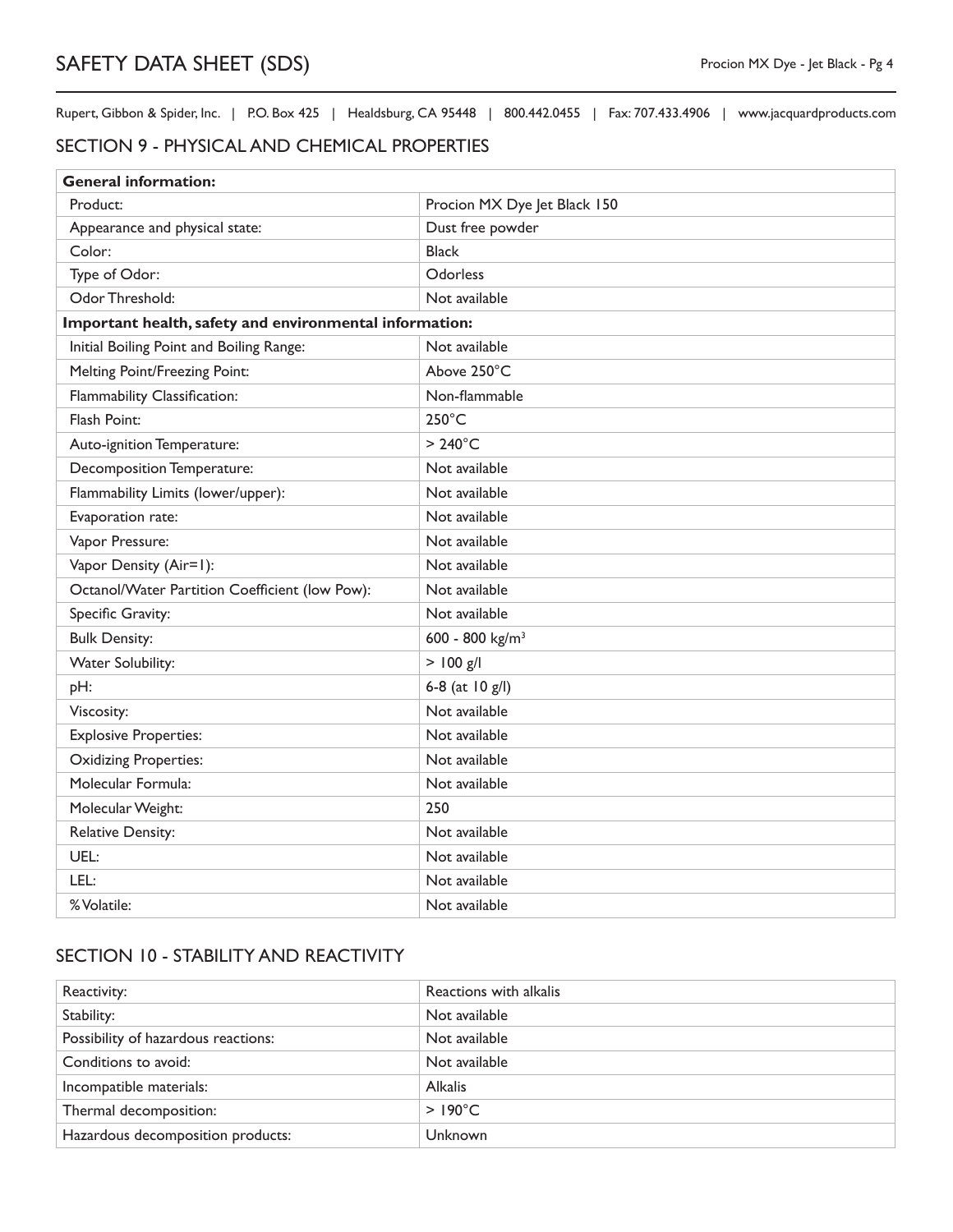#### SECTION 9 - PHYSICAL AND CHEMICAL PROPERTIES

| <b>General information:</b>                             |                              |  |
|---------------------------------------------------------|------------------------------|--|
| Product:                                                | Procion MX Dye Jet Black 150 |  |
| Appearance and physical state:                          | Dust free powder             |  |
| Color:                                                  | <b>Black</b>                 |  |
| Type of Odor:                                           | Odorless                     |  |
| Odor Threshold:                                         | Not available                |  |
| Important health, safety and environmental information: |                              |  |
| Initial Boiling Point and Boiling Range:                | Not available                |  |
| Melting Point/Freezing Point:                           | Above 250°C                  |  |
| Flammability Classification:                            | Non-flammable                |  |
| Flash Point:                                            | $250^{\circ}$ C              |  |
| Auto-ignition Temperature:                              | $>240^{\circ}$ C             |  |
| Decomposition Temperature:                              | Not available                |  |
| Flammability Limits (lower/upper):                      | Not available                |  |
| Evaporation rate:                                       | Not available                |  |
| Vapor Pressure:                                         | Not available                |  |
| Vapor Density (Air=1):                                  | Not available                |  |
| Octanol/Water Partition Coefficient (low Pow):          | Not available                |  |
| Specific Gravity:                                       | Not available                |  |
| <b>Bulk Density:</b>                                    | 600 - 800 kg/m <sup>3</sup>  |  |
| Water Solubility:                                       | $>$ 100 g/l                  |  |
| pH:                                                     | 6-8 (at 10 g/l)              |  |
| Viscosity:                                              | Not available                |  |
| <b>Explosive Properties:</b>                            | Not available                |  |
| <b>Oxidizing Properties:</b>                            | Not available                |  |
| Molecular Formula:                                      | Not available                |  |
| Molecular Weight:                                       | 250                          |  |
| <b>Relative Density:</b>                                | Not available                |  |
| UEL:                                                    | Not available                |  |
| LEL:                                                    | Not available                |  |
| % Volatile:                                             | Not available                |  |

# SECTION 10 - STABILITY AND REACTIVITY

| Reactivity:                         | Reactions with alkalis |
|-------------------------------------|------------------------|
| Stability:                          | Not available          |
| Possibility of hazardous reactions: | Not available          |
| Conditions to avoid:                | Not available          |
| Incompatible materials:             | <b>Alkalis</b>         |
| Thermal decomposition:              | $>190^{\circ}$ C       |
| Hazardous decomposition products:   | Unknown                |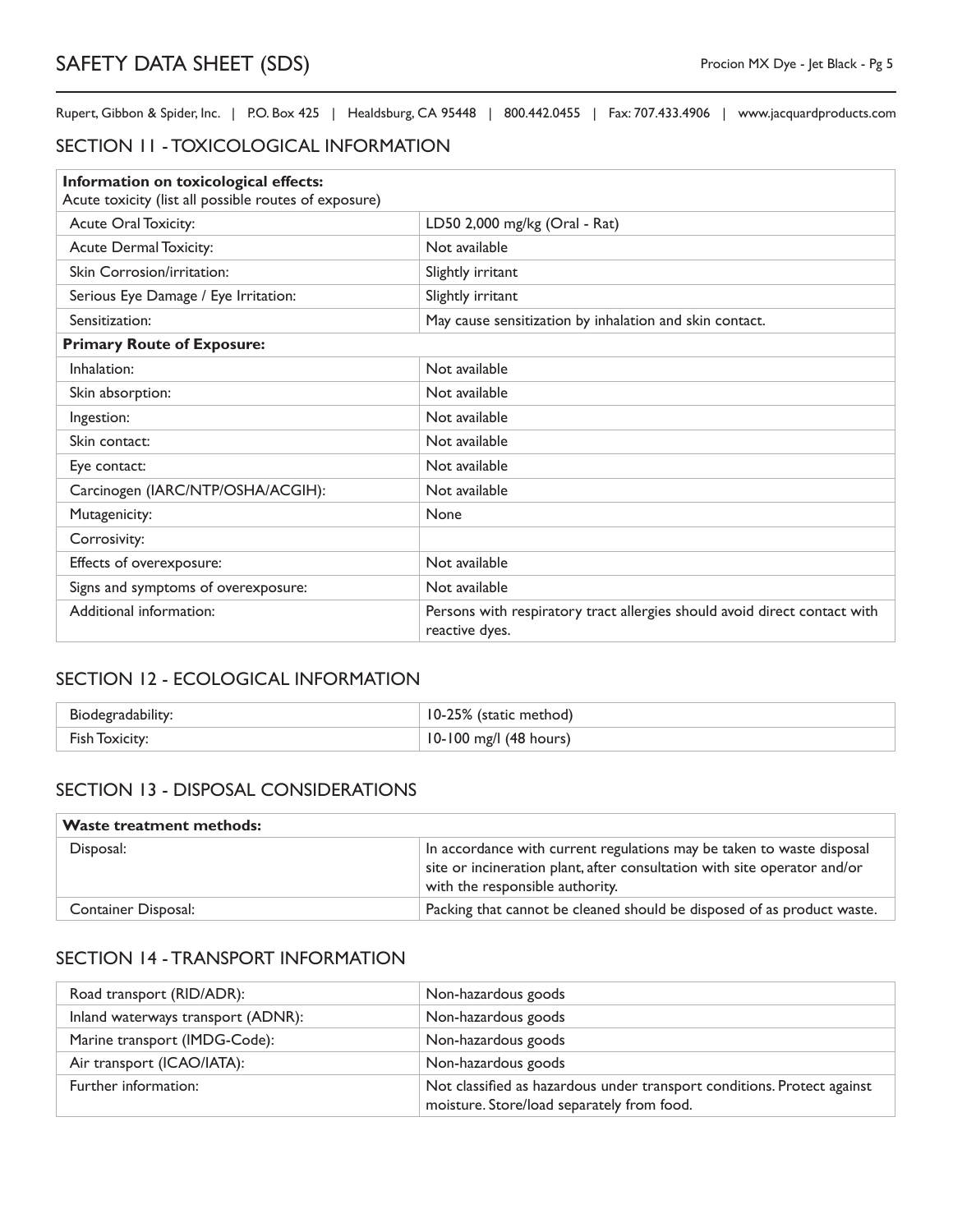## SECTION 11 - TOXICOLOGICAL INFORMATION

| Information on toxicological effects:<br>Acute toxicity (list all possible routes of exposure) |                                                                                             |
|------------------------------------------------------------------------------------------------|---------------------------------------------------------------------------------------------|
| Acute Oral Toxicity:                                                                           | LD50 2,000 mg/kg (Oral - Rat)                                                               |
| <b>Acute Dermal Toxicity:</b>                                                                  | Not available                                                                               |
| Skin Corrosion/irritation:                                                                     | Slightly irritant                                                                           |
| Serious Eye Damage / Eye Irritation:                                                           | Slightly irritant                                                                           |
| Sensitization:                                                                                 | May cause sensitization by inhalation and skin contact.                                     |
| <b>Primary Route of Exposure:</b>                                                              |                                                                                             |
| Inhalation:                                                                                    | Not available                                                                               |
| Skin absorption:                                                                               | Not available                                                                               |
| Ingestion:                                                                                     | Not available                                                                               |
| Skin contact:                                                                                  | Not available                                                                               |
| Eye contact:                                                                                   | Not available                                                                               |
| Carcinogen (IARC/NTP/OSHA/ACGIH):                                                              | Not available                                                                               |
| Mutagenicity:                                                                                  | None                                                                                        |
| Corrosivity:                                                                                   |                                                                                             |
| Effects of overexposure:                                                                       | Not available                                                                               |
| Signs and symptoms of overexposure:                                                            | Not available                                                                               |
| Additional information:                                                                        | Persons with respiratory tract allergies should avoid direct contact with<br>reactive dyes. |

# SECTION 12 - ECOLOGICAL INFORMATION

| Biodegradability: | 10-25% (static method) |
|-------------------|------------------------|
| Fish Toxicity:    | 10-100 mg/l (48 hours) |

## SECTION 13 - DISPOSAL CONSIDERATIONS

#### **Waste treatment methods:**

| Disposal:           | In accordance with current regulations may be taken to waste disposal<br>site or incineration plant, after consultation with site operator and/or<br>with the responsible authority. |
|---------------------|--------------------------------------------------------------------------------------------------------------------------------------------------------------------------------------|
| Container Disposal: | Packing that cannot be cleaned should be disposed of as product waste.                                                                                                               |

## SECTION 14 - TRANSPORT INFORMATION

| Road transport (RID/ADR):          | Non-hazardous goods                                                                                                   |
|------------------------------------|-----------------------------------------------------------------------------------------------------------------------|
| Inland waterways transport (ADNR): | Non-hazardous goods                                                                                                   |
| Marine transport (IMDG-Code):      | Non-hazardous goods                                                                                                   |
| Air transport (ICAO/IATA):         | Non-hazardous goods                                                                                                   |
| Further information:               | Not classified as hazardous under transport conditions. Protect against<br>moisture. Store/load separately from food. |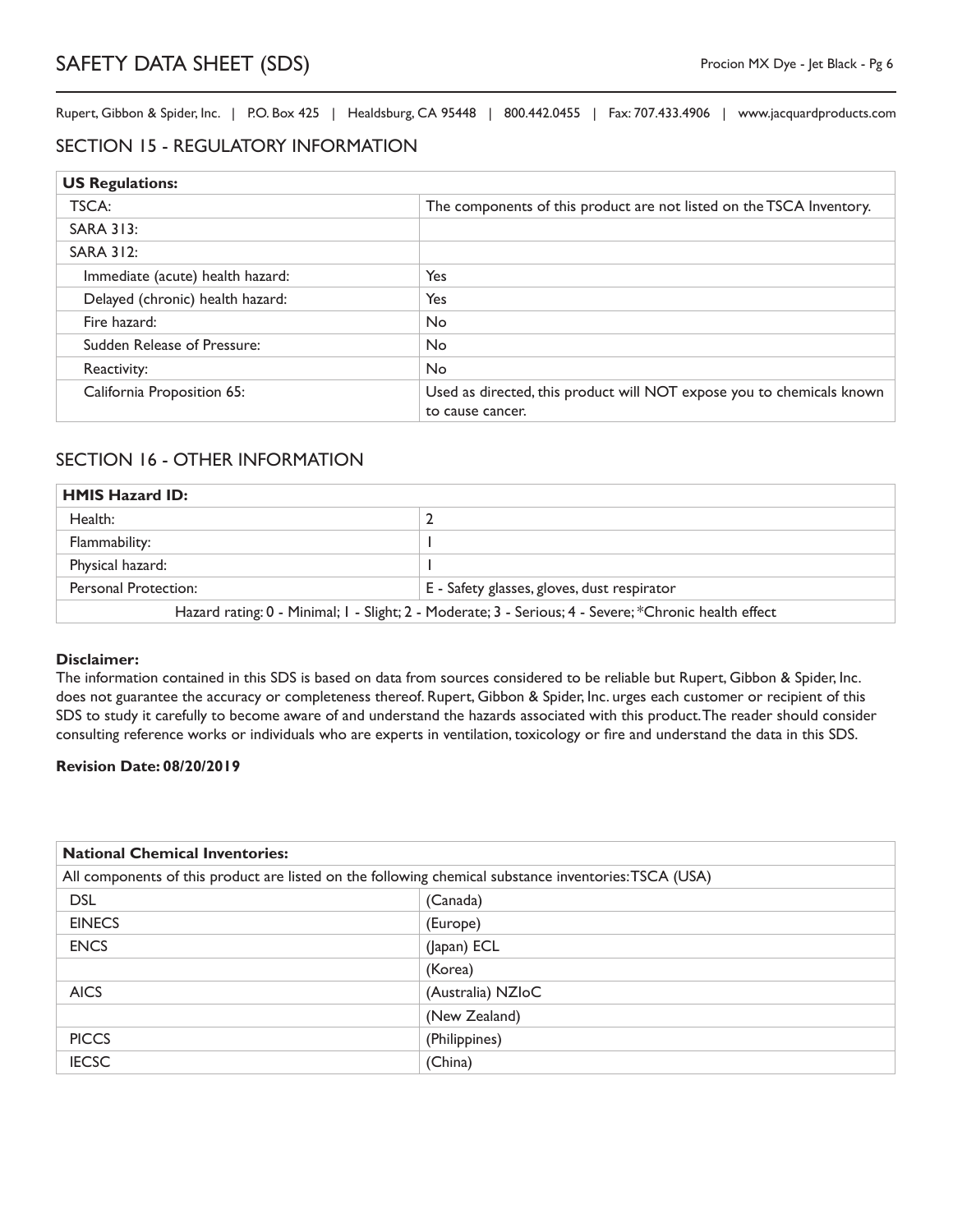#### SECTION 15 - REGULATORY INFORMATION

| <b>US Regulations:</b>           |                                                                                           |
|----------------------------------|-------------------------------------------------------------------------------------------|
| TSCA:                            | The components of this product are not listed on the TSCA Inventory.                      |
| SARA 313:                        |                                                                                           |
| <b>SARA 312:</b>                 |                                                                                           |
| Immediate (acute) health hazard: | Yes                                                                                       |
| Delayed (chronic) health hazard: | Yes                                                                                       |
| Fire hazard:                     | <b>No</b>                                                                                 |
| Sudden Release of Pressure:      | <b>No</b>                                                                                 |
| Reactivity:                      | <b>No</b>                                                                                 |
| California Proposition 65:       | Used as directed, this product will NOT expose you to chemicals known<br>to cause cancer. |

#### SECTION 16 - OTHER INFORMATION

| <b>HMIS Hazard ID:</b>                                                                                |                                             |
|-------------------------------------------------------------------------------------------------------|---------------------------------------------|
| Health:                                                                                               |                                             |
| Flammability:                                                                                         |                                             |
| Physical hazard:                                                                                      |                                             |
| Personal Protection:                                                                                  | E - Safety glasses, gloves, dust respirator |
| Hazard rating: 0 - Minimal; I - Slight; 2 - Moderate; 3 - Serious; 4 - Severe; *Chronic health effect |                                             |

#### **Disclaimer:**

The information contained in this SDS is based on data from sources considered to be reliable but Rupert, Gibbon & Spider, Inc. does not guarantee the accuracy or completeness thereof. Rupert, Gibbon & Spider, Inc. urges each customer or recipient of this SDS to study it carefully to become aware of and understand the hazards associated with this product. The reader should consider consulting reference works or individuals who are experts in ventilation, toxicology or fire and understand the data in this SDS.

#### **Revision Date: 08/20/2019**

| <b>National Chemical Inventories:</b> |                                                                                                       |
|---------------------------------------|-------------------------------------------------------------------------------------------------------|
|                                       | All components of this product are listed on the following chemical substance inventories: TSCA (USA) |
| <b>DSL</b>                            | (Canada)                                                                                              |
| <b>EINECS</b>                         | (Europe)                                                                                              |
| <b>ENCS</b>                           | (Japan) ECL                                                                                           |
|                                       | (Korea)                                                                                               |
| <b>AICS</b>                           | (Australia) NZIoC                                                                                     |
|                                       | (New Zealand)                                                                                         |
| <b>PICCS</b>                          | (Philippines)                                                                                         |
| <b>IECSC</b>                          | (China)                                                                                               |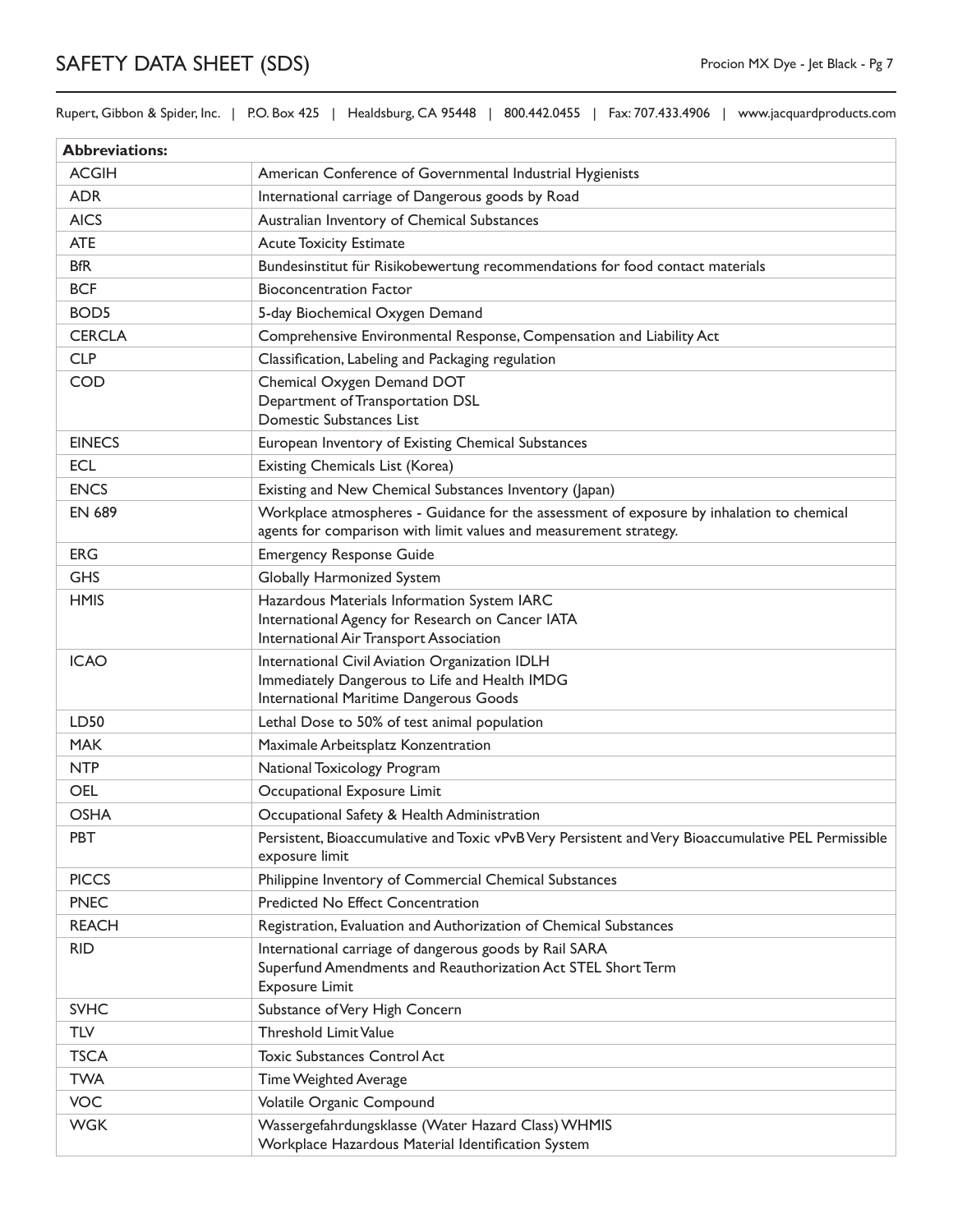Rupert, Gibbon & Spider, Inc. | P.O. Box 425 | Healdsburg, CA 95448 | 800.442.0455 | Fax: 707.433.4906 | www.jacquardproducts.com

| <b>Abbreviations:</b> |                                                                                                                                                                |
|-----------------------|----------------------------------------------------------------------------------------------------------------------------------------------------------------|
| <b>ACGIH</b>          | American Conference of Governmental Industrial Hygienists                                                                                                      |
| <b>ADR</b>            | International carriage of Dangerous goods by Road                                                                                                              |
| <b>AICS</b>           | Australian Inventory of Chemical Substances                                                                                                                    |
| <b>ATE</b>            | <b>Acute Toxicity Estimate</b>                                                                                                                                 |
| <b>BfR</b>            | Bundesinstitut für Risikobewertung recommendations for food contact materials                                                                                  |
| <b>BCF</b>            | <b>Bioconcentration Factor</b>                                                                                                                                 |
| BOD <sub>5</sub>      | 5-day Biochemical Oxygen Demand                                                                                                                                |
| <b>CERCLA</b>         | Comprehensive Environmental Response, Compensation and Liability Act                                                                                           |
| <b>CLP</b>            | Classification, Labeling and Packaging regulation                                                                                                              |
| <b>COD</b>            | Chemical Oxygen Demand DOT<br>Department of Transportation DSL<br>Domestic Substances List                                                                     |
| <b>EINECS</b>         | European Inventory of Existing Chemical Substances                                                                                                             |
| <b>ECL</b>            | Existing Chemicals List (Korea)                                                                                                                                |
| <b>ENCS</b>           | Existing and New Chemical Substances Inventory (Japan)                                                                                                         |
| <b>EN 689</b>         | Workplace atmospheres - Guidance for the assessment of exposure by inhalation to chemical<br>agents for comparison with limit values and measurement strategy. |
| <b>ERG</b>            | <b>Emergency Response Guide</b>                                                                                                                                |
| <b>GHS</b>            | Globally Harmonized System                                                                                                                                     |
| <b>HMIS</b>           | Hazardous Materials Information System IARC<br>International Agency for Research on Cancer IATA<br>International Air Transport Association                     |
| <b>ICAO</b>           | International Civil Aviation Organization IDLH<br>Immediately Dangerous to Life and Health IMDG<br>International Maritime Dangerous Goods                      |
| LD50                  | Lethal Dose to 50% of test animal population                                                                                                                   |
| <b>MAK</b>            | Maximale Arbeitsplatz Konzentration                                                                                                                            |
| <b>NTP</b>            | National Toxicology Program                                                                                                                                    |
| <b>OEL</b>            | Occupational Exposure Limit                                                                                                                                    |
| <b>OSHA</b>           | Occupational Safety & Health Administration                                                                                                                    |
| <b>PBT</b>            | Persistent, Bioaccumulative and Toxic vPvB Very Persistent and Very Bioaccumulative PEL Permissible<br>exposure limit                                          |
| <b>PICCS</b>          | Philippine Inventory of Commercial Chemical Substances                                                                                                         |
| <b>PNEC</b>           | Predicted No Effect Concentration                                                                                                                              |
| <b>REACH</b>          | Registration, Evaluation and Authorization of Chemical Substances                                                                                              |
| <b>RID</b>            | International carriage of dangerous goods by Rail SARA<br>Superfund Amendments and Reauthorization Act STEL Short Term<br><b>Exposure Limit</b>                |
| <b>SVHC</b>           | Substance of Very High Concern                                                                                                                                 |
| <b>TLV</b>            | <b>Threshold Limit Value</b>                                                                                                                                   |
| <b>TSCA</b>           | <b>Toxic Substances Control Act</b>                                                                                                                            |
| <b>TWA</b>            | Time Weighted Average                                                                                                                                          |
| <b>VOC</b>            | Volatile Organic Compound                                                                                                                                      |
| <b>WGK</b>            | Wassergefahrdungsklasse (Water Hazard Class) WHMIS<br>Workplace Hazardous Material Identification System                                                       |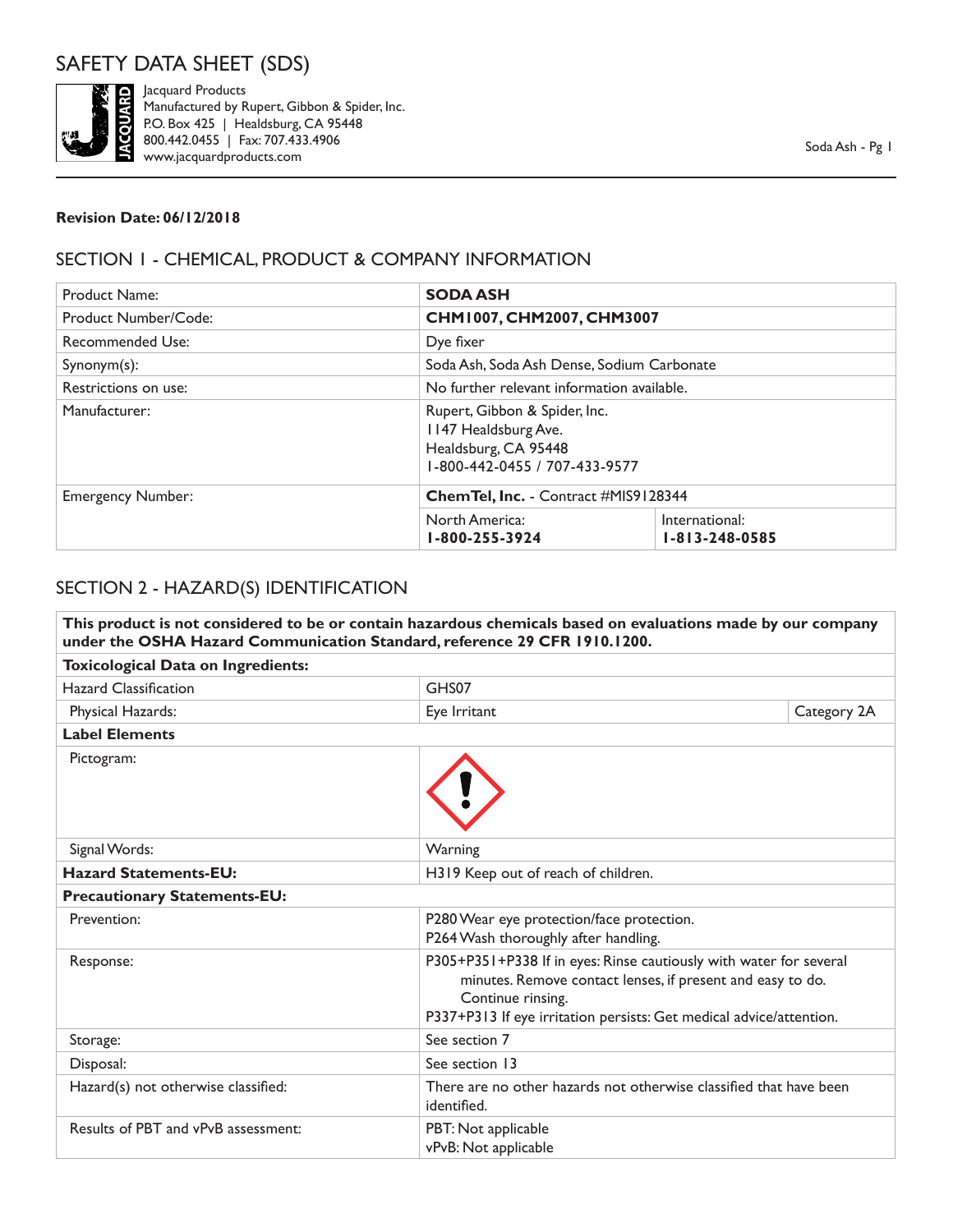

Jacquard Products Manufactured by Rupert, Gibbon & Spider, Inc. P.O. Box 425 | Healdsburg, CA 95448 800.442.0455 | Fax: 707.433.4906 www.jacquardproducts.com

#### **Revision Date: 06/12/2018**

### SECTION 1 - CHEMICAL, PRODUCT & COMPANY INFORMATION

| <b>Product Name:</b>     | <b>SODA ASH</b>                                                                                                |                                            |  |
|--------------------------|----------------------------------------------------------------------------------------------------------------|--------------------------------------------|--|
| Product Number/Code:     |                                                                                                                | CHM1007, CHM2007, CHM3007                  |  |
| Recommended Use:         | Dye fixer                                                                                                      |                                            |  |
| $Symonym(s)$ :           |                                                                                                                | Soda Ash, Soda Ash Dense, Sodium Carbonate |  |
| Restrictions on use:     |                                                                                                                | No further relevant information available. |  |
| Manufacturer:            | Rupert, Gibbon & Spider, Inc.<br>1147 Healdsburg Ave.<br>Healdsburg, CA 95448<br>1-800-442-0455 / 707-433-9577 |                                            |  |
| <b>Emergency Number:</b> | Chem Tel, Inc. - Contract #MIS9128344                                                                          |                                            |  |
|                          | North America:<br>1-800-255-3924                                                                               | International:<br>$1 - 813 - 248 - 0585$   |  |

#### SECTION 2 - HAZARD(S) IDENTIFICATION

| This product is not considered to be or contain hazardous chemicals based on evaluations made by our company<br>under the OSHA Hazard Communication Standard, reference 29 CFR 1910.1200. |                                                                                                                                                                                                                              |             |  |
|-------------------------------------------------------------------------------------------------------------------------------------------------------------------------------------------|------------------------------------------------------------------------------------------------------------------------------------------------------------------------------------------------------------------------------|-------------|--|
| <b>Toxicological Data on Ingredients:</b>                                                                                                                                                 |                                                                                                                                                                                                                              |             |  |
| <b>Hazard Classification</b>                                                                                                                                                              | GHS07                                                                                                                                                                                                                        |             |  |
| Physical Hazards:                                                                                                                                                                         | Eye Irritant                                                                                                                                                                                                                 | Category 2A |  |
| <b>Label Elements</b>                                                                                                                                                                     |                                                                                                                                                                                                                              |             |  |
| Pictogram:                                                                                                                                                                                |                                                                                                                                                                                                                              |             |  |
| Signal Words:                                                                                                                                                                             | Warning                                                                                                                                                                                                                      |             |  |
| <b>Hazard Statements-EU:</b>                                                                                                                                                              | H319 Keep out of reach of children.                                                                                                                                                                                          |             |  |
| <b>Precautionary Statements-EU:</b>                                                                                                                                                       |                                                                                                                                                                                                                              |             |  |
| Prevention:                                                                                                                                                                               | P280 Wear eye protection/face protection.<br>P264 Wash thoroughly after handling.                                                                                                                                            |             |  |
| Response:                                                                                                                                                                                 | P305+P351+P338 If in eyes: Rinse cautiously with water for several<br>minutes. Remove contact lenses, if present and easy to do.<br>Continue rinsing.<br>P337+P313 If eye irritation persists: Get medical advice/attention. |             |  |
| Storage:                                                                                                                                                                                  | See section 7                                                                                                                                                                                                                |             |  |
| Disposal:                                                                                                                                                                                 | See section 13                                                                                                                                                                                                               |             |  |
| Hazard(s) not otherwise classified:                                                                                                                                                       | There are no other hazards not otherwise classified that have been<br>identified.                                                                                                                                            |             |  |
| Results of PBT and vPvB assessment:                                                                                                                                                       | PBT: Not applicable<br>vPvB: Not applicable                                                                                                                                                                                  |             |  |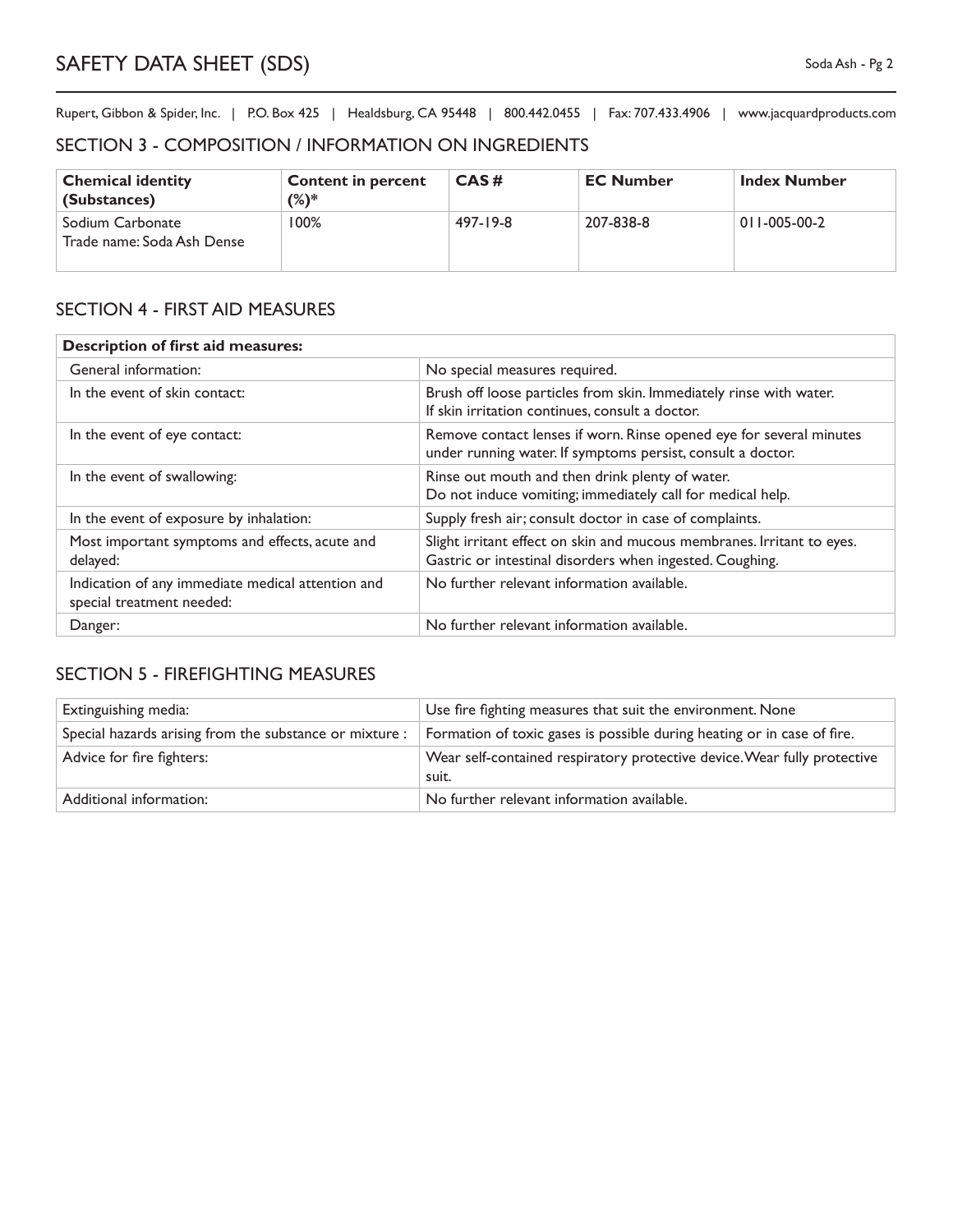#### SECTION 3 - COMPOSITION / INFORMATION ON INGREDIENTS

| <b>Chemical identity</b><br>(Substances)       | <b>Content in percent</b><br>$(\%)^*$ | CAS#     | <b>EC Number</b> | <b>Index Number</b>  |
|------------------------------------------------|---------------------------------------|----------|------------------|----------------------|
| Sodium Carbonate<br>Trade name: Soda Ash Dense | 100%                                  | 497-19-8 | 207-838-8        | $011 - 005 - 00 - 2$ |

### SECTION 4 - FIRST AID MEASURES

| <b>Description of first aid measures:</b>                                      |                                                                                                                                    |  |
|--------------------------------------------------------------------------------|------------------------------------------------------------------------------------------------------------------------------------|--|
| General information:                                                           | No special measures required.                                                                                                      |  |
| In the event of skin contact:                                                  | Brush off loose particles from skin. Immediately rinse with water.<br>If skin irritation continues, consult a doctor.              |  |
| In the event of eye contact:                                                   | Remove contact lenses if worn. Rinse opened eye for several minutes<br>under running water. If symptoms persist, consult a doctor. |  |
| In the event of swallowing:                                                    | Rinse out mouth and then drink plenty of water.<br>Do not induce vomiting; immediately call for medical help.                      |  |
| In the event of exposure by inhalation:                                        | Supply fresh air; consult doctor in case of complaints.                                                                            |  |
| Most important symptoms and effects, acute and<br>delayed:                     | Slight irritant effect on skin and mucous membranes. Irritant to eyes.<br>Gastric or intestinal disorders when ingested. Coughing. |  |
| Indication of any immediate medical attention and<br>special treatment needed: | No further relevant information available.                                                                                         |  |
| Danger:                                                                        | No further relevant information available.                                                                                         |  |

## SECTION 5 - FIREFIGHTING MEASURES

| Extinguishing media:                                    | Use fire fighting measures that suit the environment. None                        |
|---------------------------------------------------------|-----------------------------------------------------------------------------------|
| Special hazards arising from the substance or mixture : | Formation of toxic gases is possible during heating or in case of fire.           |
| Advice for fire fighters:                               | Wear self-contained respiratory protective device. Wear fully protective<br>suit. |
| Additional information:                                 | No further relevant information available.                                        |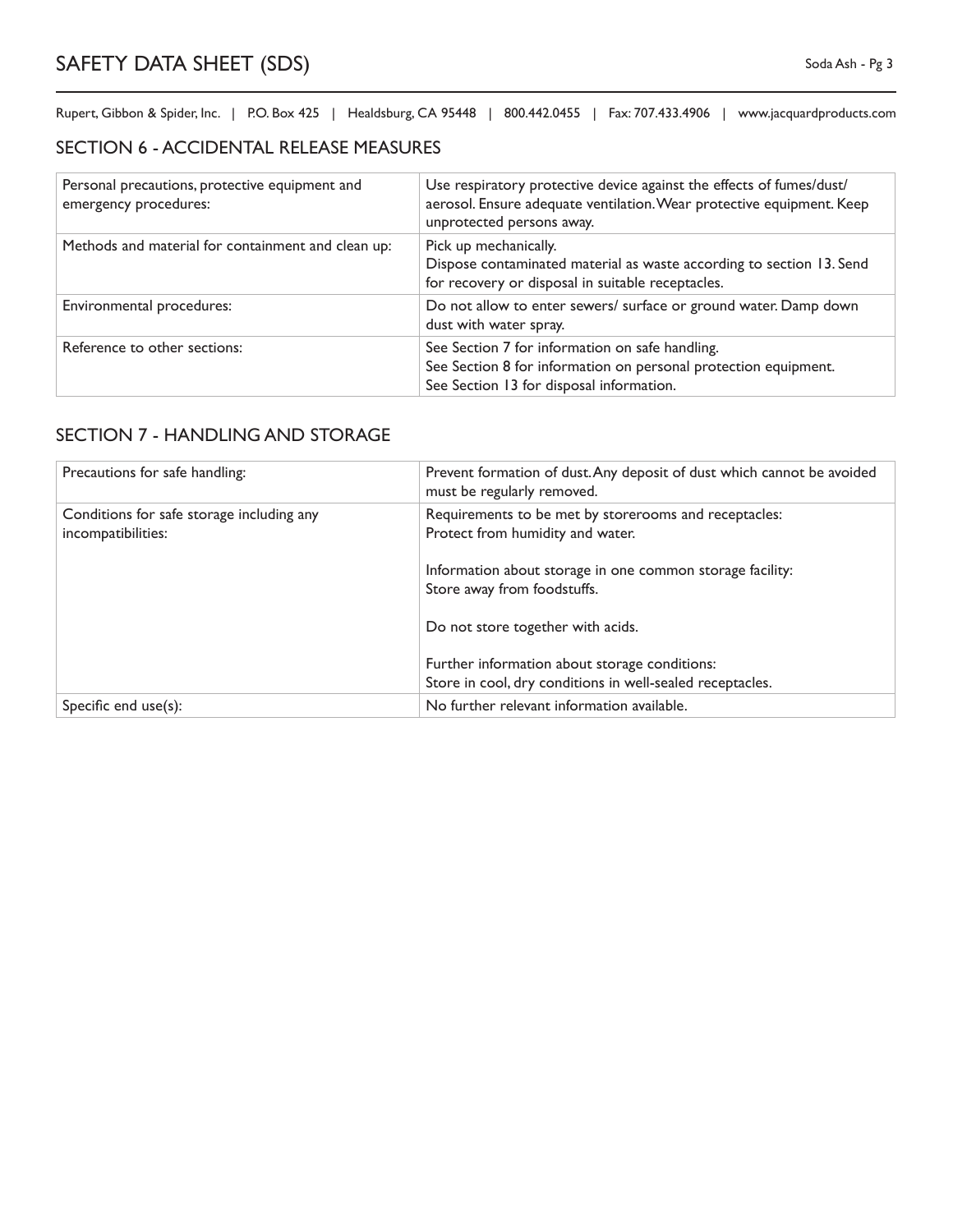## SECTION 6 - ACCIDENTAL RELEASE MEASURES

| Personal precautions, protective equipment and<br>emergency procedures: | Use respiratory protective device against the effects of fumes/dust/<br>aerosol. Ensure adequate ventilation. Wear protective equipment. Keep<br>unprotected persons away. |
|-------------------------------------------------------------------------|----------------------------------------------------------------------------------------------------------------------------------------------------------------------------|
| Methods and material for containment and clean up:                      | Pick up mechanically.<br>Dispose contaminated material as waste according to section 13. Send<br>for recovery or disposal in suitable receptacles.                         |
| Environmental procedures:                                               | Do not allow to enter sewers/ surface or ground water. Damp down<br>dust with water spray.                                                                                 |
| Reference to other sections:                                            | See Section 7 for information on safe handling.<br>See Section 8 for information on personal protection equipment.<br>See Section 13 for disposal information.             |

# SECTION 7 - HANDLING AND STORAGE

| Precautions for safe handling:                                  | Prevent formation of dust. Any deposit of dust which cannot be avoided<br>must be regularly removed.       |
|-----------------------------------------------------------------|------------------------------------------------------------------------------------------------------------|
| Conditions for safe storage including any<br>incompatibilities: | Requirements to be met by storerooms and receptacles:<br>Protect from humidity and water.                  |
|                                                                 | Information about storage in one common storage facility:<br>Store away from foodstuffs.                   |
|                                                                 | Do not store together with acids.                                                                          |
|                                                                 | Further information about storage conditions:<br>Store in cool, dry conditions in well-sealed receptacles. |
| Specific end $use(s)$ :                                         | No further relevant information available.                                                                 |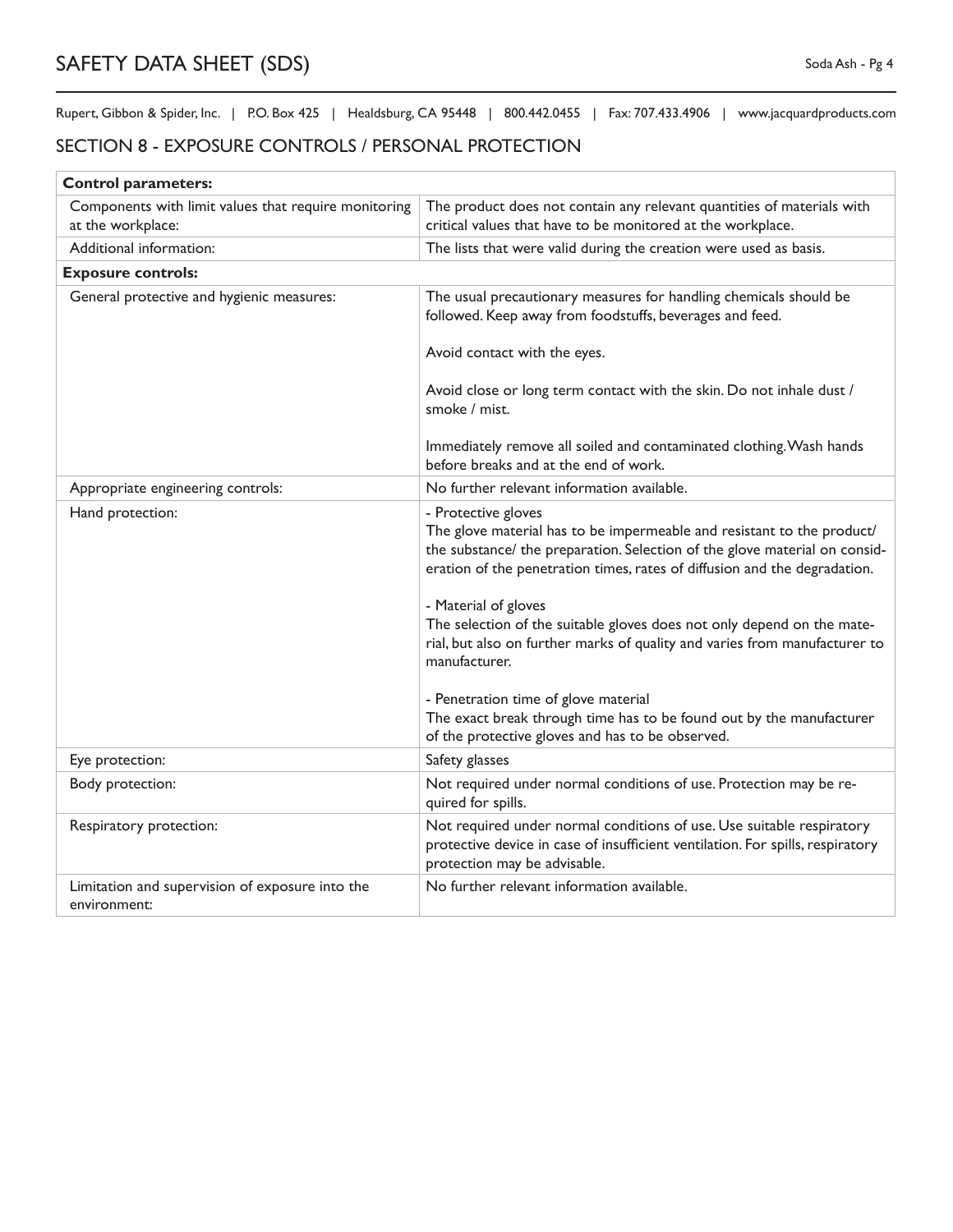#### SECTION 8 - EXPOSURE CONTROLS / PERSONAL PROTECTION

| <b>Control parameters:</b>                                                |                                                                                                                                                                                                                                                          |
|---------------------------------------------------------------------------|----------------------------------------------------------------------------------------------------------------------------------------------------------------------------------------------------------------------------------------------------------|
| Components with limit values that require monitoring<br>at the workplace: | The product does not contain any relevant quantities of materials with<br>critical values that have to be monitored at the workplace.                                                                                                                    |
| Additional information:                                                   | The lists that were valid during the creation were used as basis.                                                                                                                                                                                        |
| <b>Exposure controls:</b>                                                 |                                                                                                                                                                                                                                                          |
| General protective and hygienic measures:                                 | The usual precautionary measures for handling chemicals should be<br>followed. Keep away from foodstuffs, beverages and feed.                                                                                                                            |
|                                                                           | Avoid contact with the eyes.                                                                                                                                                                                                                             |
|                                                                           | Avoid close or long term contact with the skin. Do not inhale dust /<br>smoke / mist.                                                                                                                                                                    |
|                                                                           | Immediately remove all soiled and contaminated clothing. Wash hands<br>before breaks and at the end of work.                                                                                                                                             |
| Appropriate engineering controls:                                         | No further relevant information available.                                                                                                                                                                                                               |
| Hand protection:                                                          | - Protective gloves<br>The glove material has to be impermeable and resistant to the product/<br>the substance/ the preparation. Selection of the glove material on consid-<br>eration of the penetration times, rates of diffusion and the degradation. |
|                                                                           | - Material of gloves<br>The selection of the suitable gloves does not only depend on the mate-<br>rial, but also on further marks of quality and varies from manufacturer to<br>manufacturer.                                                            |
|                                                                           | - Penetration time of glove material<br>The exact break through time has to be found out by the manufacturer<br>of the protective gloves and has to be observed.                                                                                         |
| Eye protection:                                                           | Safety glasses                                                                                                                                                                                                                                           |
| Body protection:                                                          | Not required under normal conditions of use. Protection may be re-<br>quired for spills.                                                                                                                                                                 |
| Respiratory protection:                                                   | Not required under normal conditions of use. Use suitable respiratory<br>protective device in case of insufficient ventilation. For spills, respiratory<br>protection may be advisable.                                                                  |
| Limitation and supervision of exposure into the<br>environment:           | No further relevant information available.                                                                                                                                                                                                               |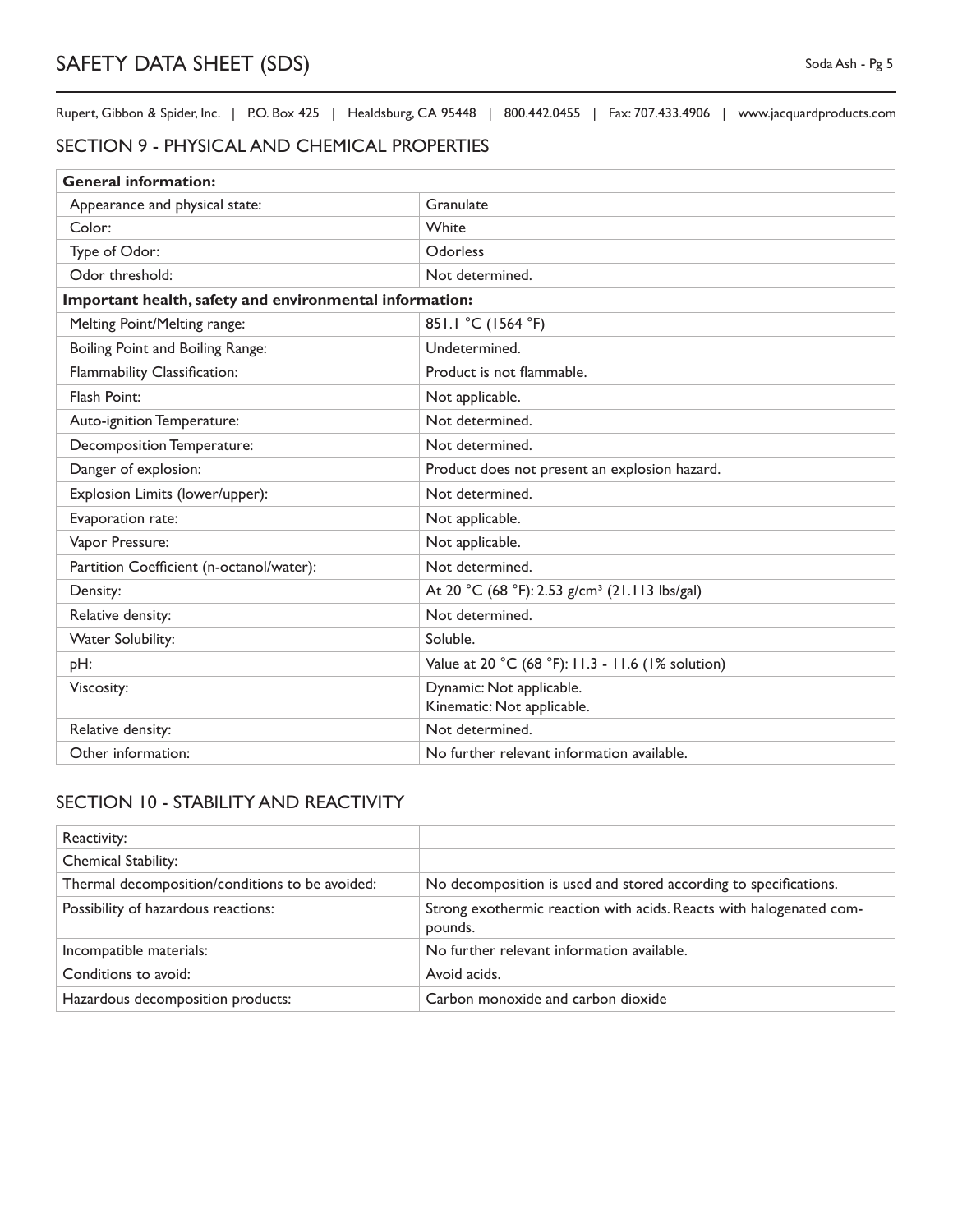#### SECTION 9 - PHYSICAL AND CHEMICAL PROPERTIES

| <b>General information:</b>                             |                                                           |  |  |
|---------------------------------------------------------|-----------------------------------------------------------|--|--|
| Appearance and physical state:                          | Granulate                                                 |  |  |
| Color:                                                  | White                                                     |  |  |
| Type of Odor:                                           | Odorless                                                  |  |  |
| Odor threshold:                                         | Not determined.                                           |  |  |
| Important health, safety and environmental information: |                                                           |  |  |
| Melting Point/Melting range:                            | 851.1 °C (1564 °F)                                        |  |  |
| Boiling Point and Boiling Range:                        | Undetermined.                                             |  |  |
| Flammability Classification:                            | Product is not flammable.                                 |  |  |
| Flash Point:                                            | Not applicable.                                           |  |  |
| Auto-ignition Temperature:                              | Not determined.                                           |  |  |
| Decomposition Temperature:                              | Not determined.                                           |  |  |
| Danger of explosion:                                    | Product does not present an explosion hazard.             |  |  |
| Explosion Limits (lower/upper):                         | Not determined.                                           |  |  |
| Evaporation rate:                                       | Not applicable.                                           |  |  |
| Vapor Pressure:                                         | Not applicable.                                           |  |  |
| Partition Coefficient (n-octanol/water):                | Not determined.                                           |  |  |
| Density:                                                | At 20 °C (68 °F): 2.53 g/cm <sup>3</sup> (21.113 lbs/gal) |  |  |
| Relative density:                                       | Not determined.                                           |  |  |
| Water Solubility:                                       | Soluble.                                                  |  |  |
| pH:                                                     | Value at 20 °C (68 °F): 11.3 - 11.6 (1% solution)         |  |  |
| Viscosity:                                              | Dynamic: Not applicable.                                  |  |  |
|                                                         | Kinematic: Not applicable.                                |  |  |
| Relative density:                                       | Not determined.                                           |  |  |
| Other information:                                      | No further relevant information available.                |  |  |

#### SECTION 10 - STABILITY AND REACTIVITY

| Reactivity:                                     |                                                                                |
|-------------------------------------------------|--------------------------------------------------------------------------------|
| Chemical Stability:                             |                                                                                |
| Thermal decomposition/conditions to be avoided: | No decomposition is used and stored according to specifications.               |
| Possibility of hazardous reactions:             | Strong exothermic reaction with acids. Reacts with halogenated com-<br>pounds. |
| Incompatible materials:                         | No further relevant information available.                                     |
| Conditions to avoid:                            | Avoid acids.                                                                   |
| Hazardous decomposition products:               | Carbon monoxide and carbon dioxide                                             |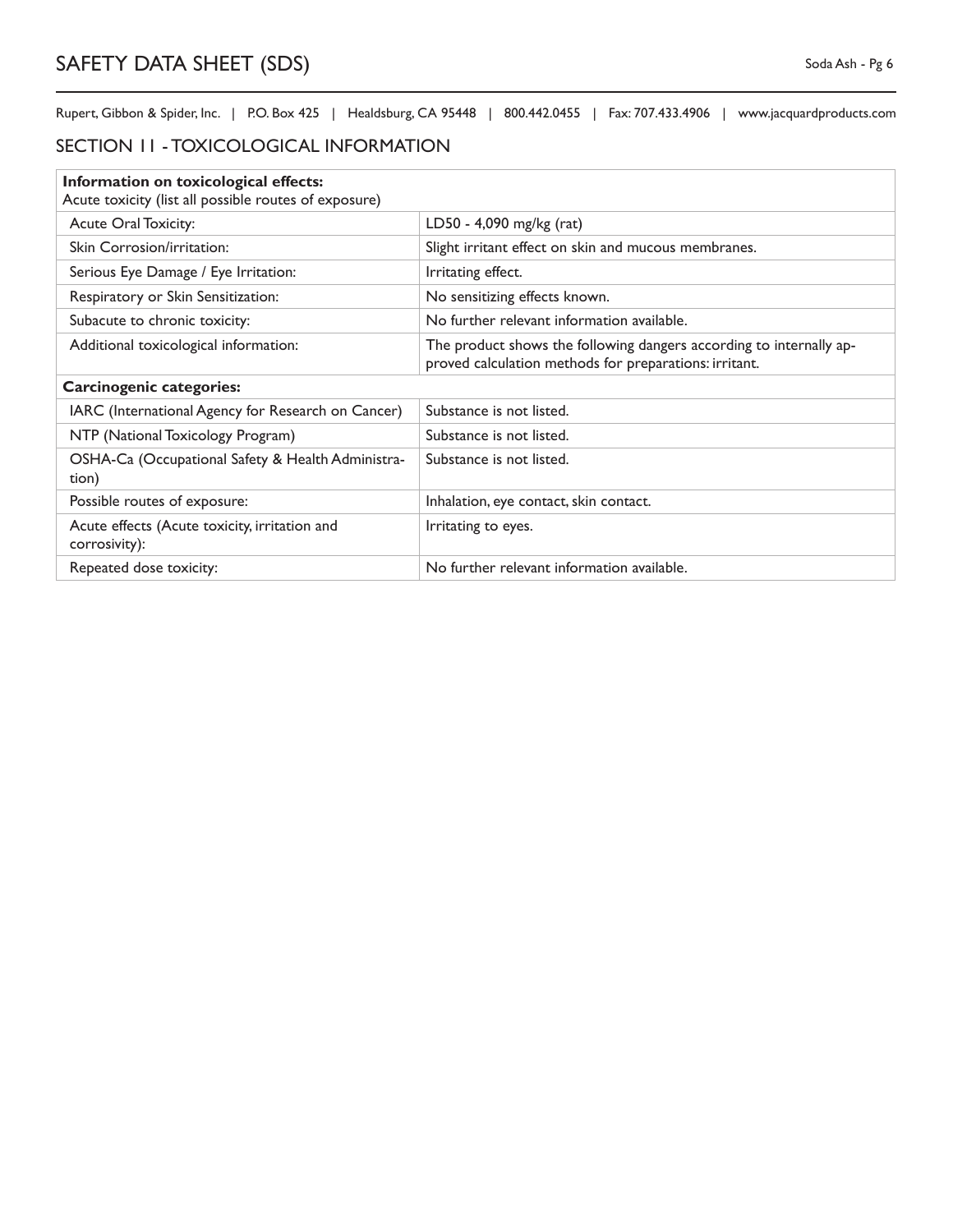## SECTION 11 - TOXICOLOGICAL INFORMATION

| Information on toxicological effects:                          |                                                                                                                               |  |
|----------------------------------------------------------------|-------------------------------------------------------------------------------------------------------------------------------|--|
| Acute toxicity (list all possible routes of exposure)          |                                                                                                                               |  |
| Acute Oral Toxicity:                                           | LD50 - 4,090 mg/kg (rat)                                                                                                      |  |
| Skin Corrosion/irritation:                                     | Slight irritant effect on skin and mucous membranes.                                                                          |  |
| Serious Eye Damage / Eye Irritation:                           | Irritating effect.                                                                                                            |  |
| Respiratory or Skin Sensitization:                             | No sensitizing effects known.                                                                                                 |  |
| Subacute to chronic toxicity:                                  | No further relevant information available.                                                                                    |  |
| Additional toxicological information:                          | The product shows the following dangers according to internally ap-<br>proved calculation methods for preparations: irritant. |  |
| <b>Carcinogenic categories:</b>                                |                                                                                                                               |  |
| IARC (International Agency for Research on Cancer)             | Substance is not listed.                                                                                                      |  |
| NTP (National Toxicology Program)                              | Substance is not listed.                                                                                                      |  |
| OSHA-Ca (Occupational Safety & Health Administra-<br>tion)     | Substance is not listed.                                                                                                      |  |
| Possible routes of exposure:                                   | Inhalation, eye contact, skin contact.                                                                                        |  |
| Acute effects (Acute toxicity, irritation and<br>corrosivity): | Irritating to eyes.                                                                                                           |  |
| Repeated dose toxicity:                                        | No further relevant information available.                                                                                    |  |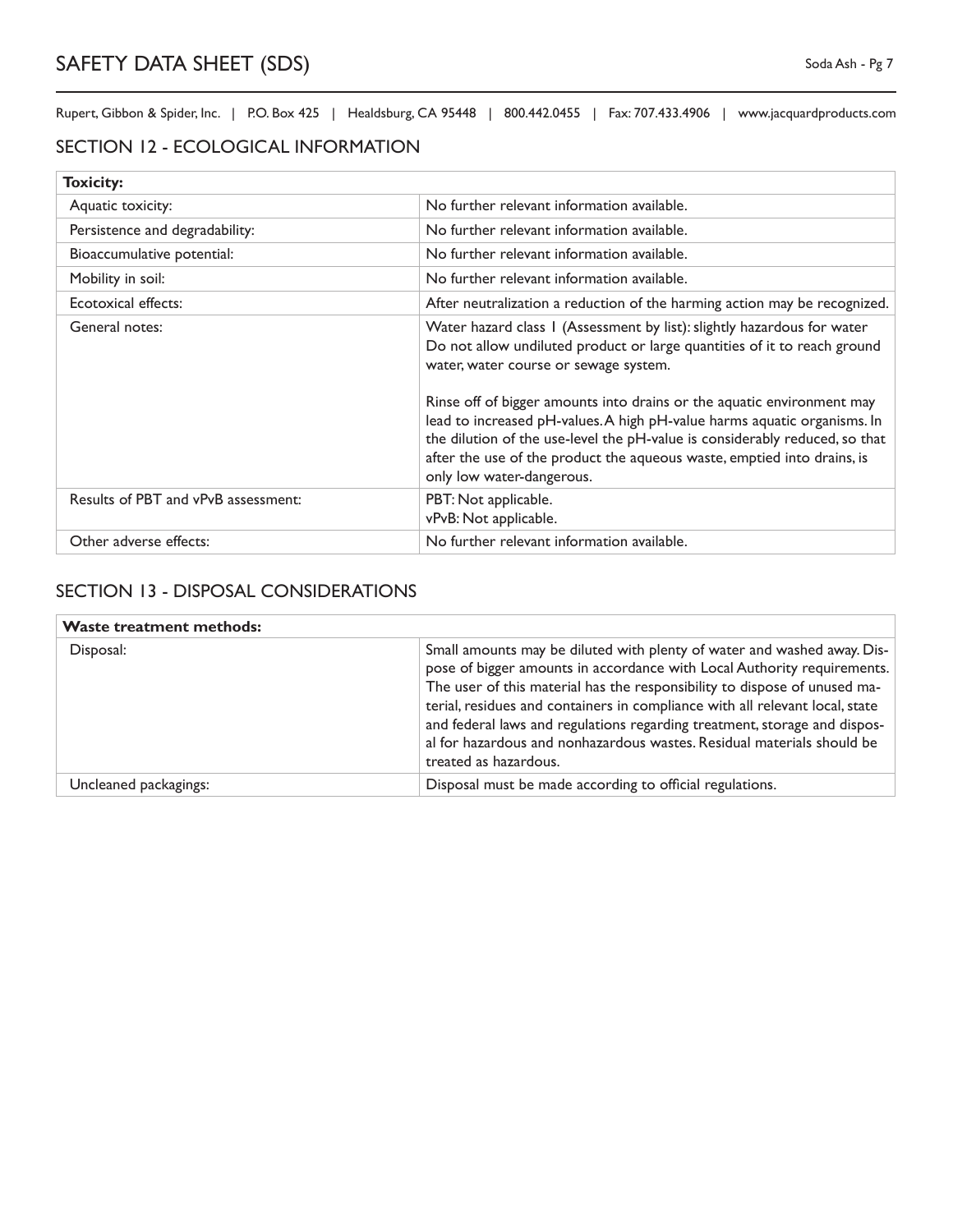#### SECTION 12 - ECOLOGICAL INFORMATION

| <b>Toxicity:</b>                    |                                                                                                                                                                                                                                                                                                                                                                                                                                                                                                                                           |
|-------------------------------------|-------------------------------------------------------------------------------------------------------------------------------------------------------------------------------------------------------------------------------------------------------------------------------------------------------------------------------------------------------------------------------------------------------------------------------------------------------------------------------------------------------------------------------------------|
| Aquatic toxicity:                   | No further relevant information available.                                                                                                                                                                                                                                                                                                                                                                                                                                                                                                |
| Persistence and degradability:      | No further relevant information available.                                                                                                                                                                                                                                                                                                                                                                                                                                                                                                |
| Bioaccumulative potential:          | No further relevant information available.                                                                                                                                                                                                                                                                                                                                                                                                                                                                                                |
| Mobility in soil:                   | No further relevant information available.                                                                                                                                                                                                                                                                                                                                                                                                                                                                                                |
| Ecotoxical effects:                 | After neutralization a reduction of the harming action may be recognized.                                                                                                                                                                                                                                                                                                                                                                                                                                                                 |
| General notes:                      | Water hazard class 1 (Assessment by list): slightly hazardous for water<br>Do not allow undiluted product or large quantities of it to reach ground<br>water, water course or sewage system.<br>Rinse off of bigger amounts into drains or the aquatic environment may<br>lead to increased pH-values. A high pH-value harms aquatic organisms. In<br>the dilution of the use-level the pH-value is considerably reduced, so that<br>after the use of the product the aqueous waste, emptied into drains, is<br>only low water-dangerous. |
| Results of PBT and vPvB assessment: | PBT: Not applicable.<br>vPvB: Not applicable.                                                                                                                                                                                                                                                                                                                                                                                                                                                                                             |
| Other adverse effects:              | No further relevant information available.                                                                                                                                                                                                                                                                                                                                                                                                                                                                                                |

# SECTION 13 - DISPOSAL CONSIDERATIONS

| <b>Waste treatment methods:</b> |                                                                                                                                                                                                                                                                                                                                                                                                                                                                                                 |
|---------------------------------|-------------------------------------------------------------------------------------------------------------------------------------------------------------------------------------------------------------------------------------------------------------------------------------------------------------------------------------------------------------------------------------------------------------------------------------------------------------------------------------------------|
| Disposal:                       | Small amounts may be diluted with plenty of water and washed away. Dis-<br>pose of bigger amounts in accordance with Local Authority requirements.<br>The user of this material has the responsibility to dispose of unused ma-<br>terial, residues and containers in compliance with all relevant local, state<br>and federal laws and regulations regarding treatment, storage and dispos-<br>al for hazardous and nonhazardous wastes. Residual materials should be<br>treated as hazardous. |
| Uncleaned packagings:           | Disposal must be made according to official regulations.                                                                                                                                                                                                                                                                                                                                                                                                                                        |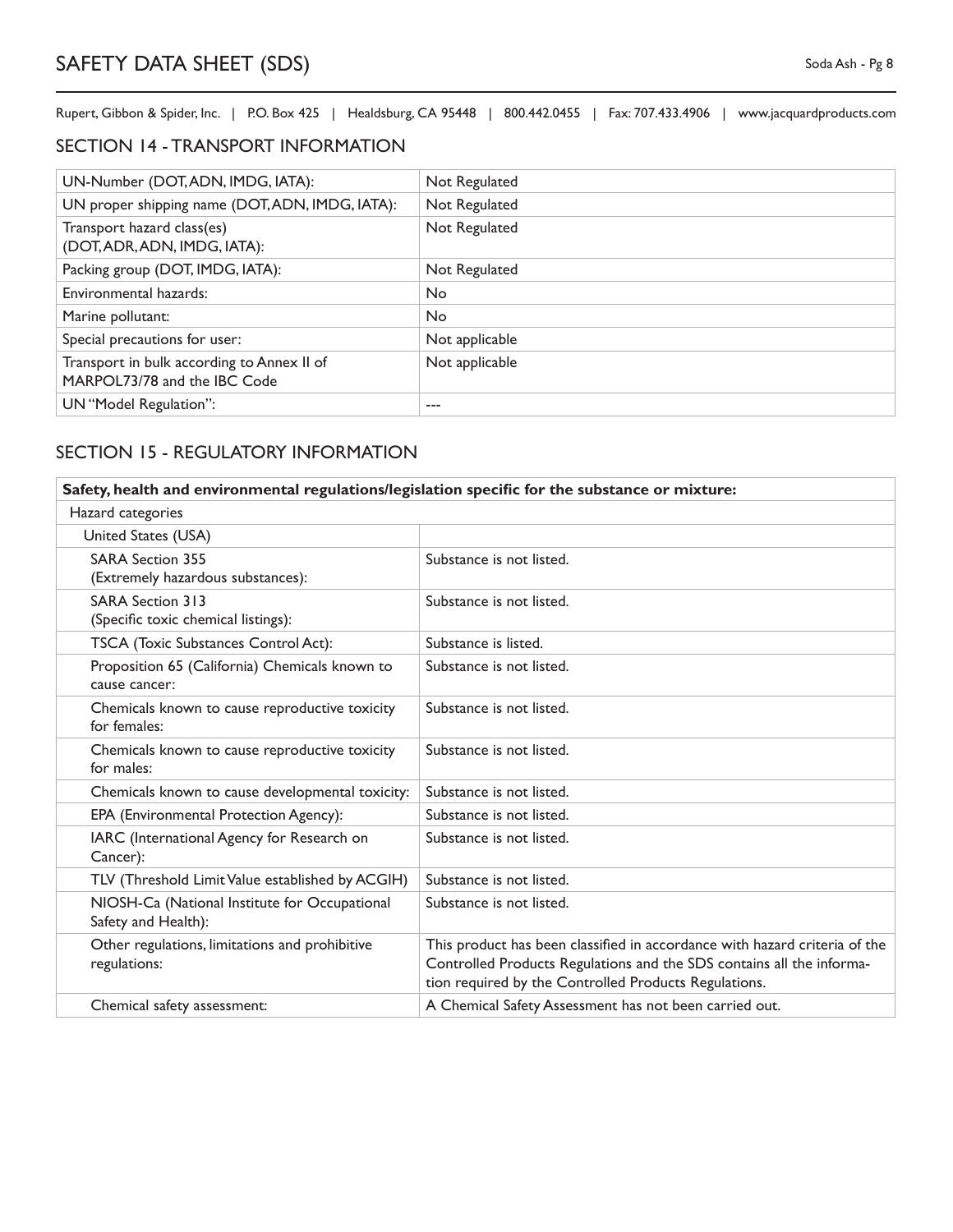#### SECTION 14 - TRANSPORT INFORMATION

| UN-Number (DOT, ADN, IMDG, IATA):                                          | Not Regulated  |
|----------------------------------------------------------------------------|----------------|
| UN proper shipping name (DOT, ADN, IMDG, IATA):                            | Not Regulated  |
| Transport hazard class(es)<br>(DOT, ADR, ADN, IMDG, IATA):                 | Not Regulated  |
| Packing group (DOT, IMDG, IATA):                                           | Not Regulated  |
| Environmental hazards:                                                     | <b>No</b>      |
| Marine pollutant:                                                          | N <sub>o</sub> |
| Special precautions for user:                                              | Not applicable |
| Transport in bulk according to Annex II of<br>MARPOL73/78 and the IBC Code | Not applicable |
| UN "Model Regulation":                                                     |                |

# SECTION 15 - REGULATORY INFORMATION

| Safety, health and environmental regulations/legislation specific for the substance or mixture: |                                                                                                                                                                                                              |
|-------------------------------------------------------------------------------------------------|--------------------------------------------------------------------------------------------------------------------------------------------------------------------------------------------------------------|
| Hazard categories                                                                               |                                                                                                                                                                                                              |
| United States (USA)                                                                             |                                                                                                                                                                                                              |
| <b>SARA Section 355</b><br>(Extremely hazardous substances):                                    | Substance is not listed.                                                                                                                                                                                     |
| <b>SARA Section 313</b><br>(Specific toxic chemical listings):                                  | Substance is not listed.                                                                                                                                                                                     |
| TSCA (Toxic Substances Control Act):                                                            | Substance is listed.                                                                                                                                                                                         |
| Proposition 65 (California) Chemicals known to<br>cause cancer:                                 | Substance is not listed.                                                                                                                                                                                     |
| Chemicals known to cause reproductive toxicity<br>for females:                                  | Substance is not listed.                                                                                                                                                                                     |
| Chemicals known to cause reproductive toxicity<br>for males:                                    | Substance is not listed.                                                                                                                                                                                     |
| Chemicals known to cause developmental toxicity:                                                | Substance is not listed.                                                                                                                                                                                     |
| EPA (Environmental Protection Agency):                                                          | Substance is not listed.                                                                                                                                                                                     |
| IARC (International Agency for Research on<br>Cancer):                                          | Substance is not listed.                                                                                                                                                                                     |
| TLV (Threshold Limit Value established by ACGIH)                                                | Substance is not listed.                                                                                                                                                                                     |
| NIOSH-Ca (National Institute for Occupational<br>Safety and Health):                            | Substance is not listed.                                                                                                                                                                                     |
| Other regulations, limitations and prohibitive<br>regulations:                                  | This product has been classified in accordance with hazard criteria of the<br>Controlled Products Regulations and the SDS contains all the informa-<br>tion required by the Controlled Products Regulations. |
| Chemical safety assessment:                                                                     | A Chemical Safety Assessment has not been carried out.                                                                                                                                                       |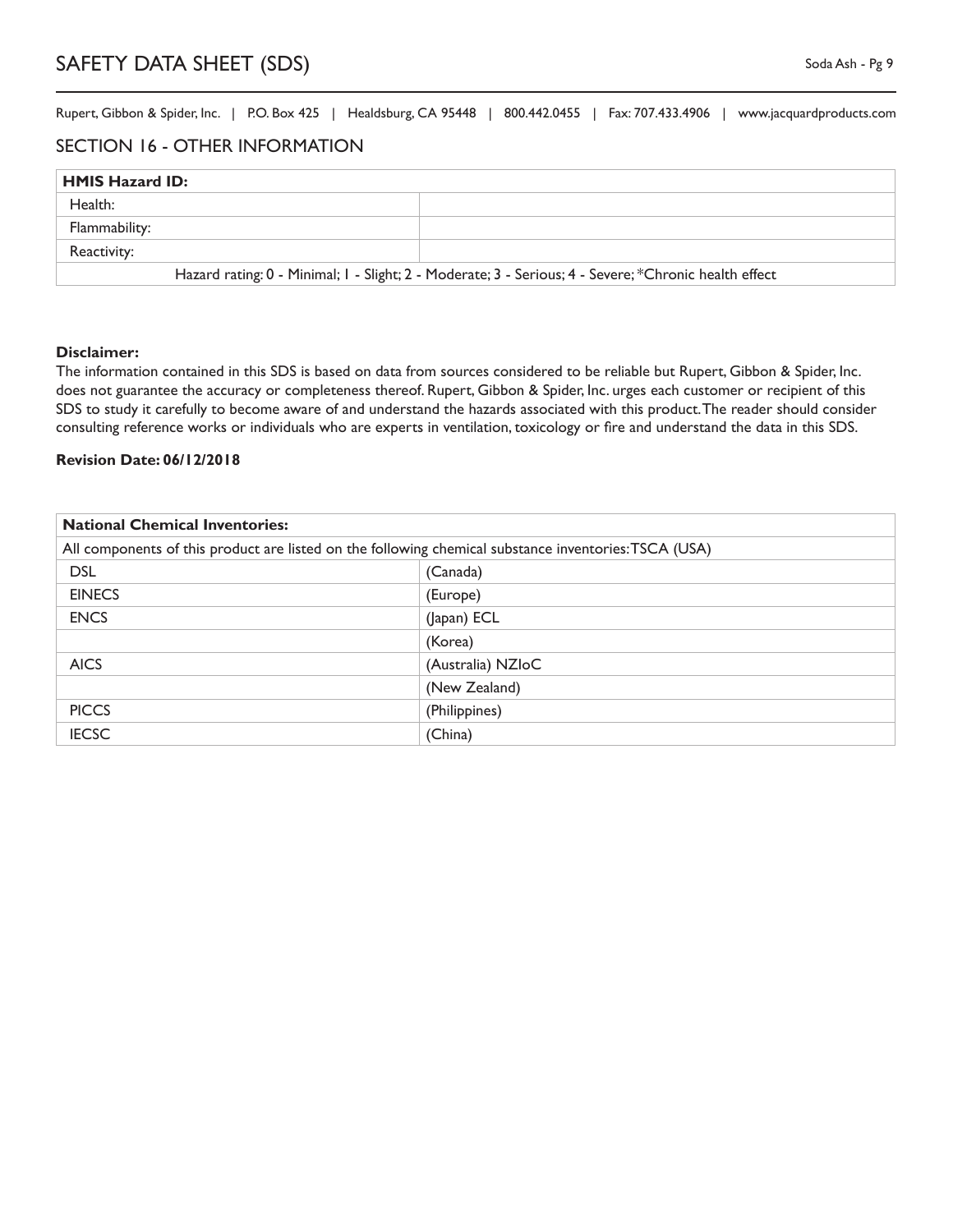#### SECTION 16 - OTHER INFORMATION

| <b>HMIS Hazard ID:</b>                                                                                |  |  |
|-------------------------------------------------------------------------------------------------------|--|--|
| Health:                                                                                               |  |  |
| Flammability:                                                                                         |  |  |
| Reactivity:                                                                                           |  |  |
| Hazard rating: 0 - Minimal; I - Slight; 2 - Moderate; 3 - Serious; 4 - Severe; *Chronic health effect |  |  |

#### **Disclaimer:**

The information contained in this SDS is based on data from sources considered to be reliable but Rupert, Gibbon & Spider, Inc. does not guarantee the accuracy or completeness thereof. Rupert, Gibbon & Spider, Inc. urges each customer or recipient of this SDS to study it carefully to become aware of and understand the hazards associated with this product. The reader should consider consulting reference works or individuals who are experts in ventilation, toxicology or fire and understand the data in this SDS.

#### **Revision Date: 06/12/2018**

| <b>National Chemical Inventories:</b>                                                                 |                   |
|-------------------------------------------------------------------------------------------------------|-------------------|
| All components of this product are listed on the following chemical substance inventories: TSCA (USA) |                   |
| <b>DSL</b>                                                                                            | (Canada)          |
| <b>EINECS</b>                                                                                         | (Europe)          |
| <b>ENCS</b>                                                                                           | (Japan) ECL       |
|                                                                                                       | (Korea)           |
| <b>AICS</b>                                                                                           | (Australia) NZIoC |
|                                                                                                       | (New Zealand)     |
| <b>PICCS</b>                                                                                          | (Philippines)     |
| <b>IECSC</b>                                                                                          | (China)           |